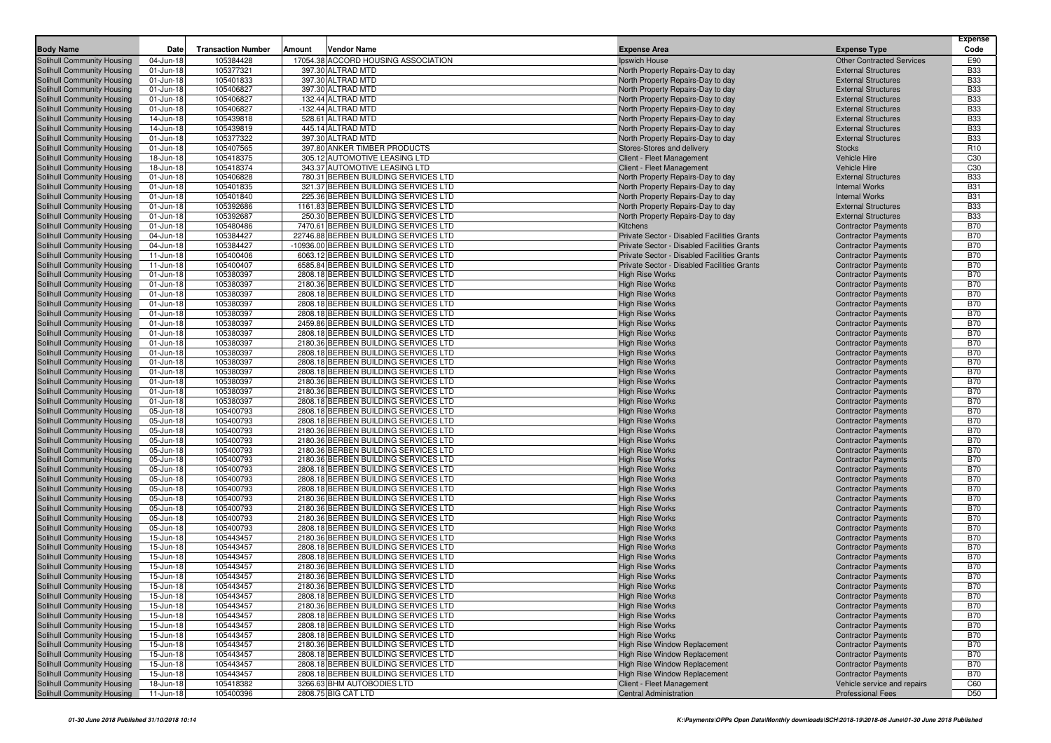| <b>Body Name</b>                  | Date      | <b>Transaction Number</b> | Amount | <b>Vendor Name</b>                     | <b>Expense Area</b>                         | <b>Expense Type</b>              | <b>Expense</b><br>Code |
|-----------------------------------|-----------|---------------------------|--------|----------------------------------------|---------------------------------------------|----------------------------------|------------------------|
| <b>Solihull Community Housing</b> | 04-Jun-18 | 105384428                 |        | 17054.38 ACCORD HOUSING ASSOCIATION    | Ipswich House                               | <b>Other Contracted Services</b> | E90                    |
| Solihull Community Housing        | 01-Jun-18 | 105377321                 |        | 397.30 ALTRAD MTD                      | North Property Repairs-Day to day           | <b>External Structures</b>       | <b>B33</b>             |
| <b>Solihull Community Housing</b> | 01-Jun-18 | 105401833                 |        | 397.30 ALTRAD MTD                      | North Property Repairs-Day to day           | <b>External Structures</b>       | <b>B33</b>             |
| Solihull Community Housing        | 01-Jun-18 | 105406827                 |        | 397.30 ALTRAD MTD                      | North Property Repairs-Day to day           | <b>External Structures</b>       | <b>B33</b>             |
| Solihull Community Housing        | 01-Jun-18 | 105406827                 |        | 132.44 ALTRAD MTD                      | North Property Repairs-Day to day           | <b>External Structures</b>       | <b>B33</b>             |
| Solihull Community Housing        | 01-Jun-18 | 105406827                 |        | -132.44 ALTRAD MTD                     | North Property Repairs-Day to day           | <b>External Structures</b>       | <b>B33</b>             |
| Solihull Community Housing        | 14-Jun-18 | 105439818                 |        | 528.61 ALTRAD MTD                      | North Property Repairs-Day to day           | <b>External Structures</b>       | <b>B33</b>             |
| Solihull Community Housing        | 14-Jun-18 | 105439819                 |        | 445.14 ALTRAD MTD                      | North Property Repairs-Day to day           | <b>External Structures</b>       | <b>B33</b>             |
| Solihull Community Housing        | 01-Jun-18 | 105377322                 |        | 397.30 ALTRAD MTD                      | North Property Repairs-Day to day           | <b>External Structures</b>       | <b>B33</b>             |
| Solihull Community Housing        | 01-Jun-18 | 105407565                 |        | 397.80 ANKER TIMBER PRODUCTS           | Stores-Stores and delivery                  | <b>Stocks</b>                    | R <sub>10</sub>        |
| Solihull Community Housing        | 18-Jun-18 | 105418375                 |        | 305.12 AUTOMOTIVE LEASING LTD          | Client - Fleet Management                   | <b>Vehicle Hire</b>              | C <sub>30</sub>        |
| Solihull Community Housing        | 18-Jun-18 | 105418374                 |        | 343.37 AUTOMOTIVE LEASING LTD          | Client - Fleet Management                   | <b>Vehicle Hire</b>              | C30                    |
| Solihull Community Housing        | 01-Jun-18 | 105406828                 |        | 780.31 BERBEN BUILDING SERVICES LTD    | North Property Repairs-Day to day           | <b>External Structures</b>       | <b>B33</b>             |
| Solihull Community Housing        | 01-Jun-18 | 105401835                 |        | 321.37 BERBEN BUILDING SERVICES LTD    | North Property Repairs-Day to day           | <b>Internal Works</b>            | <b>B31</b>             |
| Solihull Community Housing        | 01-Jun-18 | 105401840                 |        | 225.36 BERBEN BUILDING SERVICES LTD    | North Property Repairs-Day to day           | <b>Internal Works</b>            | <b>B31</b>             |
| Solihull Community Housing        | 01-Jun-18 | 105392686                 |        | 1161.83 BERBEN BUILDING SERVICES LTD   | North Property Repairs-Day to day           | <b>External Structures</b>       | <b>B33</b>             |
| Solihull Community Housing        | 01-Jun-18 | 105392687                 |        | 250.30 BERBEN BUILDING SERVICES LTD    | North Property Repairs-Day to day           | <b>External Structures</b>       | <b>B33</b>             |
| Solihull Community Housing        | 01-Jun-18 | 105480486                 |        | 7470.61 BERBEN BUILDING SERVICES LTD   | <b>Kitchens</b>                             | <b>Contractor Payments</b>       | <b>B70</b>             |
| Solihull Community Housing        | 04-Jun-18 | 105384427                 |        | 22746.88 BERBEN BUILDING SERVICES LTD  | Private Sector - Disabled Facilities Grants | <b>Contractor Payments</b>       | <b>B70</b>             |
| Solihull Community Housing        | 04-Jun-18 | 105384427                 |        | -10936.00 BERBEN BUILDING SERVICES LTD | Private Sector - Disabled Facilities Grants | <b>Contractor Payments</b>       | <b>B70</b>             |
| Solihull Community Housing        | 11-Jun-18 | 105400406                 |        | 6063.12 BERBEN BUILDING SERVICES LTD   | Private Sector - Disabled Facilities Grants | <b>Contractor Payments</b>       | <b>B70</b>             |
| Solihull Community Housing        | 11-Jun-18 | 105400407                 |        | 6585.84 BERBEN BUILDING SERVICES LTD   | Private Sector - Disabled Facilities Grants | <b>Contractor Payments</b>       | <b>B70</b>             |
| Solihull Community Housing        | 01-Jun-18 | 105380397                 |        | 2808.18 BERBEN BUILDING SERVICES LTD   | <b>High Rise Works</b>                      | <b>Contractor Payments</b>       | <b>B70</b>             |
| Solihull Community Housing        | 01-Jun-18 | 105380397                 |        | 2180.36 BERBEN BUILDING SERVICES LTD   | <b>High Rise Works</b>                      | <b>Contractor Payments</b>       | <b>B70</b>             |
| Solihull Community Housing        | 01-Jun-18 | 105380397                 |        | 2808.18 BERBEN BUILDING SERVICES LTD   | <b>High Rise Works</b>                      | <b>Contractor Payments</b>       | <b>B70</b>             |
| Solihull Community Housing        | 01-Jun-18 | 105380397                 |        | 2808.18 BERBEN BUILDING SERVICES LTD   | <b>High Rise Works</b>                      | <b>Contractor Payments</b>       | <b>B70</b>             |
| Solihull Community Housing        | 01-Jun-18 | 105380397                 |        | 2808.18 BERBEN BUILDING SERVICES LTD   | <b>High Rise Works</b>                      | <b>Contractor Payments</b>       | <b>B70</b>             |
| Solihull Community Housing        | 01-Jun-18 | 105380397                 |        | 2459.86 BERBEN BUILDING SERVICES LTD   | <b>High Rise Works</b>                      | <b>Contractor Payments</b>       | <b>B70</b>             |
| Solihull Community Housing        | 01-Jun-18 | 105380397                 |        | 2808.18 BERBEN BUILDING SERVICES LTD   | <b>High Rise Works</b>                      | <b>Contractor Payments</b>       | <b>B70</b>             |
| Solihull Community Housing        | 01-Jun-18 | 105380397                 |        | 2180.36 BERBEN BUILDING SERVICES LTD   | <b>High Rise Works</b>                      | <b>Contractor Payments</b>       | <b>B70</b>             |
| Solihull Community Housing        | 01-Jun-18 | 105380397                 |        | 2808.18 BERBEN BUILDING SERVICES LTD   | <b>High Rise Works</b>                      | <b>Contractor Payments</b>       | <b>B70</b>             |
| Solihull Community Housing        | 01-Jun-18 | 105380397                 |        | 2808.18 BERBEN BUILDING SERVICES LTD   | <b>High Rise Works</b>                      | <b>Contractor Payments</b>       | <b>B70</b>             |
| Solihull Community Housing        | 01-Jun-18 | 105380397                 |        | 2808.18 BERBEN BUILDING SERVICES LTD   | <b>High Rise Works</b>                      | <b>Contractor Payments</b>       | <b>B70</b>             |
| Solihull Community Housing        | 01-Jun-18 | 105380397                 |        | 2180.36 BERBEN BUILDING SERVICES LTD   | <b>High Rise Works</b>                      | <b>Contractor Payments</b>       | <b>B70</b>             |
| Solihull Community Housing        | 01-Jun-18 | 105380397                 |        | 2180.36 BERBEN BUILDING SERVICES LTD   | <b>High Rise Works</b>                      | <b>Contractor Payments</b>       | <b>B70</b>             |
| Solihull Community Housing        | 01-Jun-18 | 105380397                 |        | 2808.18 BERBEN BUILDING SERVICES LTD   | <b>High Rise Works</b>                      | <b>Contractor Payments</b>       | <b>B70</b>             |
| Solihull Community Housing        | 05-Jun-18 | 105400793                 |        | 2808.18 BERBEN BUILDING SERVICES LTD   | <b>High Rise Works</b>                      | <b>Contractor Payments</b>       | <b>B70</b>             |
| Solihull Community Housing        | 05-Jun-18 | 105400793                 |        | 2808.18 BERBEN BUILDING SERVICES LTD   | <b>High Rise Works</b>                      | <b>Contractor Payments</b>       | <b>B70</b>             |
| Solihull Community Housing        | 05-Jun-18 | 105400793                 |        | 2180.36 BERBEN BUILDING SERVICES LTD   | <b>High Rise Works</b>                      | <b>Contractor Payments</b>       | <b>B70</b>             |
| Solihull Community Housing        | 05-Jun-18 | 105400793                 |        | 2180.36 BERBEN BUILDING SERVICES LTD   | <b>High Rise Works</b>                      | <b>Contractor Payments</b>       | <b>B70</b>             |
| Solihull Community Housing        | 05-Jun-18 | 105400793                 |        | 2180.36 BERBEN BUILDING SERVICES LTD   | <b>High Rise Works</b>                      | <b>Contractor Payments</b>       | <b>B70</b>             |
| Solihull Community Housing        | 05-Jun-18 | 105400793                 |        | 2180.36 BERBEN BUILDING SERVICES LTD   | <b>High Rise Works</b>                      | <b>Contractor Payments</b>       | <b>B70</b>             |
| Solihull Community Housing        | 05-Jun-18 | 105400793                 |        | 2808.18 BERBEN BUILDING SERVICES LTD   | <b>High Rise Works</b>                      | <b>Contractor Payments</b>       | <b>B70</b>             |
| Solihull Community Housing        | 05-Jun-18 | 105400793                 |        | 2808.18 BERBEN BUILDING SERVICES LTD   | <b>High Rise Works</b>                      | <b>Contractor Payments</b>       | <b>B70</b>             |
| Solihull Community Housing        | 05-Jun-18 | 105400793                 |        | 2808.18 BERBEN BUILDING SERVICES LTD   | <b>High Rise Works</b>                      | <b>Contractor Payments</b>       | <b>B70</b>             |
| Solihull Community Housing        | 05-Jun-18 | 105400793                 |        | 2180.36 BERBEN BUILDING SERVICES LTD   | <b>High Rise Works</b>                      | <b>Contractor Payments</b>       | <b>B70</b>             |
| Solihull Community Housing        | 05-Jun-18 | 105400793                 |        | 2180.36 BERBEN BUILDING SERVICES LTD   | <b>High Rise Works</b>                      | <b>Contractor Payments</b>       | <b>B70</b>             |
| Solihull Community Housing        | 05-Jun-18 | 105400793                 |        | 2180.36 BERBEN BUILDING SERVICES LTD   | <b>High Rise Works</b>                      | <b>Contractor Payments</b>       | <b>B70</b>             |
| Solihull Community Housing        | 05-Jun-18 | 105400793                 |        | 2808.18 BERBEN BUILDING SERVICES LTD   | <b>High Rise Works</b>                      | <b>Contractor Payments</b>       | <b>B70</b>             |
| Solihull Community Housing        | 15-Jun-18 | 105443457                 |        | 2180.36 BERBEN BUILDING SERVICES LTD   | <b>High Rise Works</b>                      | <b>Contractor Payments</b>       | <b>B70</b>             |
| Solihull Community Housing        | 15-Jun-18 | 105443457                 |        | 2808.18 BERBEN BUILDING SERVICES LTD   | <b>High Rise Works</b>                      | <b>Contractor Payments</b>       | <b>B70</b>             |
| Solihull Community Housing        | 15-Jun-18 | 105443457                 |        | 2808.18 BERBEN BUILDING SERVICES LTD   | <b>High Rise Works</b>                      | <b>Contractor Payments</b>       | <b>B70</b>             |
| Solihull Community Housing        | 15-Jun-18 | 105443457                 |        | 2180.36 BERBEN BUILDING SERVICES LTD   | <b>High Rise Works</b>                      | <b>Contractor Payments</b>       | <b>B70</b>             |
| Solihull Community Housing        | 15-Jun-18 | 105443457                 |        | 2180.36 BERBEN BUILDING SERVICES LTD   | <b>High Rise Works</b>                      | <b>Contractor Payments</b>       | <b>B70</b>             |
| Solihull Community Housing        | 15-Jun-18 | 105443457                 |        | 2180.36 BERBEN BUILDING SERVICES LTD   | <b>High Rise Works</b>                      | <b>Contractor Payments</b>       | <b>B70</b>             |
| Solihull Community Housing        | 15-Jun-18 | 105443457                 |        | 2808.18 BERBEN BUILDING SERVICES LTD   | <b>High Rise Works</b>                      | <b>Contractor Payments</b>       | B/0                    |
| Solihull Community Housing        | 15-Jun-18 | 105443457                 |        | 2180.36 BERBEN BUILDING SERVICES LTD   | <b>High Rise Works</b>                      | <b>Contractor Payments</b>       | <b>B70</b>             |
| Solihull Community Housing        | 15-Jun-18 | 105443457                 |        | 2808.18 BERBEN BUILDING SERVICES LTD   | <b>High Rise Works</b>                      | <b>Contractor Payments</b>       | <b>B70</b>             |
| Solihull Community Housing        | 15-Jun-18 | 105443457                 |        | 2808.18 BERBEN BUILDING SERVICES LTD   | <b>High Rise Works</b>                      | <b>Contractor Payments</b>       | <b>B70</b>             |
| Solihull Community Housing        | 15-Jun-18 | 105443457                 |        | 2808.18 BERBEN BUILDING SERVICES LTD   | <b>High Rise Works</b>                      | <b>Contractor Payments</b>       | <b>B70</b>             |
| Solihull Community Housing        | 15-Jun-18 | 105443457                 |        | 2180.36 BERBEN BUILDING SERVICES LTD   | <b>High Rise Window Replacement</b>         | <b>Contractor Payments</b>       | <b>B70</b>             |
| Solihull Community Housing        | 15-Jun-18 | 105443457                 |        | 2808.18 BERBEN BUILDING SERVICES LTD   | <b>High Rise Window Replacement</b>         | <b>Contractor Payments</b>       | <b>B70</b>             |
| Solihull Community Housing        | 15-Jun-18 | 105443457                 |        | 2808.18 BERBEN BUILDING SERVICES LTD   | <b>High Rise Window Replacement</b>         | <b>Contractor Payments</b>       | <b>B70</b>             |
| Solihull Community Housing        | 15-Jun-18 | 105443457                 |        | 2808.18 BERBEN BUILDING SERVICES LTD   | <b>High Rise Window Replacement</b>         | <b>Contractor Payments</b>       | <b>B70</b>             |
| Solihull Community Housing        | 18-Jun-18 | 105418382                 |        | 3266.63 BHM AUTOBODIES LTD             | Client - Fleet Management                   | Vehicle service and repairs      | C60                    |
| Solihull Community Housing        | 11-Jun-18 | 105400396                 |        | 2808.75 BIG CAT LTD                    | <b>Central Administration</b>               | <b>Professional Fees</b>         | <b>D50</b>             |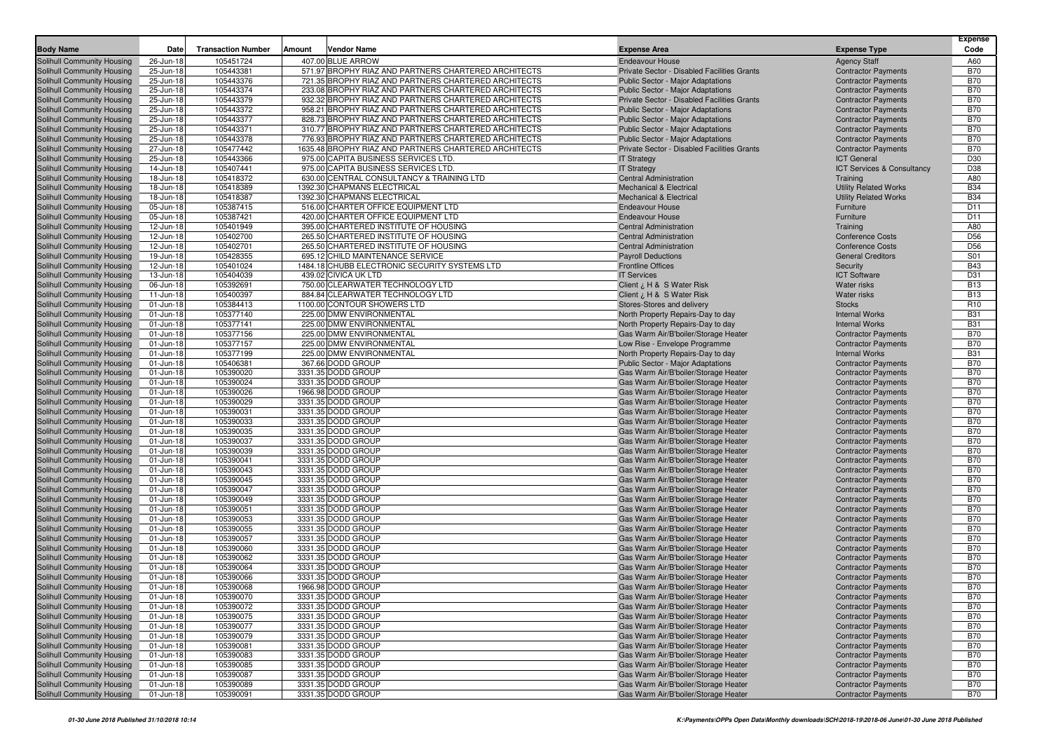| <b>Body Name</b>                                                | Date                   | <b>Transaction Number</b> | Amount<br>Vendor Name                                                        | <b>Expense Area</b>                                              |                                                                              | <b>Expense Type</b>                                         | Expense<br>Code          |
|-----------------------------------------------------------------|------------------------|---------------------------|------------------------------------------------------------------------------|------------------------------------------------------------------|------------------------------------------------------------------------------|-------------------------------------------------------------|--------------------------|
| <b>Solihull Community Housing</b>                               | 26-Jun-18              | 105451724                 | 407.00 BLUE ARROW                                                            | <b>Endeavour House</b>                                           |                                                                              | <b>Agency Staff</b>                                         | A60                      |
| Solihull Community Housing                                      | 25-Jun-18              | 105443381                 | 571.97 BROPHY RIAZ AND PARTNERS CHARTERED ARCHITECTS                         |                                                                  | Private Sector - Disabled Facilities Grants                                  | <b>Contractor Payments</b>                                  | <b>B70</b>               |
| Solihull Community Housing                                      | 25-Jun-18              | 105443376                 | 721.35 BROPHY RIAZ AND PARTNERS CHARTERED ARCHITECTS                         | <b>Public Sector - Major Adaptations</b>                         |                                                                              | <b>Contractor Payments</b>                                  | <b>B70</b>               |
| Solihull Community Housing                                      | 25-Jun-18              | 105443374                 | 233.08 BROPHY RIAZ AND PARTNERS CHARTERED ARCHITECTS                         | <b>Public Sector - Major Adaptations</b>                         |                                                                              | <b>Contractor Payments</b>                                  | <b>B70</b>               |
| Solihull Community Housing                                      | 25-Jun-18              | 105443379                 | 932.32 BROPHY RIAZ AND PARTNERS CHARTERED ARCHITECTS                         |                                                                  | Private Sector - Disabled Facilities Grants                                  | <b>Contractor Payments</b>                                  | <b>B70</b>               |
| Solihull Community Housing                                      | 25-Jun-18              | 105443372                 | 958.21 BROPHY RIAZ AND PARTNERS CHARTERED ARCHITECTS                         | Public Sector - Major Adaptations                                |                                                                              | <b>Contractor Payments</b>                                  | <b>B70</b>               |
| Solihull Community Housing                                      | 25-Jun-18              | 105443377                 | 828.73 BROPHY RIAZ AND PARTNERS CHARTERED ARCHITECTS                         | Public Sector - Major Adaptations                                |                                                                              | <b>Contractor Payments</b>                                  | <b>B70</b>               |
| Solihull Community Housing                                      | 25-Jun-18              | 105443371                 | 310.77 BROPHY RIAZ AND PARTNERS CHARTERED ARCHITECTS                         | Public Sector - Major Adaptations                                |                                                                              | <b>Contractor Payments</b>                                  | <b>B70</b>               |
| Solihull Community Housing                                      | 25-Jun-18              | 105443378                 | 776.93 BROPHY RIAZ AND PARTNERS CHARTERED ARCHITECTS                         | Public Sector - Major Adaptations                                |                                                                              | <b>Contractor Payments</b>                                  | <b>B70</b>               |
| Solihull Community Housing                                      | 27-Jun-18              | 105477442                 | 1635.48 BROPHY RIAZ AND PARTNERS CHARTERED ARCHITECTS                        |                                                                  | Private Sector - Disabled Facilities Grants                                  | <b>Contractor Payments</b>                                  | <b>B70</b>               |
| Solihull Community Housing<br>Solihull Community Housing        | 25-Jun-18<br>14-Jun-18 | 105443366<br>105407441    | 975.00 CAPITA BUSINESS SERVICES LTD.<br>975.00 CAPITA BUSINESS SERVICES LTD. | <b>IT Strategy</b>                                               |                                                                              | <b>ICT General</b><br><b>ICT Services &amp; Consultancy</b> | D30<br>D38               |
| Solihull Community Housing                                      | 18-Jun-18              | 105418372                 | 630.00 CENTRAL CONSULTANCY & TRAINING LTD                                    | <b>IT Strategy</b><br><b>Central Administration</b>              |                                                                              | Training                                                    | A80                      |
| Solihull Community Housing                                      | 18-Jun-18              | 105418389                 | 1392.30 CHAPMANS ELECTRICAL                                                  | <b>Mechanical &amp; Electrical</b>                               |                                                                              | <b>Utility Related Works</b>                                | <b>B34</b>               |
| Solihull Community Housing                                      | 18-Jun-18              | 105418387                 | 1392.30 CHAPMANS ELECTRICAL                                                  | <b>Mechanical &amp; Electrical</b>                               |                                                                              | <b>Utility Related Works</b>                                | <b>B34</b>               |
| Solihull Community Housing                                      | 05-Jun-18              | 105387415                 | 516.00 CHARTER OFFICE EQUIPMENT LTD                                          | <b>Endeavour House</b>                                           |                                                                              | Furniture                                                   | D11                      |
| Solihull Community Housing                                      | 05-Jun-18              | 105387421                 | 420.00 CHARTER OFFICE EQUIPMENT LTD                                          | <b>Endeavour House</b>                                           |                                                                              | Furniture                                                   | D11                      |
| Solihull Community Housing                                      | 12-Jun-18              | 105401949                 | 395.00 CHARTERED INSTITUTE OF HOUSING                                        | <b>Central Administration</b>                                    |                                                                              | Training                                                    | A80                      |
| Solihull Community Housing                                      | 12-Jun-18              | 105402700                 | 265.50 CHARTERED INSTITUTE OF HOUSING                                        | <b>Central Administration</b>                                    |                                                                              | <b>Conference Costs</b>                                     | D <sub>56</sub>          |
| Solihull Community Housing                                      | 12-Jun-18              | 105402701                 | 265.50 CHARTERED INSTITUTE OF HOUSING                                        | <b>Central Administration</b>                                    |                                                                              | <b>Conference Costs</b>                                     | D <sub>56</sub>          |
| Solihull Community Housing                                      | 19-Jun-18              | 105428355                 | 695.12 CHILD MAINTENANCE SERVICE                                             | <b>Payroll Deductions</b>                                        |                                                                              | <b>General Creditors</b>                                    | S01                      |
| Solihull Community Housing                                      | 12-Jun-18              | 105401024                 | 1484.18 CHUBB ELECTRONIC SECURITY SYSTEMS LTD                                | <b>Frontline Offices</b>                                         |                                                                              | Security                                                    | <b>B43</b>               |
| Solihull Community Housing                                      | 13-Jun-18              | 105404039<br>105392691    | 439.02 CIVICA UK LTD<br>750.00 CLEARWATER TECHNOLOGY LTD                     | <b>IT Services</b>                                               |                                                                              | <b>ICT Software</b>                                         | D31<br><b>B13</b>        |
| Solihull Community Housing<br>Solihull Community Housing        | 06-Jun-18<br>11-Jun-18 | 105400397                 | 884.84 CLEARWATER TECHNOLOGY LTD                                             | Client ¿ H & S Water Risk<br>Client $\lambda$ , H & S Water Risk |                                                                              | <b>Water risks</b><br>Water risks                           | <b>B13</b>               |
| Solihull Community Housing                                      | 01-Jun-18              | 105384413                 | 1100.00 CONTOUR SHOWERS LTD                                                  | Stores-Stores and delivery                                       |                                                                              | <b>Stocks</b>                                               | R <sub>10</sub>          |
| Solihull Community Housing                                      | 01-Jun-18              | 105377140                 | 225.00 DMW ENVIRONMENTAL                                                     | North Property Repairs-Day to day                                |                                                                              | <b>Internal Works</b>                                       | <b>B31</b>               |
| Solihull Community Housing                                      | 01-Jun-18              | 105377141                 | 225.00 DMW ENVIRONMENTAL                                                     | North Property Repairs-Day to day                                |                                                                              | <b>Internal Works</b>                                       | <b>B31</b>               |
| Solihull Community Housing                                      | 01-Jun-18              | 105377156                 | 225.00 DMW ENVIRONMENTAL                                                     |                                                                  | Gas Warm Air/B'boiler/Storage Heater                                         | <b>Contractor Payments</b>                                  | <b>B70</b>               |
| Solihull Community Housing                                      | 01-Jun-18              | 105377157                 | 225.00 DMW ENVIRONMENTAL                                                     | Low Rise - Envelope Programme                                    |                                                                              | <b>Contractor Payments</b>                                  | <b>B70</b>               |
| Solihull Community Housing                                      | 01-Jun-18              | 105377199                 | 225.00 DMW ENVIRONMENTAL                                                     | North Property Repairs-Day to day                                |                                                                              | <b>Internal Works</b>                                       | <b>B31</b>               |
| Solihull Community Housing                                      | 01-Jun-18              | 105406381                 | 367.66 DODD GROUP                                                            | Public Sector - Major Adaptations                                |                                                                              | <b>Contractor Payments</b>                                  | <b>B70</b>               |
| Solihull Community Housing                                      | 01-Jun-18              | 105390020                 | 3331.35 DODD GROUP                                                           |                                                                  | Gas Warm Air/B'boiler/Storage Heater                                         | <b>Contractor Payments</b>                                  | <b>B70</b>               |
| Solihull Community Housing                                      | 01-Jun-18              | 105390024                 | 3331.35 DODD GROUP                                                           |                                                                  | Gas Warm Air/B'boiler/Storage Heater                                         | <b>Contractor Payments</b>                                  | <b>B70</b>               |
| Solihull Community Housing                                      | 01-Jun-18              | 105390026                 | 1966.98 DODD GROUP<br>3331.35 DODD GROUP                                     |                                                                  | Gas Warm Air/B'boiler/Storage Heater                                         | <b>Contractor Payments</b>                                  | <b>B70</b><br><b>B70</b> |
| Solihull Community Housing<br>Solihull Community Housing        | 01-Jun-18<br>01-Jun-18 | 105390029<br>105390031    | 3331.35 DODD GROUP                                                           |                                                                  | Gas Warm Air/B'boiler/Storage Heater<br>Gas Warm Air/B'boiler/Storage Heater | <b>Contractor Payments</b><br><b>Contractor Payments</b>    | <b>B70</b>               |
| Solihull Community Housing                                      | 01-Jun-18              | 105390033                 | 3331.35 DODD GROUP                                                           |                                                                  | Gas Warm Air/B'boiler/Storage Heater                                         | <b>Contractor Payments</b>                                  | <b>B70</b>               |
| Solihull Community Housing                                      | 01-Jun-18              | 105390035                 | 3331.35 DODD GROUP                                                           |                                                                  | Gas Warm Air/B'boiler/Storage Heater                                         | <b>Contractor Payments</b>                                  | <b>B70</b>               |
| Solihull Community Housing                                      | 01-Jun-18              | 105390037                 | 3331.35 DODD GROUP                                                           |                                                                  | Gas Warm Air/B'boiler/Storage Heater                                         | <b>Contractor Payments</b>                                  | <b>B70</b>               |
| Solihull Community Housing                                      | 01-Jun-18              | 105390039                 | 3331.35 DODD GROUP                                                           |                                                                  | Gas Warm Air/B'boiler/Storage Heater                                         | <b>Contractor Payments</b>                                  | <b>B70</b>               |
| Solihull Community Housing                                      | 01-Jun-18              | 105390041                 | 3331.35 DODD GROUP                                                           |                                                                  | Gas Warm Air/B'boiler/Storage Heater                                         | <b>Contractor Payments</b>                                  | <b>B70</b>               |
| Solihull Community Housing                                      | 01-Jun-18              | 105390043                 | 3331.35 DODD GROUP                                                           |                                                                  | Gas Warm Air/B'boiler/Storage Heater                                         | <b>Contractor Payments</b>                                  | <b>B70</b>               |
| Solihull Community Housing                                      | 01-Jun-18              | 105390045                 | 3331.35 DODD GROUP                                                           |                                                                  | Gas Warm Air/B'boiler/Storage Heater                                         | <b>Contractor Payments</b>                                  | <b>B70</b>               |
| Solihull Community Housing                                      | 01-Jun-18              | 105390047                 | 3331.35 DODD GROUP                                                           |                                                                  | Gas Warm Air/B'boiler/Storage Heater                                         | <b>Contractor Payments</b>                                  | <b>B70</b>               |
| Solihull Community Housing                                      | 01-Jun-18              | 105390049                 | 3331.35 DODD GROUP                                                           |                                                                  | Gas Warm Air/B'boiler/Storage Heater                                         | <b>Contractor Payments</b>                                  | <b>B70</b>               |
| Solihull Community Housing                                      | 01-Jun-18<br>01-Jun-18 | 105390051<br>105390053    | 3331.35 DODD GROUP<br>3331.35 DODD GROUP                                     |                                                                  | Gas Warm Air/B'boiler/Storage Heater                                         | <b>Contractor Payments</b><br><b>Contractor Payments</b>    | <b>B70</b><br><b>B70</b> |
| Solihull Community Housing<br>Solihull Community Housing        | 01-Jun-18              | 105390055                 | 3331.35 DODD GROUP                                                           |                                                                  | Gas Warm Air/B'boiler/Storage Heater<br>Gas Warm Air/B'boiler/Storage Heater | <b>Contractor Payments</b>                                  | <b>B70</b>               |
| Solihull Community Housing                                      | 01-Jun-18              | 105390057                 | 3331.35 DODD GROUP                                                           |                                                                  | Gas Warm Air/B'boiler/Storage Heater                                         | <b>Contractor Payments</b>                                  | <b>B70</b>               |
| Solihull Community Housing                                      | 01-Jun-18              | 105390060                 | 3331.35 DODD GROUP                                                           |                                                                  | Gas Warm Air/B'boiler/Storage Heater                                         | <b>Contractor Payments</b>                                  | <b>B70</b>               |
| Solihull Community Housing                                      | 01-Jun-18              | 105390062                 | 3331.35 DODD GROUP                                                           |                                                                  | Gas Warm Air/B'boiler/Storage Heater                                         | <b>Contractor Payments</b>                                  | <b>B70</b>               |
| Solihull Community Housing                                      | 01-Jun-18              | 105390064                 | 3331.35 DODD GROUP                                                           |                                                                  | Gas Warm Air/B'boiler/Storage Heater                                         | <b>Contractor Payments</b>                                  | <b>B70</b>               |
| Solihull Community Housing                                      | 01-Jun-18              | 105390066                 | 3331.35 DODD GROUP                                                           |                                                                  | Gas Warm Air/B'boiler/Storage Heater                                         | <b>Contractor Payments</b>                                  | <b>B70</b>               |
| Solihull Community Housing                                      | 01-Jun-18              | 105390068                 | 1966.98 DODD GROUP                                                           |                                                                  | Gas Warm Air/B'boiler/Storage Heater                                         | <b>Contractor Payments</b>                                  | <b>B70</b>               |
| Solihull Community Housing                                      | 01-Jun-18              | 105390070                 | 3331.35 DODD GROUP                                                           |                                                                  | Gas Warm Air/B'boiler/Storage Heater                                         | <b>Contractor Payments</b>                                  | B70                      |
| <b>Solihull Community Housing</b>                               | 01-Jun-18              | 105390072                 | 3331.35 DODD GROUP                                                           |                                                                  | Gas Warm Air/B'boiler/Storage Heater                                         | <b>Contractor Payments</b>                                  | <b>B70</b>               |
| <b>Solihull Community Housing</b>                               | $01$ -Jun-18           | 105390075                 | 3331.35 DODD GROUP                                                           |                                                                  | Gas Warm Air/B'boiler/Storage Heater                                         | <b>Contractor Payments</b>                                  | <b>B70</b>               |
| Solihull Community Housing                                      | 01-Jun-18              | 105390077                 | 3331.35 DODD GROUP<br>3331.35 DODD GROUP                                     |                                                                  | Gas Warm Air/B'boiler/Storage Heater                                         | <b>Contractor Payments</b>                                  | <b>B70</b>               |
| <b>Solihull Community Housing</b><br>Solihull Community Housing | 01-Jun-18<br>01-Jun-18 | 105390079<br>105390081    | 3331.35 DODD GROUP                                                           |                                                                  | Gas Warm Air/B'boiler/Storage Heater<br>Gas Warm Air/B'boiler/Storage Heater | <b>Contractor Payments</b><br><b>Contractor Payments</b>    | <b>B70</b><br><b>B70</b> |
| <b>Solihull Community Housing</b>                               | 01-Jun-18              | 105390083                 | 3331.35 DODD GROUP                                                           |                                                                  | Gas Warm Air/B'boiler/Storage Heater                                         | <b>Contractor Payments</b>                                  | <b>B70</b>               |
| <b>Solihull Community Housing</b>                               | 01-Jun-18              | 105390085                 | 3331.35 DODD GROUP                                                           |                                                                  | Gas Warm Air/B'boiler/Storage Heater                                         | <b>Contractor Payments</b>                                  | <b>B70</b>               |
| Solihull Community Housing                                      | 01-Jun-18              | 105390087                 | 3331.35 DODD GROUP                                                           |                                                                  | Gas Warm Air/B'boiler/Storage Heater                                         | <b>Contractor Payments</b>                                  | <b>B70</b>               |
| Solihull Community Housing                                      | $01$ -Jun-18           | 105390089                 | 3331.35 DODD GROUP                                                           |                                                                  | Gas Warm Air/B'boiler/Storage Heater                                         | <b>Contractor Payments</b>                                  | <b>B70</b>               |
| Solihull Community Housing                                      | 01-Jun-18              | 105390091                 | 3331.35 DODD GROUP                                                           |                                                                  | Gas Warm Air/B'boiler/Storage Heater                                         | <b>Contractor Payments</b>                                  | <b>B70</b>               |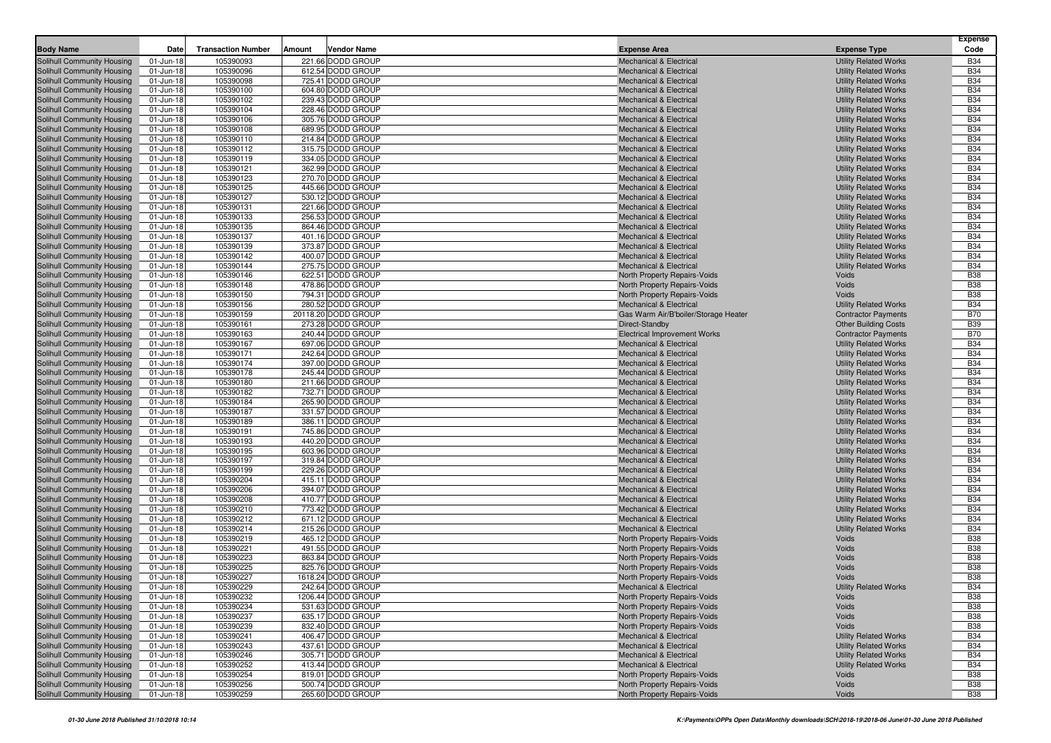| <b>Body Name</b>                                         | Date                    | <b>Transaction Number</b> | Amount<br><b>Vendor Name</b>           | <b>Expense Area</b>                                                      | <b>Expense Type</b>                                          | <b>Expense</b><br>Code   |
|----------------------------------------------------------|-------------------------|---------------------------|----------------------------------------|--------------------------------------------------------------------------|--------------------------------------------------------------|--------------------------|
| <b>Solihull Community Housing</b>                        | 01-Jun-18               | 105390093                 | 221.66 DODD GROUP                      | <b>Mechanical &amp; Electrical</b>                                       | <b>Utility Related Works</b>                                 | <b>B34</b>               |
| Solihull Community Housing                               | 01-Jun-18               | 105390096                 | 612.54 DODD GROUP                      | <b>Mechanical &amp; Electrical</b>                                       | <b>Utility Related Works</b>                                 | <b>B34</b>               |
| Solihull Community Housing                               | 01-Jun-18               | 105390098                 | 725.41 DODD GROUP                      | Mechanical & Electrical                                                  | <b>Utility Related Works</b>                                 | <b>B34</b>               |
| Solihull Community Housing                               | 01-Jun-18               | 105390100                 | 604.80 DODD GROUP                      | <b>Mechanical &amp; Electrical</b>                                       | <b>Utility Related Works</b>                                 | <b>B34</b>               |
| Solihull Community Housing                               | 01-Jun-18               | 105390102                 | 239.43 DODD GROUP                      | <b>Mechanical &amp; Electrical</b>                                       | <b>Utility Related Works</b>                                 | <b>B34</b>               |
| Solihull Community Housing                               | 01-Jun-18               | 105390104                 | 228.46 DODD GROUP                      | <b>Mechanical &amp; Electrical</b>                                       | <b>Utility Related Works</b>                                 | <b>B34</b>               |
| Solihull Community Housing                               | 01-Jun-18               | 105390106                 | 305.76 DODD GROUP                      | <b>Mechanical &amp; Electrical</b>                                       | <b>Utility Related Works</b>                                 | <b>B34</b>               |
| Solihull Community Housing                               | 01-Jun-18               | 105390108                 | 689.95 DODD GROUP                      | Mechanical & Electrical                                                  | <b>Utility Related Works</b>                                 | <b>B34</b>               |
| Solihull Community Housing                               | 01-Jun-18               | 105390110                 | 214.84 DODD GROUP                      | <b>Mechanical &amp; Electrical</b>                                       | <b>Utility Related Works</b>                                 | <b>B34</b>               |
| Solihull Community Housing                               | 01-Jun-18               | 105390112                 | 315.75 DODD GROUP                      | <b>Mechanical &amp; Electrical</b>                                       | <b>Utility Related Works</b>                                 | <b>B34</b>               |
| Solihull Community Housing                               | 01-Jun-18               | 105390119                 | 334.05 DODD GROUP                      | <b>Mechanical &amp; Electrical</b>                                       | <b>Utility Related Works</b>                                 | <b>B34</b>               |
| Solihull Community Housing                               | 01-Jun-18               | 105390121                 | 362.99 DODD GROUP                      | <b>Mechanical &amp; Electrical</b>                                       | <b>Utility Related Works</b>                                 | <b>B34</b>               |
| Solihull Community Housing                               | 01-Jun-18               | 105390123                 | 270.70 DODD GROUP                      | Mechanical & Electrical                                                  | <b>Utility Related Works</b>                                 | <b>B34</b>               |
| Solihull Community Housing                               | 01-Jun-18               | 105390125                 | 445.66 DODD GROUP                      | <b>Mechanical &amp; Electrical</b>                                       | <b>Utility Related Works</b>                                 | <b>B34</b>               |
| Solihull Community Housing                               | 01-Jun-18               | 105390127                 | 530.12 DODD GROUP                      | <b>Mechanical &amp; Electrical</b>                                       | <b>Utility Related Works</b>                                 | <b>B34</b>               |
| Solihull Community Housing                               | 01-Jun-18               | 105390131                 | 221.66 DODD GROUP                      | <b>Mechanical &amp; Electrical</b>                                       | <b>Utility Related Works</b>                                 | <b>B34</b>               |
| Solihull Community Housing                               | 01-Jun-18               | 105390133                 | 256.53 DODD GROUP                      | <b>Mechanical &amp; Electrical</b>                                       | <b>Utility Related Works</b>                                 | <b>B34</b>               |
| Solihull Community Housing                               | 01-Jun-18               | 105390135<br>105390137    | 864.46 DODD GROUP<br>401.16 DODD GROUP | <b>Mechanical &amp; Electrical</b><br><b>Mechanical &amp; Electrical</b> | <b>Utility Related Works</b>                                 | <b>B34</b><br><b>B34</b> |
| Solihull Community Housing                               | 01-Jun-18               | 105390139                 | 373.87 DODD GROUP                      | <b>Mechanical &amp; Electrical</b>                                       | <b>Utility Related Works</b><br><b>Utility Related Works</b> | <b>B34</b>               |
| Solihull Community Housing<br>Solihull Community Housing | 01-Jun-18<br>01-Jun-18  | 105390142                 | 400.07 DODD GROUP                      | <b>Mechanical &amp; Electrical</b>                                       | <b>Utility Related Works</b>                                 | <b>B34</b>               |
| Solihull Community Housing                               | 01-Jun-18               | 105390144                 | 275.75 DODD GROUP                      | <b>Mechanical &amp; Electrical</b>                                       | <b>Utility Related Works</b>                                 | <b>B34</b>               |
| Solihull Community Housing                               | 01-Jun-18               | 105390146                 | 622.51 DODD GROUP                      | North Property Repairs-Voids                                             | Voids                                                        | <b>B38</b>               |
| Solihull Community Housing                               | 01-Jun-18               | 105390148                 | 478.86 DODD GROUP                      | North Property Repairs-Voids                                             | Voids                                                        | <b>B38</b>               |
| Solihull Community Housing                               | 01-Jun-18               | 105390150                 | 794.31 DODD GROUP                      | North Property Repairs-Voids                                             | <b>Voids</b>                                                 | <b>B38</b>               |
| Solihull Community Housing                               | 01-Jun-18               | 105390156                 | 280.52 DODD GROUP                      | <b>Mechanical &amp; Electrical</b>                                       | <b>Utility Related Works</b>                                 | <b>B34</b>               |
| Solihull Community Housing                               | 01-Jun-18               | 105390159                 | 20118.20 DODD GROUP                    | Gas Warm Air/B'boiler/Storage Heater                                     | <b>Contractor Payments</b>                                   | <b>B70</b>               |
| Solihull Community Housing                               | 01-Jun-18               | 105390161                 | 273.28 DODD GROUP                      | Direct-Standby                                                           | <b>Other Building Costs</b>                                  | <b>B39</b>               |
| <b>Solihull Community Housing</b>                        | 01-Jun-18               | 105390163                 | 240.44 DODD GROUP                      | <b>Electrical Improvement Works</b>                                      | <b>Contractor Payments</b>                                   | <b>B70</b>               |
| Solihull Community Housing                               | 01-Jun-18               | 105390167                 | 697.06 DODD GROUP                      | <b>Mechanical &amp; Electrical</b>                                       | <b>Utility Related Works</b>                                 | <b>B34</b>               |
| Solihull Community Housing                               | 01-Jun-18               | 105390171                 | 242.64 DODD GROUP                      | <b>Mechanical &amp; Electrical</b>                                       | <b>Utility Related Works</b>                                 | <b>B34</b>               |
| Solihull Community Housing                               | 01-Jun-18               | 105390174                 | 397.00 DODD GROUP                      | <b>Mechanical &amp; Electrical</b>                                       | <b>Utility Related Works</b>                                 | <b>B34</b>               |
| Solihull Community Housing                               | 01-Jun-18               | 105390178                 | 245.44 DODD GROUP                      | <b>Mechanical &amp; Electrical</b>                                       | <b>Utility Related Works</b>                                 | <b>B34</b>               |
| Solihull Community Housing                               | 01-Jun-18               | 105390180                 | 211.66 DODD GROUP                      | <b>Mechanical &amp; Electrical</b>                                       | <b>Utility Related Works</b>                                 | <b>B34</b>               |
| Solihull Community Housing                               | 01-Jun-18               | 105390182                 | 732.71 DODD GROUP                      | <b>Mechanical &amp; Electrical</b>                                       | <b>Utility Related Works</b>                                 | <b>B34</b>               |
| Solihull Community Housing                               | 01-Jun-18               | 105390184                 | 265.90 DODD GROUP                      | <b>Mechanical &amp; Electrical</b>                                       | <b>Utility Related Works</b>                                 | <b>B34</b>               |
| Solihull Community Housing                               | 01-Jun-18               | 105390187                 | 331.57 DODD GROUP                      | <b>Mechanical &amp; Electrical</b>                                       | <b>Utility Related Works</b>                                 | <b>B34</b>               |
| Solihull Community Housing                               | 01-Jun-18               | 105390189                 | 386.11 DODD GROUP                      | Mechanical & Electrical                                                  | <b>Utility Related Works</b>                                 | <b>B34</b>               |
| Solihull Community Housing                               | 01-Jun-18               | 105390191                 | 745.86 DODD GROUP                      | <b>Mechanical &amp; Electrical</b>                                       | <b>Utility Related Works</b>                                 | <b>B34</b>               |
| Solihull Community Housing                               | 01-Jun-18               | 105390193                 | 440.20 DODD GROUP                      | <b>Mechanical &amp; Electrical</b>                                       | <b>Utility Related Works</b>                                 | <b>B34</b><br><b>B34</b> |
| Solihull Community Housing<br>Solihull Community Housing | 01-Jun-18<br>01-Jun-18  | 105390195<br>105390197    | 603.96 DODD GROUP<br>319.84 DODD GROUP | <b>Mechanical &amp; Electrical</b><br><b>Mechanical &amp; Electrical</b> | <b>Utility Related Works</b><br><b>Utility Related Works</b> | <b>B34</b>               |
| Solihull Community Housing                               | 01-Jun-18               | 105390199                 | 229.26 DODD GROUP                      | <b>Mechanical &amp; Electrical</b>                                       | <b>Utility Related Works</b>                                 | <b>B34</b>               |
| Solihull Community Housing                               | 01-Jun-18               | 105390204                 | 415.11 DODD GROUP                      | <b>Mechanical &amp; Electrical</b>                                       | <b>Utility Related Works</b>                                 | <b>B34</b>               |
| Solihull Community Housing                               | 01-Jun-18               | 105390206                 | 394.07 DODD GROUP                      | <b>Mechanical &amp; Electrical</b>                                       | <b>Utility Related Works</b>                                 | <b>B34</b>               |
| Solihull Community Housing                               | 01-Jun-18               | 105390208                 | 410.77 DODD GROUP                      | <b>Mechanical &amp; Electrical</b>                                       | <b>Utility Related Works</b>                                 | <b>B34</b>               |
| Solihull Community Housing                               | 01-Jun-18               | 105390210                 | 773.42 DODD GROUP                      | <b>Mechanical &amp; Electrical</b>                                       | <b>Utility Related Works</b>                                 | <b>B34</b>               |
| Solihull Community Housing                               | 01-Jun-18               | 105390212                 | 671.12 DODD GROUP                      | Mechanical & Electrical                                                  | <b>Utility Related Works</b>                                 | <b>B34</b>               |
| <b>Solihull Community Housing</b>                        | 01-Jun-18               | 105390214                 | 215.26 DODD GROUP                      | <b>Mechanical &amp; Electrical</b>                                       | <b>Utility Related Works</b>                                 | <b>B34</b>               |
| Solihull Community Housing                               | 01-Jun-18               | 105390219                 | 465.12 DODD GROUP                      | North Property Repairs-Voids                                             | Voids                                                        | <b>B38</b>               |
| Solihull Community Housing                               | 01-Jun-18               | 105390221                 | 491.55 DODD GROUP                      | <b>North Property Repairs-Voids</b>                                      | Voids                                                        | <b>B38</b>               |
| Solihull Community Housing                               | 01-Jun-18               | 105390223                 | 863.84 DODD GROUP                      | North Property Repairs-Voids                                             | Voids                                                        | <b>B38</b>               |
| Solihull Community Housing                               | 01-Jun-18               | 105390225                 | 825.76 DODD GROUP                      | North Property Repairs-Voids                                             | Voids                                                        | <b>B38</b>               |
| Solihull Community Housing                               | 01-Jun-18               | 105390227                 | 1618.24 DODD GROUP                     | North Property Repairs-Voids                                             | Voids                                                        | <b>B38</b>               |
| Solihull Community Housing                               | 01-Jun-18               | 105390229                 | 242.64 DODD GROUP                      | <b>Mechanical &amp; Electrical</b>                                       | <b>Utility Related Works</b>                                 | <b>B34</b>               |
| Solihull Community Housing                               | 01-Jun-18               | 105390232                 | 1206.44 DODD GROUP                     | North Property Repairs-Voids                                             | Voids                                                        | <b>B38</b>               |
| Solihull Community Housing                               | 01-Jun-18               | 105390234                 | 531.63 DODD GROUP                      | <b>North Property Repairs-Voids</b>                                      | Voids                                                        | <b>B38</b>               |
| Solihull Community Housing                               | 01-Jun-18               | 105390237                 | 635.17 DODD GROUP                      | <b>North Property Repairs-Voids</b>                                      | Voids                                                        | <b>B38</b>               |
| Solihull Community Housing                               | 01-Jun-18               | 105390239                 | 832.40 DODD GROUP                      | North Property Repairs-Voids                                             | Voids                                                        | <b>B38</b>               |
| Solihull Community Housing                               | 01-Jun-18               | 105390241                 | 406.47 DODD GROUP                      | Mechanical & Electrical                                                  | <b>Utility Related Works</b>                                 | <b>B34</b>               |
| Solihull Community Housing                               | 01-Jun-18               | 105390243<br>105390246    | 437.61 DODD GROUP<br>305.71 DODD GROUP | Mechanical & Electrical                                                  | <b>Utility Related Works</b>                                 | <b>B34</b><br><b>B34</b> |
| Solihull Community Housing<br>Solihull Community Housing | 01-Jun-18<br>01-Jun-18  | 105390252                 | 413.44 DODD GROUP                      | Mechanical & Electrical<br><b>Mechanical &amp; Electrical</b>            | <b>Utility Related Works</b><br><b>Utility Related Works</b> | <b>B34</b>               |
| Solihull Community Housing                               | $\overline{0}$ 1-Jun-18 | 105390254                 | 819.01 DODD GROUP                      | North Property Repairs-Voids                                             | Voids                                                        | <b>B38</b>               |
| Solihull Community Housing                               | $01$ -Jun-18            | 105390256                 | 500.74 DODD GROUP                      | North Property Repairs-Voids                                             | Voids                                                        | <b>B38</b>               |
| Solihull Community Housing                               | 01-Jun-18               | 105390259                 | 265.60 DODD GROUP                      | North Property Repairs-Voids                                             | Voids                                                        | <b>B38</b>               |
|                                                          |                         |                           |                                        |                                                                          |                                                              |                          |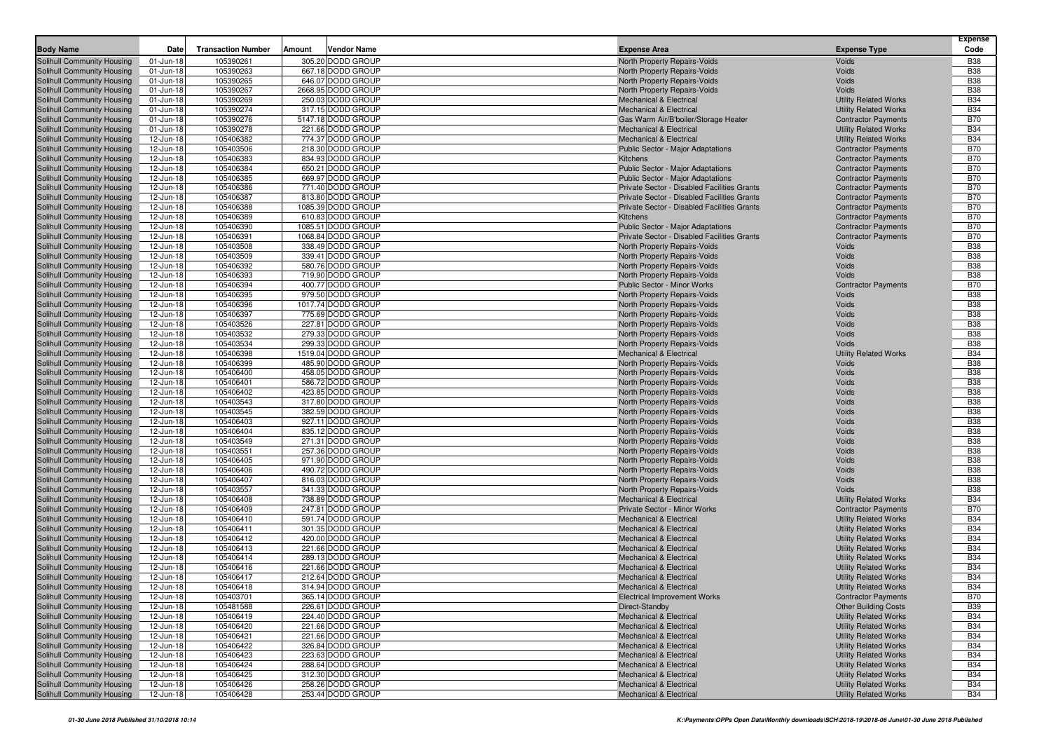|                                                          | Date                   | <b>Transaction Number</b> | Amount | Vendor Name                            | <b>Expense Area</b>                                                |                                                              | <b>Expense</b><br>Code   |
|----------------------------------------------------------|------------------------|---------------------------|--------|----------------------------------------|--------------------------------------------------------------------|--------------------------------------------------------------|--------------------------|
| <b>Body Name</b>                                         |                        |                           |        |                                        |                                                                    | <b>Expense Type</b>                                          |                          |
| Solihull Community Housing                               | 01-Jun-18              | 105390261                 |        | 305.20 DODD GROUP                      | North Property Repairs-Voids                                       | Voids                                                        | <b>B38</b>               |
| Solihull Community Housing                               | 01-Jun-18              | 105390263<br>105390265    |        | 667.18 DODD GROUP<br>646.07 DODD GROUP | North Property Repairs-Voids<br>North Property Repairs-Voids       | Voids<br>Voids                                               | <b>B38</b><br><b>B38</b> |
| Solihull Community Housing<br>Solihull Community Housing | 01-Jun-18<br>01-Jun-18 | 105390267                 |        | 2668.95 DODD GROUP                     | North Property Repairs-Voids                                       | Voids                                                        | <b>B38</b>               |
| Solihull Community Housing                               | 01-Jun-18              | 105390269                 |        | 250.03 DODD GROUP                      | <b>Mechanical &amp; Electrical</b>                                 | <b>Utility Related Works</b>                                 | <b>B34</b>               |
| Solihull Community Housing                               | 01-Jun-18              | 105390274                 |        | 317.15 DODD GROUP                      | <b>Mechanical &amp; Electrical</b>                                 | <b>Utility Related Works</b>                                 | <b>B34</b>               |
| Solihull Community Housing                               | 01-Jun-18              | 105390276                 |        | 5147.18 DODD GROUP                     | Gas Warm Air/B'boiler/Storage Heater                               | <b>Contractor Payments</b>                                   | <b>B70</b>               |
| Solihull Community Housing                               | 01-Jun-18              | 105390278                 |        | 221.66 DODD GROUP                      | <b>Mechanical &amp; Electrical</b>                                 | <b>Utility Related Works</b>                                 | <b>B34</b>               |
| Solihull Community Housing                               | 12-Jun-18              | 105406382                 |        | 774.37 DODD GROUP                      | <b>Mechanical &amp; Electrical</b>                                 | <b>Utility Related Works</b>                                 | <b>B34</b>               |
| Solihull Community Housing                               | 12-Jun-18              | 105403506                 |        | 218.30 DODD GROUP                      | Public Sector - Major Adaptations                                  | <b>Contractor Payments</b>                                   | <b>B70</b>               |
| Solihull Community Housing                               | 12-Jun-18              | 105406383                 |        | 834.93 DODD GROUP                      | Kitchens                                                           | <b>Contractor Payments</b>                                   | <b>B70</b>               |
| <b>Solihull Community Housing</b>                        | 12-Jun-18              | 105406384                 |        | 650.21 DODD GROUP                      | Public Sector - Major Adaptations                                  | <b>Contractor Payments</b>                                   | <b>B70</b>               |
| Solihull Community Housing                               | 12-Jun-18              | 105406385                 |        | 669.97 DODD GROUP                      | Public Sector - Major Adaptations                                  | <b>Contractor Payments</b>                                   | <b>B70</b>               |
| Solihull Community Housing                               | 12-Jun-18              | 105406386                 |        | 771.40 DODD GROUP                      | Private Sector - Disabled Facilities Grants                        | <b>Contractor Payments</b>                                   | <b>B70</b>               |
| Solihull Community Housing                               | 12-Jun-18              | 105406387                 |        | 813.80 DODD GROUP                      | Private Sector - Disabled Facilities Grants                        | <b>Contractor Payments</b>                                   | <b>B70</b>               |
| Solihull Community Housing                               | 12-Jun-18              | 105406388                 |        | 1085.39 DODD GROUP                     | Private Sector - Disabled Facilities Grants                        | <b>Contractor Payments</b>                                   | <b>B70</b>               |
| Solihull Community Housing                               | 12-Jun-18              | 105406389                 |        | 610.83 DODD GROUP                      | <b>Kitchens</b>                                                    | <b>Contractor Payments</b>                                   | <b>B70</b>               |
| Solihull Community Housing                               | 12-Jun-18              | 105406390                 |        | 1085.51 DODD GROUP                     | Public Sector - Major Adaptations                                  | <b>Contractor Payments</b>                                   | <b>B70</b>               |
| Solihull Community Housing                               | 12-Jun-18              | 105406391                 |        | 1068.84 DODD GROUP                     | Private Sector - Disabled Facilities Grants                        | <b>Contractor Payments</b>                                   | <b>B70</b>               |
| Solihull Community Housing                               | 12-Jun-18              | 105403508                 |        | 338.49 DODD GROUP                      | North Property Repairs-Voids                                       | Voids                                                        | <b>B38</b>               |
| Solihull Community Housing                               | 12-Jun-18              | 105403509                 |        | 339.41 DODD GROUP                      | North Property Repairs-Voids                                       | Voids                                                        | <b>B38</b>               |
| Solihull Community Housing                               | 12-Jun-18              | 105406392                 |        | 580.76 DODD GROUP                      | North Property Repairs-Voids                                       | Voids                                                        | <b>B38</b>               |
| Solihull Community Housing                               | 12-Jun-18              | 105406393                 |        | 719.90 DODD GROUP                      | North Property Repairs-Voids                                       | Voids                                                        | <b>B38</b>               |
| Solihull Community Housing                               | 12-Jun-18              | 105406394                 |        | 400.77 DODD GROUP                      | Public Sector - Minor Works                                        | <b>Contractor Payments</b>                                   | <b>B70</b>               |
| Solihull Community Housing                               | 12-Jun-18              | 105406395                 |        | 979.50 DODD GROUP                      | North Property Repairs-Voids                                       | Voids                                                        | <b>B38</b>               |
| Solihull Community Housing                               | 12-Jun-18              | 105406396                 |        | 1017.74 DODD GROUP                     | North Property Repairs-Voids                                       | Voids                                                        | <b>B38</b><br><b>B38</b> |
| Solihull Community Housing<br>Solihull Community Housing | 12-Jun-18<br>12-Jun-18 | 105406397<br>105403526    |        | 775.69 DODD GROUP<br>227.81 DODD GROUP | North Property Repairs-Voids<br>North Property Repairs-Voids       | Voids<br>Voids                                               | <b>B38</b>               |
| Solihull Community Housing                               | 12-Jun-18              | 105403532                 |        | 279.33 DODD GROUP                      | <b>North Property Repairs-Voids</b>                                | Voids                                                        | <b>B38</b>               |
| Solihull Community Housing                               | 12-Jun-18              | 105403534                 |        | 299.33 DODD GROUP                      | North Property Repairs-Voids                                       | Voids                                                        | <b>B38</b>               |
| Solihull Community Housing                               | 12-Jun-18              | 105406398                 |        | 1519.04 DODD GROUP                     | <b>Mechanical &amp; Electrical</b>                                 | <b>Utility Related Works</b>                                 | <b>B34</b>               |
| Solihull Community Housing                               | 12-Jun-18              | 105406399                 |        | 485.90 DODD GROUP                      | <b>North Property Repairs-Voids</b>                                | Voids                                                        | <b>B38</b>               |
| Solihull Community Housing                               | 12-Jun-18              | 105406400                 |        | 458.05 DODD GROUP                      | North Property Repairs-Voids                                       | Voids                                                        | <b>B38</b>               |
| Solihull Community Housing                               | 12-Jun-18              | 105406401                 |        | 586.72 DODD GROUP                      | North Property Repairs-Voids                                       | Voids                                                        | <b>B38</b>               |
| Solihull Community Housing                               | 12-Jun-18              | 105406402                 |        | 423.85 DODD GROUP                      | North Property Repairs-Voids                                       | Voids                                                        | <b>B38</b>               |
| Solihull Community Housing                               | 12-Jun-18              | 105403543                 |        | 317.80 DODD GROUP                      | North Property Repairs-Voids                                       | Voids                                                        | <b>B38</b>               |
| Solihull Community Housing                               | 12-Jun-18              | 105403545                 |        | 382.59 DODD GROUP                      | North Property Repairs-Voids                                       | Voids                                                        | <b>B38</b>               |
| Solihull Community Housing                               | 12-Jun-18              | 105406403                 |        | 927.11 DODD GROUP                      | North Property Repairs-Voids                                       | Voids                                                        | <b>B38</b>               |
| Solihull Community Housing                               | 12-Jun-18              | 105406404                 |        | 835.12 DODD GROUP                      | <b>North Property Repairs-Voids</b>                                | Voids                                                        | <b>B38</b>               |
| Solihull Community Housing                               | 12-Jun-18              | 105403549                 |        | 271.31 DODD GROUP                      | North Property Repairs-Voids                                       | Voids                                                        | <b>B38</b>               |
| Solihull Community Housing                               | 12-Jun-18              | 105403551                 |        | 257.36 DODD GROUP                      | North Property Repairs-Voids                                       | Voids                                                        | <b>B38</b>               |
| <b>Solihull Community Housing</b>                        | 12-Jun-18              | 105406405                 |        | 971.90 DODD GROUP                      | <b>North Property Repairs-Voids</b>                                | Voids                                                        | <b>B38</b>               |
| Solihull Community Housing                               | 12-Jun-18              | 105406406                 |        | 490.72 DODD GROUP                      | North Property Repairs-Voids                                       | Voids                                                        | <b>B38</b>               |
| Solihull Community Housing                               | 12-Jun-18              | 105406407                 |        | 816.03 DODD GROUP                      | North Property Repairs-Voids                                       | Voids                                                        | <b>B38</b>               |
| Solihull Community Housing                               | 12-Jun-18              | 105403557                 |        | 341.33 DODD GROUP                      | North Property Repairs-Voids                                       | Voids                                                        | <b>B38</b>               |
| Solihull Community Housing                               | 12-Jun-18              | 105406408                 |        | 738.89 DODD GROUP                      | <b>Mechanical &amp; Electrical</b>                                 | <b>Utility Related Works</b>                                 | <b>B34</b>               |
| Solihull Community Housing                               | 12-Jun-18              | 105406409<br>105406410    |        | 247.81 DODD GROUP                      | Private Sector - Minor Works<br><b>Mechanical &amp; Electrical</b> | <b>Contractor Payments</b>                                   | <b>B70</b><br><b>B34</b> |
| Solihull Community Housing                               | 12-Jun-18<br>12-Jun-18 | 105406411                 |        | 591.74 DODD GROUP<br>301.35 DODD GROUP | <b>Mechanical &amp; Electrical</b>                                 | <b>Utility Related Works</b><br><b>Utility Related Works</b> | <b>B34</b>               |
| Solihull Community Housing<br>Solihull Community Housing | 12-Jun-18              | 105406412                 |        | 420.00 DODD GROUP                      | <b>Mechanical &amp; Electrical</b>                                 | <b>Utility Related Works</b>                                 | <b>B34</b>               |
| Solihull Community Housing                               | 12-Jun-18              | 105406413                 |        | 221.66 DODD GROUP                      | <b>Mechanical &amp; Electrical</b>                                 | <b>Utility Related Works</b>                                 | <b>B34</b>               |
| Solihull Community Housing                               | 12-Jun-18              | 105406414                 |        | 289.13 DODD GROUP                      | <b>Mechanical &amp; Electrical</b>                                 | <b>Utility Related Works</b>                                 | <b>B34</b>               |
| Solihull Community Housing                               | 12-Jun-18              | 105406416                 |        | 221.66 DODD GROUP                      | <b>Mechanical &amp; Electrical</b>                                 | <b>Utility Related Works</b>                                 | <b>B34</b>               |
| Solihull Community Housing                               | 12-Jun-18              | 105406417                 |        | 212.64 DODD GROUP                      | <b>Mechanical &amp; Electrical</b>                                 | <b>Utility Related Works</b>                                 | <b>B34</b>               |
| <b>Solihull Community Housing</b>                        | 12-Jun-18              | 105406418                 |        | 314.94 DODD GROUP                      | <b>Mechanical &amp; Electrical</b>                                 | <b>Utility Related Works</b>                                 | <b>B34</b>               |
| Solihull Community Housing                               | 12-Jun-18              | 105403701                 |        | 365.14 DODD GROUP                      | <b>Electrical Improvement Works</b>                                | <b>Contractor Payments</b>                                   | <b>B70</b>               |
| Solihull Community Housing                               | 12-Jun-18              | 105481588                 |        | 226.61 DODD GROUP                      | Direct-Standby                                                     | <b>Other Building Costs</b>                                  | <b>B39</b>               |
| Solihull Community Housing                               | 12-Jun-18              | 105406419                 |        | 224.40 DODD GROUP                      | <b>Mechanical &amp; Electrical</b>                                 | <b>Utility Related Works</b>                                 | <b>B34</b>               |
| Solihull Community Housing                               | 12-Jun-18              | 105406420                 |        | 221.66 DODD GROUP                      | <b>Mechanical &amp; Electrical</b>                                 | <b>Utility Related Works</b>                                 | <b>B34</b>               |
| <b>Solihull Community Housing</b>                        | 12-Jun-18              | 105406421                 |        | 221.66 DODD GROUP                      | <b>Mechanical &amp; Electrical</b>                                 | <b>Utility Related Works</b>                                 | <b>B34</b>               |
| Solihull Community Housing                               | 12-Jun-18              | 105406422                 |        | 326.84 DODD GROUP                      | <b>Mechanical &amp; Electrical</b>                                 | <b>Utility Related Works</b>                                 | <b>B34</b>               |
| Solihull Community Housing                               | 12-Jun-18              | 105406423                 |        | 223.63 DODD GROUP                      | <b>Mechanical &amp; Electrical</b>                                 | <b>Utility Related Works</b>                                 | <b>B34</b>               |
| Solihull Community Housing                               | 12-Jun-18              | 105406424                 |        | 288.64 DODD GROUP                      | <b>Mechanical &amp; Electrical</b>                                 | <b>Utility Related Works</b>                                 | <b>B34</b>               |
| Solihull Community Housing                               | 12-Jun-18              | 105406425                 |        | 312.30 DODD GROUP                      | <b>Mechanical &amp; Electrical</b>                                 | <b>Utility Related Works</b>                                 | <b>B34</b>               |
| Solihull Community Housing                               | 12-Jun-18              | 105406426                 |        | 258.26 DODD GROUP                      | <b>Mechanical &amp; Electrical</b>                                 | <b>Utility Related Works</b>                                 | <b>B34</b>               |
| Solihull Community Housing                               | 12-Jun-18              | 105406428                 |        | 253.44 DODD GROUP                      | <b>Mechanical &amp; Electrical</b>                                 | <b>Utility Related Works</b>                                 | <b>B34</b>               |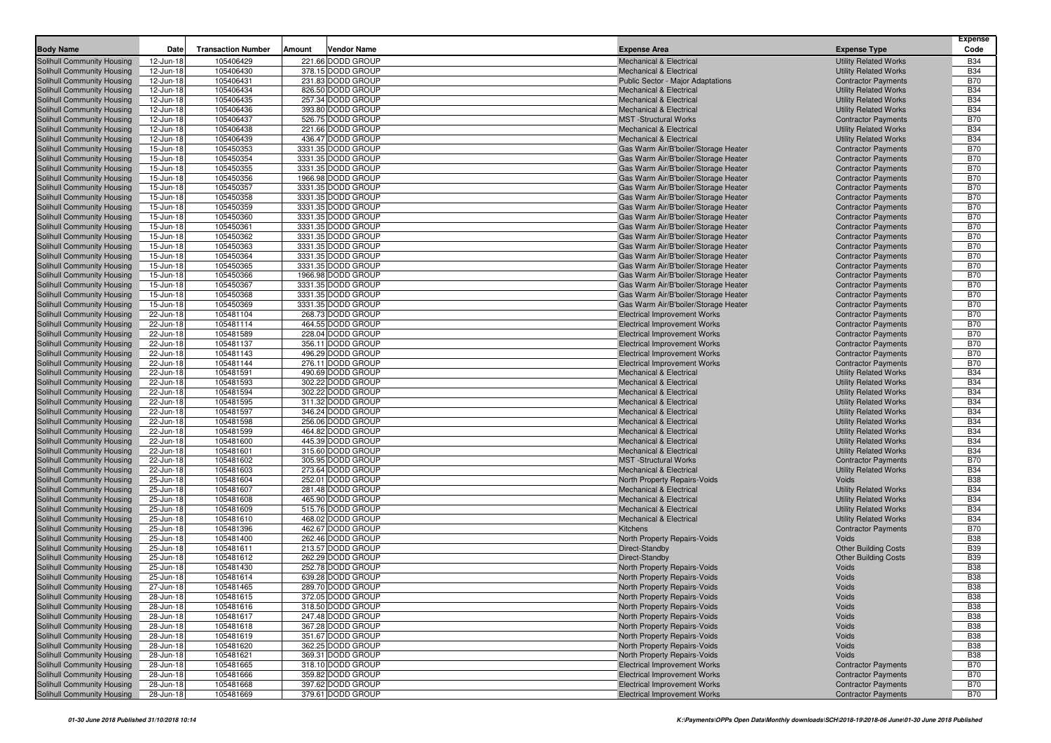| <b>Body Name</b>                                         | Date                   | <b>Transaction Number</b> | Amount | <b>Vendor Name</b>                     | <b>Expense Area</b>                                                      | <b>Expense Type</b>                                          | Expense<br>Code          |
|----------------------------------------------------------|------------------------|---------------------------|--------|----------------------------------------|--------------------------------------------------------------------------|--------------------------------------------------------------|--------------------------|
| <b>Solihull Community Housing</b>                        | 12-Jun-18              | 105406429                 |        | 221.66 DODD GROUP                      | <b>Mechanical &amp; Electrical</b>                                       | <b>Utility Related Works</b>                                 | <b>B34</b>               |
| Solihull Community Housing                               | 12-Jun-18              | 105406430                 |        | 378.15 DODD GROUP                      | <b>Mechanical &amp; Electrical</b>                                       | <b>Utility Related Works</b>                                 | <b>B34</b>               |
| Solihull Community Housing                               | 12-Jun-18              | 105406431                 |        | 231.83 DODD GROUP                      | Public Sector - Major Adaptations                                        | <b>Contractor Payments</b>                                   | <b>B70</b>               |
| Solihull Community Housing                               | 12-Jun-18              | 105406434                 |        | 826.50 DODD GROUP                      | <b>Mechanical &amp; Electrical</b>                                       | <b>Utility Related Works</b>                                 | <b>B34</b>               |
| Solihull Community Housing                               | 12-Jun-18              | 105406435                 |        | 257.34 DODD GROUP                      | <b>Mechanical &amp; Electrical</b>                                       | <b>Utility Related Works</b>                                 | <b>B34</b>               |
| Solihull Community Housing                               | 12-Jun-18              | 105406436                 |        | 393.80 DODD GROUP                      | <b>Mechanical &amp; Electrical</b>                                       | <b>Utility Related Works</b>                                 | <b>B34</b>               |
| Solihull Community Housing                               | 12-Jun-18              | 105406437                 |        | 526.75 DODD GROUP                      | <b>MST</b> -Structural Works                                             | <b>Contractor Payments</b>                                   | <b>B70</b>               |
| Solihull Community Housing                               | 12-Jun-18              | 105406438                 |        | 221.66 DODD GROUP                      | <b>Mechanical &amp; Electrical</b>                                       | <b>Utility Related Works</b>                                 | <b>B34</b>               |
| Solihull Community Housing                               | 12-Jun-18              | 105406439                 |        | 436.47 DODD GROUP                      | <b>Mechanical &amp; Electrical</b>                                       | <b>Utility Related Works</b>                                 | <b>B34</b>               |
| Solihull Community Housing                               | 15-Jun-18              | 105450353                 |        | 3331.35 DODD GROUP                     | Gas Warm Air/B'boiler/Storage Heater                                     | <b>Contractor Payments</b>                                   | <b>B70</b>               |
| Solihull Community Housing                               | 15-Jun-18              | 105450354                 |        | 3331.35 DODD GROUP                     | Gas Warm Air/B'boiler/Storage Heater                                     | <b>Contractor Payments</b>                                   | <b>B70</b>               |
| Solihull Community Housing                               | 15-Jun-18              | 105450355                 |        | 3331.35 DODD GROUP                     | Gas Warm Air/B'boiler/Storage Heater                                     | <b>Contractor Payments</b>                                   | <b>B70</b>               |
| Solihull Community Housing                               | 15-Jun-18              | 105450356                 |        | 1966.98 DODD GROUP                     | Gas Warm Air/B'boiler/Storage Heater                                     | <b>Contractor Payments</b>                                   | <b>B70</b>               |
| Solihull Community Housing                               | 15-Jun-18              | 105450357                 |        | 3331.35 DODD GROUP                     | Gas Warm Air/B'boiler/Storage Heater                                     | <b>Contractor Payments</b>                                   | <b>B70</b>               |
| Solihull Community Housing                               | 15-Jun-18              | 105450358                 |        | 3331.35 DODD GROUP                     | Gas Warm Air/B'boiler/Storage Heater                                     | <b>Contractor Payments</b>                                   | <b>B70</b>               |
| Solihull Community Housing                               | 15-Jun-18              | 105450359                 |        | 3331.35 DODD GROUP                     | Gas Warm Air/B'boiler/Storage Heater                                     | <b>Contractor Payments</b>                                   | <b>B70</b>               |
| Solihull Community Housing                               | 15-Jun-18              | 105450360                 |        | 3331.35 DODD GROUP                     | Gas Warm Air/B'boiler/Storage Heater                                     | <b>Contractor Payments</b>                                   | <b>B70</b>               |
| Solihull Community Housing                               | 15-Jun-18              | 105450361                 |        | 3331.35 DODD GROUP                     | Gas Warm Air/B'boiler/Storage Heater                                     | <b>Contractor Payments</b>                                   | <b>B70</b>               |
| Solihull Community Housing                               | 15-Jun-18              | 105450362                 |        | 3331.35 DODD GROUP                     | Gas Warm Air/B'boiler/Storage Heater                                     | <b>Contractor Payments</b>                                   | <b>B70</b>               |
| Solihull Community Housing                               | 15-Jun-18              | 105450363                 |        | 3331.35 DODD GROUP                     | Gas Warm Air/B'boiler/Storage Heater                                     | <b>Contractor Payments</b>                                   | <b>B70</b>               |
| Solihull Community Housing                               | 15-Jun-18              | 105450364                 |        | 3331.35 DODD GROUP                     | Gas Warm Air/B'boiler/Storage Heater                                     | <b>Contractor Payments</b>                                   | <b>B70</b>               |
| Solihull Community Housing                               | 15-Jun-18              | 105450365                 |        | 3331.35 DODD GROUP                     | Gas Warm Air/B'boiler/Storage Heater                                     | <b>Contractor Payments</b>                                   | <b>B70</b>               |
| Solihull Community Housing                               | 15-Jun-18              | 105450366                 |        | 1966.98 DODD GROUP                     | Gas Warm Air/B'boiler/Storage Heater                                     | <b>Contractor Payments</b>                                   | <b>B70</b>               |
| Solihull Community Housing                               | 15-Jun-18              | 105450367                 |        | 3331.35 DODD GROUP                     | Gas Warm Air/B'boiler/Storage Heater                                     | <b>Contractor Payments</b>                                   | <b>B70</b>               |
| Solihull Community Housing                               | 15-Jun-18              | 105450368                 |        | 3331.35 DODD GROUP                     | Gas Warm Air/B'boiler/Storage Heater                                     | <b>Contractor Payments</b>                                   | <b>B70</b>               |
| Solihull Community Housing                               | 15-Jun-18              | 105450369                 |        | 3331.35 DODD GROUP                     | Gas Warm Air/B'boiler/Storage Heater                                     | <b>Contractor Payments</b>                                   | <b>B70</b>               |
| Solihull Community Housing                               | 22-Jun-18              | 105481104                 |        | 268.73 DODD GROUP                      | <b>Electrical Improvement Works</b>                                      | <b>Contractor Payments</b>                                   | <b>B70</b>               |
| Solihull Community Housing                               | 22-Jun-18              | 105481114                 |        | 464.55 DODD GROUP                      | <b>Electrical Improvement Works</b>                                      | <b>Contractor Payments</b>                                   | <b>B70</b>               |
| Solihull Community Housing                               | 22-Jun-18              | 105481589                 |        | 228.04 DODD GROUP                      | <b>Electrical Improvement Works</b>                                      | <b>Contractor Payments</b>                                   | <b>B70</b>               |
| Solihull Community Housing                               | 22-Jun-18              | 105481137                 |        | 356.11 DODD GROUP                      | <b>Electrical Improvement Works</b>                                      | <b>Contractor Payments</b>                                   | <b>B70</b>               |
| Solihull Community Housing                               | 22-Jun-18              | 105481143                 |        | 496.29 DODD GROUP                      | <b>Electrical Improvement Works</b>                                      | <b>Contractor Payments</b>                                   | <b>B70</b>               |
| Solihull Community Housing                               | 22-Jun-18              | 105481144                 |        | 276.11 DODD GROUP                      | <b>Electrical Improvement Works</b>                                      | <b>Contractor Payments</b>                                   | <b>B70</b><br><b>B34</b> |
| Solihull Community Housing<br>Solihull Community Housing | 22-Jun-18<br>22-Jun-18 | 105481591<br>105481593    |        | 490.69 DODD GROUP<br>302.22 DODD GROUP | <b>Mechanical &amp; Electrical</b><br><b>Mechanical &amp; Electrical</b> | <b>Utility Related Works</b><br><b>Utility Related Works</b> | <b>B34</b>               |
| Solihull Community Housing                               | 22-Jun-18              | 105481594                 |        | 302.22 DODD GROUP                      | <b>Mechanical &amp; Electrical</b>                                       | <b>Utility Related Works</b>                                 | <b>B34</b>               |
| Solihull Community Housing                               | 22-Jun-18              | 105481595                 |        | 311.32 DODD GROUP                      | <b>Mechanical &amp; Electrical</b>                                       | <b>Utility Related Works</b>                                 | <b>B34</b>               |
| Solihull Community Housing                               | 22-Jun-18              | 105481597                 |        | 346.24 DODD GROUP                      | <b>Mechanical &amp; Electrical</b>                                       | <b>Utility Related Works</b>                                 | <b>B34</b>               |
| Solihull Community Housing                               | 22-Jun-18              | 105481598                 |        | 256.06 DODD GROUP                      | <b>Mechanical &amp; Electrical</b>                                       | <b>Utility Related Works</b>                                 | <b>B34</b>               |
| Solihull Community Housing                               | 22-Jun-18              | 105481599                 |        | 464.82 DODD GROUP                      | <b>Mechanical &amp; Electrical</b>                                       | <b>Utility Related Works</b>                                 | <b>B34</b>               |
| Solihull Community Housing                               | 22-Jun-18              | 105481600                 |        | 445.39 DODD GROUP                      | <b>Mechanical &amp; Electrical</b>                                       | <b>Utility Related Works</b>                                 | <b>B34</b>               |
| Solihull Community Housing                               | 22-Jun-18              | 105481601                 |        | 315.60 DODD GROUP                      | <b>Mechanical &amp; Electrical</b>                                       | <b>Utility Related Works</b>                                 | <b>B34</b>               |
| <b>Solihull Community Housing</b>                        | 22-Jun-18              | 105481602                 |        | 305.95 DODD GROUP                      | <b>MST</b> -Structural Works                                             | <b>Contractor Payments</b>                                   | <b>B70</b>               |
| Solihull Community Housing                               | 22-Jun-18              | 105481603                 |        | 273.64 DODD GROUP                      | <b>Mechanical &amp; Electrical</b>                                       | <b>Utility Related Works</b>                                 | <b>B34</b>               |
| Solihull Community Housing                               | 25-Jun-18              | 105481604                 |        | 252.01 DODD GROUP                      | North Property Repairs-Voids                                             | Voids                                                        | <b>B38</b>               |
| Solihull Community Housing                               | 25-Jun-18              | 105481607                 |        | 281.48 DODD GROUP                      | <b>Mechanical &amp; Electrical</b>                                       | <b>Utility Related Works</b>                                 | <b>B34</b>               |
| Solihull Community Housing                               | 25-Jun-18              | 105481608                 |        | 465.90 DODD GROUP                      | <b>Mechanical &amp; Electrical</b>                                       | <b>Utility Related Works</b>                                 | <b>B34</b>               |
| Solihull Community Housing                               | 25-Jun-18              | 105481609                 |        | 515.76 DODD GROUP                      | <b>Mechanical &amp; Electrical</b>                                       | <b>Utility Related Works</b>                                 | <b>B34</b>               |
| Solihull Community Housing                               | 25-Jun-18              | 105481610                 |        | 468.02 DODD GROUP                      | <b>Mechanical &amp; Electrical</b>                                       | <b>Utility Related Works</b>                                 | <b>B34</b>               |
| Solihull Community Housing                               | 25-Jun-18              | 105481396                 |        | 462.67 DODD GROUP                      | Kitchens                                                                 | <b>Contractor Payments</b>                                   | <b>B70</b>               |
| Solihull Community Housing                               | 25-Jun-18              | 105481400                 |        | 262.46 DODD GROUP                      | North Property Repairs-Voids                                             | Voids                                                        | <b>B38</b>               |
| Solihull Community Housing                               | 25-Jun-18              | 105481611                 |        | 213.57 DODD GROUP                      | Direct-Standby                                                           | <b>Other Building Costs</b>                                  | <b>B39</b>               |
| Solihull Community Housing                               | 25-Jun-18              | 105481612                 |        | 262.29 DODD GROUP                      | Direct-Standby                                                           | <b>Other Building Costs</b>                                  | <b>B39</b>               |
| Solihull Community Housing                               | 25-Jun-18              | 105481430                 |        | 252.78 DODD GROUP                      | North Property Repairs-Voids                                             | Voids                                                        | <b>B38</b>               |
| Solihull Community Housing                               | 25-Jun-18              | 105481614                 |        | 639.28 DODD GROUP                      | North Property Repairs-Voids                                             | Voids                                                        | <b>B38</b>               |
| Solihull Community Housing                               | 27-Jun-18              | 105481465                 |        | 289.70 DODD GROUP                      | North Property Repairs-Voids                                             | Voids                                                        | <b>B38</b>               |
| Solihull Community Housing                               | 28-Jun-18              | 105481615                 |        | 372.05 DODD GROUP                      | North Property Repairs-Voids                                             | Voids                                                        | B38                      |
| Solihull Community Housing                               | 28-Jun-18              | 105481616                 |        | 318.50 DODD GROUP                      | North Property Repairs-Voids                                             | Voids                                                        | <b>B38</b>               |
| Solihull Community Housing                               | 28-Jun-18              | 105481617                 |        | 247.48 DODD GROUP                      | North Property Repairs-Voids                                             | Voids                                                        | <b>B38</b>               |
| Solihull Community Housing                               | 28-Jun-18              | 105481618                 |        | 367.28 DODD GROUP                      | North Property Repairs-Voids                                             | Voids                                                        | <b>B38</b>               |
| Solihull Community Housing                               | 28-Jun-18              | 105481619                 |        | 351.67 DODD GROUP                      | North Property Repairs-Voids                                             | Voids                                                        | <b>B38</b>               |
| Solihull Community Housing                               | 28-Jun-18              | 105481620                 |        | 362.25 DODD GROUP                      | North Property Repairs-Voids                                             | Voids                                                        | <b>B38</b>               |
| Solihull Community Housing                               | 28-Jun-18              | 105481621                 |        | 369.31 DODD GROUP                      | North Property Repairs-Voids                                             | Voids                                                        | <b>B38</b>               |
| Solihull Community Housing                               | 28-Jun-18              | 105481665                 |        | 318.10 DODD GROUP                      | <b>Electrical Improvement Works</b>                                      | <b>Contractor Payments</b>                                   | <b>B70</b>               |
| Solihull Community Housing<br>Solihull Community Housing | 28-Jun-18              | 105481666                 |        | 359.82 DODD GROUP<br>397.62 DODD GROUP | <b>Electrical Improvement Works</b>                                      | <b>Contractor Payments</b><br><b>Contractor Payments</b>     | <b>B70</b><br><b>B70</b> |
| Solihull Community Housing                               | 28-Jun-18              | 105481668                 |        |                                        | <b>Electrical Improvement Works</b>                                      |                                                              | <b>B70</b>               |
|                                                          | 28-Jun-18              | 105481669                 |        | 379.61 DODD GROUP                      | <b>Electrical Improvement Works</b>                                      | <b>Contractor Payments</b>                                   |                          |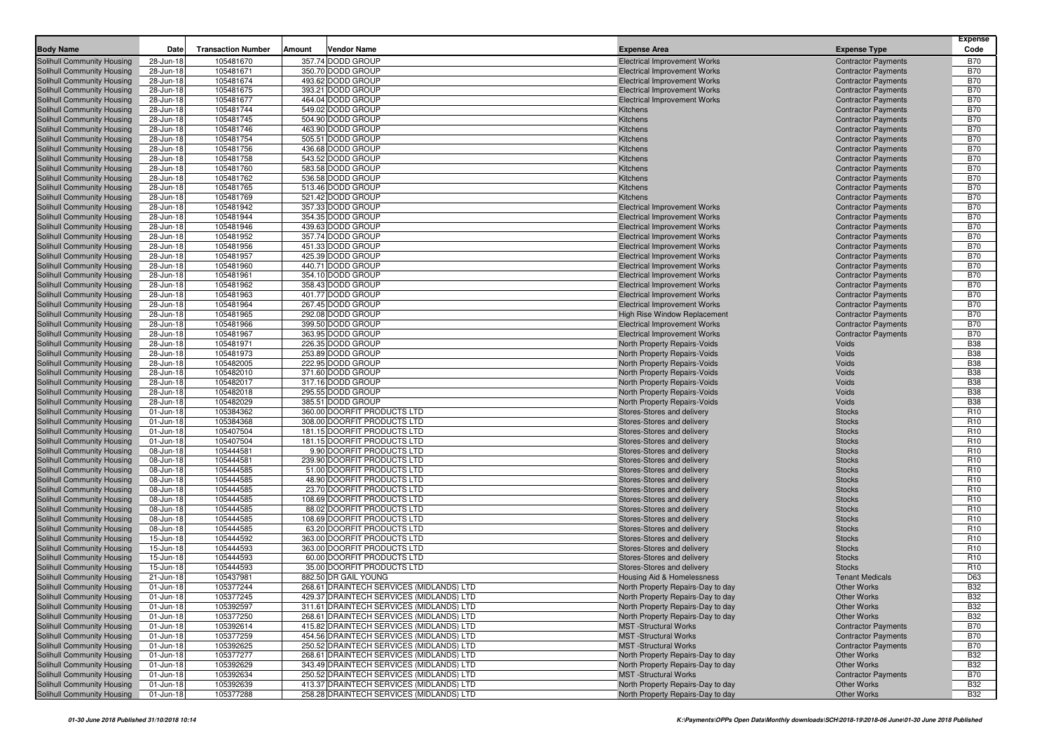| <b>Body Name</b>                                         | Date                   | <b>Transaction Number</b> | <b>Vendor Name</b><br>Amount                               | <b>Expense Area</b>                                                        | <b>Expense Type</b>                                      | <b>Expense</b><br>Code             |
|----------------------------------------------------------|------------------------|---------------------------|------------------------------------------------------------|----------------------------------------------------------------------------|----------------------------------------------------------|------------------------------------|
| <b>Solihull Community Housing</b>                        | 28-Jun-18              | 105481670                 | 357.74 DODD GROUP                                          | <b>Electrical Improvement Works</b>                                        | <b>Contractor Payments</b>                               | <b>B70</b>                         |
| Solihull Community Housing                               | 28-Jun-18              | 105481671                 | 350.70 DODD GROUP                                          | <b>Electrical Improvement Works</b>                                        | <b>Contractor Payments</b>                               | <b>B70</b>                         |
| Solihull Community Housing                               | 28-Jun-18              | 105481674                 | 493.62 DODD GROUP                                          | <b>Electrical Improvement Works</b>                                        | <b>Contractor Payments</b>                               | <b>B70</b>                         |
| Solihull Community Housing                               | 28-Jun-18              | 105481675                 | 393.21 DODD GROUP                                          | <b>Electrical Improvement Works</b>                                        | <b>Contractor Payments</b>                               | <b>B70</b>                         |
| Solihull Community Housing                               | 28-Jun-18              | 105481677                 | 464.04 DODD GROUP                                          | <b>Electrical Improvement Works</b>                                        | <b>Contractor Payments</b>                               | <b>B70</b>                         |
| Solihull Community Housing                               | 28-Jun-18              | 105481744                 | 549.02 DODD GROUP                                          | Kitchens                                                                   | <b>Contractor Payments</b>                               | <b>B70</b>                         |
| Solihull Community Housing                               | 28-Jun-18              | 105481745                 | 504.90 DODD GROUP                                          | Kitchens                                                                   | <b>Contractor Payments</b>                               | <b>B70</b>                         |
| Solihull Community Housing                               | 28-Jun-18              | 105481746                 | 463.90 DODD GROUP                                          | Kitchens                                                                   | <b>Contractor Payments</b>                               | <b>B70</b>                         |
| Solihull Community Housing                               | 28-Jun-18              | 105481754                 | 505.51 DODD GROUP                                          | Kitchens                                                                   | <b>Contractor Payments</b>                               | <b>B70</b>                         |
| Solihull Community Housing                               | 28-Jun-18<br>28-Jun-18 | 105481756<br>105481758    | 436.68 DODD GROUP<br>543.52 DODD GROUP                     | Kitchens<br>Kitchens                                                       | <b>Contractor Payments</b><br><b>Contractor Payments</b> | <b>B70</b><br><b>B70</b>           |
| Solihull Community Housing<br>Solihull Community Housing | 28-Jun-18              | 105481760                 | 583.58 DODD GROUP                                          | Kitchens                                                                   | <b>Contractor Payments</b>                               | <b>B70</b>                         |
| Solihull Community Housing                               | 28-Jun-18              | 105481762                 | 536.58 DODD GROUP                                          | Kitchens                                                                   | <b>Contractor Payments</b>                               | <b>B70</b>                         |
| Solihull Community Housing                               | 28-Jun-18              | 105481765                 | 513.46 DODD GROUP                                          | Kitchens                                                                   | <b>Contractor Payments</b>                               | <b>B70</b>                         |
| Solihull Community Housing                               | 28-Jun-18              | 105481769                 | 521.42 DODD GROUP                                          | Kitchens                                                                   | <b>Contractor Payments</b>                               | <b>B70</b>                         |
| Solihull Community Housing                               | 28-Jun-18              | 105481942                 | 357.33 DODD GROUP                                          | <b>Electrical Improvement Works</b>                                        | <b>Contractor Payments</b>                               | <b>B70</b>                         |
| Solihull Community Housing                               | 28-Jun-18              | 105481944                 | 354.35 DODD GROUP                                          | <b>Electrical Improvement Works</b>                                        | <b>Contractor Payments</b>                               | <b>B70</b>                         |
| Solihull Community Housing                               | 28-Jun-18              | 105481946                 | 439.63 DODD GROUP                                          | <b>Electrical Improvement Works</b>                                        | <b>Contractor Payments</b>                               | <b>B70</b>                         |
| Solihull Community Housing                               | 28-Jun-18              | 105481952                 | 357.74 DODD GROUP                                          | <b>Electrical Improvement Works</b>                                        | <b>Contractor Payments</b>                               | <b>B70</b>                         |
| Solihull Community Housing                               | 28-Jun-18              | 105481956                 | 451.33 DODD GROUP                                          | <b>Electrical Improvement Works</b>                                        | <b>Contractor Payments</b>                               | <b>B70</b>                         |
| Solihull Community Housing                               | 28-Jun-18              | 105481957                 | 425.39 DODD GROUP                                          | <b>Electrical Improvement Works</b>                                        | <b>Contractor Payments</b>                               | <b>B70</b>                         |
| Solihull Community Housing                               | 28-Jun-18              | 105481960                 | 440.71 DODD GROUP                                          | <b>Electrical Improvement Works</b>                                        | <b>Contractor Payments</b>                               | <b>B70</b>                         |
| Solihull Community Housing                               | 28-Jun-18              | 105481961                 | 354.10 DODD GROUP                                          | <b>Electrical Improvement Works</b>                                        | <b>Contractor Payments</b>                               | <b>B70</b>                         |
| Solihull Community Housing                               | 28-Jun-18<br>28-Jun-18 | 105481962<br>105481963    | 358.43 DODD GROUP<br>401.77 DODD GROUP                     | <b>Electrical Improvement Works</b>                                        | <b>Contractor Payments</b><br><b>Contractor Payments</b> | <b>B70</b><br><b>B70</b>           |
| Solihull Community Housing<br>Solihull Community Housing | 28-Jun-18              | 105481964                 | 267.45 DODD GROUP                                          | <b>Electrical Improvement Works</b><br><b>Electrical Improvement Works</b> | <b>Contractor Payments</b>                               | <b>B70</b>                         |
| Solihull Community Housing                               | 28-Jun-18              | 105481965                 | 292.08 DODD GROUP                                          | High Rise Window Replacement                                               | <b>Contractor Payments</b>                               | <b>B70</b>                         |
| Solihull Community Housing                               | 28-Jun-18              | 105481966                 | 399.50 DODD GROUP                                          | <b>Electrical Improvement Works</b>                                        | <b>Contractor Payments</b>                               | <b>B70</b>                         |
| Solihull Community Housing                               | 28-Jun-18              | 105481967                 | 363.95 DODD GROUP                                          | <b>Electrical Improvement Works</b>                                        | <b>Contractor Payments</b>                               | <b>B70</b>                         |
| Solihull Community Housing                               | 28-Jun-18              | 105481971                 | 226.35 DODD GROUP                                          | North Property Repairs-Voids                                               | Voids                                                    | <b>B38</b>                         |
| Solihull Community Housing                               | 28-Jun-18              | 105481973                 | 253.89 DODD GROUP                                          | North Property Repairs-Voids                                               | Voids                                                    | <b>B38</b>                         |
| Solihull Community Housing                               | 28-Jun-18              | 105482005                 | 222.95 DODD GROUP                                          | North Property Repairs-Voids                                               | Voids                                                    | <b>B38</b>                         |
| Solihull Community Housing                               | 28-Jun-18              | 105482010                 | 371.60 DODD GROUP                                          | North Property Repairs-Voids                                               | Voids                                                    | <b>B38</b>                         |
| Solihull Community Housing                               | 28-Jun-18              | 105482017                 | 317.16 DODD GROUP                                          | North Property Repairs-Voids                                               | Voids                                                    | <b>B38</b>                         |
| Solihull Community Housing                               | 28-Jun-18              | 105482018                 | 295.55 DODD GROUP                                          | North Property Repairs-Voids                                               | Voids                                                    | <b>B38</b>                         |
| Solihull Community Housing                               | 28-Jun-18              | 105482029                 | 385.51 DODD GROUP                                          | North Property Repairs-Voids                                               | Voids                                                    | <b>B38</b>                         |
| Solihull Community Housing                               | 01-Jun-18              | 105384362                 | 360.00 DOORFIT PRODUCTS LTD                                | Stores-Stores and delivery                                                 | <b>Stocks</b>                                            | R <sub>10</sub>                    |
| Solihull Community Housing                               | 01-Jun-18              | 105384368<br>105407504    | 308.00 DOORFIT PRODUCTS LTD<br>181.15 DOORFIT PRODUCTS LTD | Stores-Stores and delivery                                                 | <b>Stocks</b>                                            | R <sub>10</sub><br>R <sub>10</sub> |
| Solihull Community Housing<br>Solihull Community Housing | 01-Jun-18<br>01-Jun-18 | 105407504                 | 181.15 DOORFIT PRODUCTS LTD                                | Stores-Stores and delivery<br>Stores-Stores and delivery                   | <b>Stocks</b><br><b>Stocks</b>                           | R <sub>10</sub>                    |
| Solihull Community Housing                               | 08-Jun-18              | 105444581                 | 9.90 DOORFIT PRODUCTS LTD                                  | Stores-Stores and delivery                                                 | <b>Stocks</b>                                            | R <sub>10</sub>                    |
| Solihull Community Housing                               | 08-Jun-18              | 105444581                 | 239.90 DOORFIT PRODUCTS LTD                                | Stores-Stores and delivery                                                 | <b>Stocks</b>                                            | R <sub>10</sub>                    |
| Solihull Community Housing                               | 08-Jun-18              | 105444585                 | 51.00 DOORFIT PRODUCTS LTD                                 | Stores-Stores and delivery                                                 | <b>Stocks</b>                                            | R <sub>10</sub>                    |
| Solihull Community Housing                               | 08-Jun-18              | 105444585                 | 48.90 DOORFIT PRODUCTS LTD                                 | Stores-Stores and delivery                                                 | <b>Stocks</b>                                            | R <sub>10</sub>                    |
| Solihull Community Housing                               | 08-Jun-18              | 105444585                 | 23.70 DOORFIT PRODUCTS LTD                                 | Stores-Stores and delivery                                                 | <b>Stocks</b>                                            | R <sub>10</sub>                    |
| Solihull Community Housing                               | 08-Jun-18              | 105444585                 | 108.69 DOORFIT PRODUCTS LTD                                | Stores-Stores and delivery                                                 | <b>Stocks</b>                                            | R <sub>10</sub>                    |
| Solihull Community Housing                               | 08-Jun-18              | 105444585                 | 88.02 DOORFIT PRODUCTS LTD                                 | Stores-Stores and delivery                                                 | <b>Stocks</b>                                            | R <sub>10</sub>                    |
| Solihull Community Housing                               | 08-Jun-18              | 105444585                 | 108.69 DOORFIT PRODUCTS LTD                                | Stores-Stores and delivery                                                 | <b>Stocks</b>                                            | R <sub>10</sub>                    |
| Solihull Community Housing                               | 08-Jun-18              | 105444585                 | 63.20 DOORFIT PRODUCTS LTD                                 | Stores-Stores and delivery                                                 | <b>Stocks</b>                                            | R <sub>10</sub>                    |
| Solihull Community Housing                               | 15-Jun-18              | 105444592                 | 363.00 DOORFIT PRODUCTS LTD                                | Stores-Stores and delivery                                                 | <b>Stocks</b>                                            | R <sub>10</sub>                    |
| Solihull Community Housing                               | 15-Jun-18              | 105444593                 | 363.00 DOORFIT PRODUCTS LTD                                | Stores-Stores and delivery                                                 | <b>Stocks</b>                                            | R <sub>10</sub>                    |
| Solihull Community Housing                               | 15-Jun-18              | 105444593                 | 60.00 DOORFIT PRODUCTS LTD                                 | Stores-Stores and delivery                                                 | <b>Stocks</b>                                            | R <sub>10</sub>                    |
| Solihull Community Housing                               | 15-Jun-18              | 105444593                 | 35.00 DOORFIT PRODUCTS LTD<br>882.50 DR GAIL YOUNG         | Stores-Stores and delivery                                                 | <b>Stocks</b><br><b>Tenant Medicals</b>                  | R <sub>10</sub><br>D63             |
| Solihull Community Housing<br>Solihull Community Housing | 21-Jun-18<br>01-Jun-18 | 105437981<br>105377244    | 268.61 DRAINTECH SERVICES (MIDLANDS) LTD                   | Housing Aid & Homelessness<br>North Property Repairs-Day to day            | <b>Other Works</b>                                       | <b>B32</b>                         |
| Solihull Community Housing                               | 01-Jun-18              | 105377245                 | 429.37 DRAINTECH SERVICES (MIDLANDS) LTD                   | North Property Repairs-Day to day                                          | Other Works                                              | B32                                |
| Solihull Community Housing                               | 01-Jun-18              | 105392597                 | 311.61 DRAINTECH SERVICES (MIDLANDS) LTD                   | North Property Repairs-Day to day                                          | Other Works                                              | <b>B32</b>                         |
| <b>Solihull Community Housing</b>                        | 01-Jun-18              | 105377250                 | 268.61 DRAINTECH SERVICES (MIDLANDS) LTD                   | North Property Repairs-Day to day                                          | Other Works                                              | <b>B32</b>                         |
| Solihull Community Housing                               | 01-Jun-18              | 105392614                 | 415.82 DRAINTECH SERVICES (MIDLANDS) LTD                   | <b>MST</b> - Structural Works                                              | <b>Contractor Payments</b>                               | <b>B70</b>                         |
| <b>Solihull Community Housing</b>                        | 01-Jun-18              | 105377259                 | 454.56 DRAINTECH SERVICES (MIDLANDS) LTD                   | <b>MST</b> -Structural Works                                               | <b>Contractor Payments</b>                               | <b>B70</b>                         |
| Solihull Community Housing                               | 01-Jun-18              | 105392625                 | 250.52 DRAINTECH SERVICES (MIDLANDS) LTD                   | <b>MST</b> - Structural Works                                              | <b>Contractor Payments</b>                               | <b>B70</b>                         |
| Solihull Community Housing                               | 01-Jun-18              | 105377277                 | 268.61 DRAINTECH SERVICES (MIDLANDS) LTD                   | North Property Repairs-Day to day                                          | <b>Other Works</b>                                       | <b>B32</b>                         |
| Solihull Community Housing                               | 01-Jun-18              | 105392629                 | 343.49 DRAINTECH SERVICES (MIDLANDS) LTD                   | North Property Repairs-Day to day                                          | Other Works                                              | <b>B32</b>                         |
| Solihull Community Housing                               | 01-Jun-18              | 105392634                 | 250.52 DRAINTECH SERVICES (MIDLANDS) LTD                   | <b>MST</b> - Structural Works                                              | <b>Contractor Payments</b>                               | <b>B70</b>                         |
| Solihull Community Housing                               | 01-Jun-18              | 105392639                 | 413.37 DRAINTECH SERVICES (MIDLANDS) LTD                   | North Property Repairs-Day to day                                          | Other Works                                              | <b>B32</b>                         |
| Solihull Community Housing                               | 01-Jun-18              | 105377288                 | 258.28 DRAINTECH SERVICES (MIDLANDS) LTD                   | North Property Repairs-Day to day                                          | Other Works                                              | <b>B32</b>                         |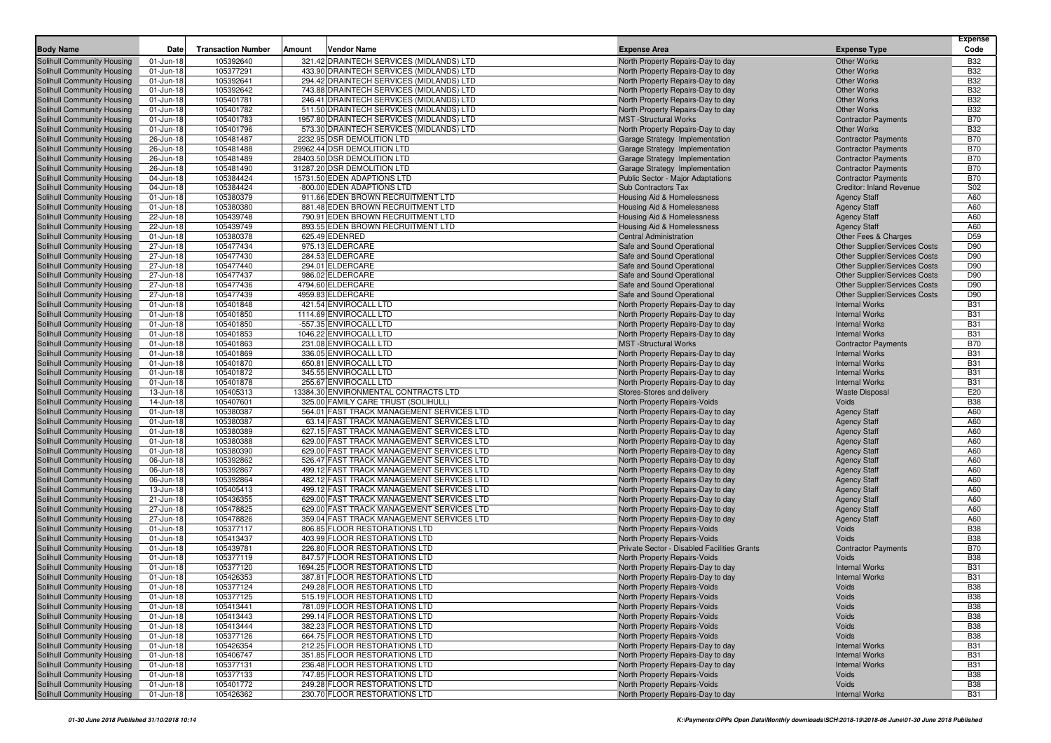| <b>Body Name</b>                                         | Date                   | <b>Transaction Number</b> | Amount<br><b>Vendor Name</b>                                                           | <b>Expense Area</b>                                                    | <b>Expense Type</b>                                                   | Expense<br>Code |
|----------------------------------------------------------|------------------------|---------------------------|----------------------------------------------------------------------------------------|------------------------------------------------------------------------|-----------------------------------------------------------------------|-----------------|
| Solihull Community Housing                               | 01-Jun-18              | 105392640                 | 321.42 DRAINTECH SERVICES (MIDLANDS) LTD                                               | North Property Repairs-Day to day                                      | <b>Other Works</b>                                                    | <b>B32</b>      |
| Solihull Community Housing                               | 01-Jun-18              | 105377291                 | 433.90 DRAINTECH SERVICES (MIDLANDS) LTD                                               | North Property Repairs-Day to day                                      | <b>Other Works</b>                                                    | <b>B32</b>      |
| Solihull Community Housing                               | 01-Jun-18              | 105392641                 | 294.42 DRAINTECH SERVICES (MIDLANDS) LTD                                               | North Property Repairs-Day to day                                      | <b>Other Works</b>                                                    | <b>B32</b>      |
| Solihull Community Housing                               | 01-Jun-18              | 105392642                 | 743.88 DRAINTECH SERVICES (MIDLANDS) LTD                                               | North Property Repairs-Day to day                                      | <b>Other Works</b>                                                    | <b>B32</b>      |
| Solihull Community Housing                               | 01-Jun-18              | 105401781                 | 246.41 DRAINTECH SERVICES (MIDLANDS) LTD                                               | North Property Repairs-Day to day                                      | <b>Other Works</b>                                                    | <b>B32</b>      |
| Solihull Community Housing                               | 01-Jun-18              | 105401782                 | 511.50 DRAINTECH SERVICES (MIDLANDS) LTD                                               | North Property Repairs-Day to day                                      | <b>Other Works</b>                                                    | <b>B32</b>      |
| Solihull Community Housing                               | 01-Jun-18              | 105401783                 | 1957.80 DRAINTECH SERVICES (MIDLANDS) LTD                                              | <b>MST</b> -Structural Works                                           | <b>Contractor Payments</b>                                            | <b>B70</b>      |
| Solihull Community Housing                               | 01-Jun-18              | 105401796                 | 573.30 DRAINTECH SERVICES (MIDLANDS) LTD                                               | North Property Repairs-Day to day                                      | Other Works                                                           | <b>B32</b>      |
| Solihull Community Housing                               | 26-Jun-18              | 105481487                 | 2232.95 DSR DEMOLITION LTD                                                             | Garage Strategy Implementation                                         | <b>Contractor Payments</b>                                            | <b>B70</b>      |
| Solihull Community Housing                               | 26-Jun-18              | 105481488                 | 29962.44 DSR DEMOLITION LTD                                                            | Garage Strategy Implementation                                         | <b>Contractor Payments</b>                                            | <b>B70</b>      |
| Solihull Community Housing                               | 26-Jun-18              | 105481489                 | 28403.50 DSR DEMOLITION LTD                                                            | Garage Strategy Implementation                                         | <b>Contractor Payments</b>                                            | <b>B70</b>      |
| Solihull Community Housing                               | 26-Jun-18              | 105481490                 | 31287.20 DSR DEMOLITION LTD                                                            | Garage Strategy Implementation                                         | <b>Contractor Payments</b>                                            | <b>B70</b>      |
| Solihull Community Housing                               | 04-Jun-18              | 105384424                 | 15731.50 EDEN ADAPTIONS LTD                                                            | <b>Public Sector - Major Adaptations</b>                               | <b>Contractor Payments</b>                                            | <b>B70</b>      |
| Solihull Community Housing                               | 04-Jun-18              | 105384424                 | -800.00 EDEN ADAPTIONS LTD                                                             | Sub Contractors Tax                                                    | Creditor: Inland Revenue                                              | S02             |
| Solihull Community Housing                               | 01-Jun-18              | 105380379                 | 911.66 EDEN BROWN RECRUITMENT LTD                                                      | Housing Aid & Homelessness                                             | <b>Agency Staff</b>                                                   | A60             |
| Solihull Community Housing                               | 01-Jun-18              | 105380380                 | 881.48 EDEN BROWN RECRUITMENT LTD                                                      | Housing Aid & Homelessness                                             | <b>Agency Staff</b>                                                   | A60             |
| Solihull Community Housing                               | 22-Jun-18              | 105439748                 | 790.91 EDEN BROWN RECRUITMENT LTD                                                      | Housing Aid & Homelessness                                             | <b>Agency Staff</b>                                                   | A60             |
| Solihull Community Housing                               | 22-Jun-18              | 105439749                 | 893.55 EDEN BROWN RECRUITMENT LTD                                                      | Housing Aid & Homelessness                                             | <b>Agency Staff</b>                                                   | A60             |
| Solihull Community Housing                               | 01-Jun-18              | 105380378                 | 625.49 EDENRED                                                                         | <b>Central Administration</b>                                          | Other Fees & Charges                                                  | D <sub>59</sub> |
| Solihull Community Housing                               | 27-Jun-18              | 105477434                 | 975.13 ELDERCARE                                                                       | Safe and Sound Operational                                             | <b>Other Supplier/Services Costs</b>                                  | D90             |
| Solihull Community Housing                               | 27-Jun-18              | 105477430                 | 284.53 ELDERCARE                                                                       | Safe and Sound Operational                                             | <b>Other Supplier/Services Costs</b>                                  | D90             |
| Solihull Community Housing                               | 27-Jun-18<br>27-Jun-18 | 105477440<br>105477437    | 294.01 ELDERCARE<br>986.02 ELDERCARE                                                   | Safe and Sound Operational<br>Safe and Sound Operational               | <b>Other Supplier/Services Costs</b>                                  | D90<br>D90      |
| Solihull Community Housing<br>Solihull Community Housing | 27-Jun-18              | 105477436                 | 4794.60 ELDERCARE                                                                      | Safe and Sound Operational                                             | <b>Other Supplier/Services Costs</b><br>Other Supplier/Services Costs | D90             |
| Solihull Community Housing                               | 27-Jun-18              | 105477439                 | 4959.83 ELDERCARE                                                                      | Safe and Sound Operational                                             | Other Supplier/Services Costs                                         | D90             |
| Solihull Community Housing                               | 01-Jun-18              | 105401848                 | 421.54 ENVIROCALL LTD                                                                  | North Property Repairs-Day to day                                      | <b>Internal Works</b>                                                 | <b>B31</b>      |
| Solihull Community Housing                               | 01-Jun-18              | 105401850                 | 1114.69 ENVIROCALL LTD                                                                 | North Property Repairs-Day to day                                      | <b>Internal Works</b>                                                 | <b>B31</b>      |
| Solihull Community Housing                               | 01-Jun-18              | 105401850                 | -557.35 ENVIROCALL LTD                                                                 | North Property Repairs-Day to day                                      | <b>Internal Works</b>                                                 | <b>B31</b>      |
| Solihull Community Housing                               | 01-Jun-18              | 105401853                 | 1046.22 ENVIROCALL LTD                                                                 | North Property Repairs-Day to day                                      | <b>Internal Works</b>                                                 | <b>B31</b>      |
| Solihull Community Housing                               | 01-Jun-18              | 105401863                 | 231.08 ENVIROCALL LTD                                                                  | <b>MST</b> - Structural Works                                          | <b>Contractor Payments</b>                                            | <b>B70</b>      |
| Solihull Community Housing                               | 01-Jun-18              | 105401869                 | 336.05 ENVIROCALL LTD                                                                  | North Property Repairs-Day to day                                      | <b>Internal Works</b>                                                 | <b>B31</b>      |
| Solihull Community Housing                               | 01-Jun-18              | 105401870                 | 650.81 ENVIROCALL LTD                                                                  | North Property Repairs-Day to day                                      | <b>Internal Works</b>                                                 | <b>B31</b>      |
| Solihull Community Housing                               | 01-Jun-18              | 105401872                 | 345.55 ENVIROCALL LTD                                                                  | North Property Repairs-Day to day                                      | <b>Internal Works</b>                                                 | <b>B31</b>      |
| Solihull Community Housing                               | 01-Jun-18              | 105401878                 | 255.67 ENVIROCALL LTD                                                                  | North Property Repairs-Day to day                                      | <b>Internal Works</b>                                                 | <b>B31</b>      |
| Solihull Community Housing                               | 13-Jun-18              | 105405313                 | 13384.30 ENVIRONMENTAL CONTRACTS LTD                                                   | Stores-Stores and delivery                                             | <b>Waste Disposal</b>                                                 | E20             |
| Solihull Community Housing                               | 14-Jun-18              | 105407601                 | 325.00 FAMILY CARE TRUST (SOLIHULL)                                                    | North Property Repairs-Voids                                           | Voids                                                                 | <b>B38</b>      |
| Solihull Community Housing                               | 01-Jun-18              | 105380387                 | 564.01 FAST TRACK MANAGEMENT SERVICES LTD                                              | North Property Repairs-Day to day                                      | <b>Agency Staff</b>                                                   | A60             |
| Solihull Community Housing                               | 01-Jun-18              | 105380387                 | 63.14 FAST TRACK MANAGEMENT SERVICES LTD                                               | North Property Repairs-Day to day                                      | <b>Agency Staff</b>                                                   | A60             |
| Solihull Community Housing                               | 01-Jun-18              | 105380389                 | 627.15 FAST TRACK MANAGEMENT SERVICES LTD                                              | North Property Repairs-Day to day                                      | <b>Agency Staff</b>                                                   | A60             |
| Solihull Community Housing                               | 01-Jun-18              | 105380388                 | 629.00 FAST TRACK MANAGEMENT SERVICES LTD                                              | North Property Repairs-Day to day                                      | <b>Agency Staff</b>                                                   | A60             |
| Solihull Community Housing                               | 01-Jun-18              | 105380390                 | 629.00 FAST TRACK MANAGEMENT SERVICES LTD                                              | North Property Repairs-Day to day                                      | <b>Agency Staff</b>                                                   | A60             |
| Solihull Community Housing                               | 06-Jun-18              | 105392862                 | 526.47 FAST TRACK MANAGEMENT SERVICES LTD                                              | North Property Repairs-Day to day                                      | <b>Agency Staff</b>                                                   | A60             |
| Solihull Community Housing                               | 06-Jun-18              | 105392867                 | 499.12 FAST TRACK MANAGEMENT SERVICES LTD                                              | North Property Repairs-Day to day                                      | <b>Agency Staff</b>                                                   | A60             |
| Solihull Community Housing                               | 06-Jun-18              | 105392864                 | 482.12 FAST TRACK MANAGEMENT SERVICES LTD                                              | North Property Repairs-Day to day                                      | <b>Agency Staff</b>                                                   | A60             |
| Solihull Community Housing                               | 13-Jun-18              | 105405413<br>105436355    | 499.12 FAST TRACK MANAGEMENT SERVICES LTD<br>629.00 FAST TRACK MANAGEMENT SERVICES LTD | North Property Repairs-Day to day                                      | <b>Agency Staff</b>                                                   | A60<br>A60      |
| Solihull Community Housing<br>Solihull Community Housing | 21-Jun-18<br>27-Jun-18 | 105478825                 | 629.00 FAST TRACK MANAGEMENT SERVICES LTD                                              | North Property Repairs-Day to day<br>North Property Repairs-Day to day | <b>Agency Staff</b><br><b>Agency Staff</b>                            | A60             |
| Solihull Community Housing                               | 27-Jun-18              | 105478826                 | 359.04 FAST TRACK MANAGEMENT SERVICES LTD                                              | North Property Repairs-Day to day                                      | <b>Agency Staff</b>                                                   | A60             |
| Solihull Community Housing                               | 01-Jun-18              | 105377117                 | 806.85 FLOOR RESTORATIONS LTD                                                          | North Property Repairs-Voids                                           | Voids                                                                 | <b>B38</b>      |
| Solihull Community Housing                               | 01-Jun-18              | 105413437                 | 403.99 FLOOR RESTORATIONS LTD                                                          | North Property Repairs-Voids                                           | Voids                                                                 | <b>B38</b>      |
| Solihull Community Housing                               | 01-Jun-18              | 105439781                 | 226.80 FLOOR RESTORATIONS LTD                                                          | Private Sector - Disabled Facilities Grants                            | <b>Contractor Payments</b>                                            | <b>B70</b>      |
| Solihull Community Housing                               | 01-Jun-18              | 105377119                 | 847.57 FLOOR RESTORATIONS LTD                                                          | North Property Repairs-Voids                                           | Voids                                                                 | <b>B38</b>      |
| Solihull Community Housing                               | 01-Jun-18              | 105377120                 | 1694.25 FLOOR RESTORATIONS LTD                                                         | North Property Repairs-Day to day                                      | <b>Internal Works</b>                                                 | <b>B31</b>      |
| Solihull Community Housing                               | 01-Jun-18              | 105426353                 | 387.81 FLOOR RESTORATIONS LTD                                                          | North Property Repairs-Day to day                                      | <b>Internal Works</b>                                                 | <b>B31</b>      |
| Solihull Community Housing                               | 01-Jun-18              | 105377124                 | 249.28 FLOOR RESTORATIONS LTD                                                          | North Property Repairs-Voids                                           | Voids                                                                 | <b>B38</b>      |
| Solihull Community Housing                               | 01-Jun-18              | 105377125                 | 515.19 FLOOR RESTORATIONS LTD                                                          | North Property Repairs-Voids                                           | Voids                                                                 | B38             |
| Solihull Community Housing                               | 01-Jun-18              | 105413441                 | 781.09 FLOOR RESTORATIONS LTD                                                          | North Property Repairs-Voids                                           | Voids                                                                 | <b>B38</b>      |
| Solihull Community Housing                               | 01-Jun-18              | 105413443                 | 299.14 FLOOR RESTORATIONS LTD                                                          | North Property Repairs-Voids                                           | Voids                                                                 | <b>B38</b>      |
| Solihull Community Housing                               | 01-Jun-18              | 105413444                 | 382.23 FLOOR RESTORATIONS LTD                                                          | North Property Repairs-Voids                                           | Voids                                                                 | <b>B38</b>      |
| Solihull Community Housing                               | 01-Jun-18              | 105377126                 | 664.75 FLOOR RESTORATIONS LTD                                                          | North Property Repairs-Voids                                           | Voids                                                                 | <b>B38</b>      |
| Solihull Community Housing                               | 01-Jun-18              | 105426354                 | 212.25 FLOOR RESTORATIONS LTD                                                          | North Property Repairs-Day to day                                      | <b>Internal Works</b>                                                 | <b>B31</b>      |
| Solihull Community Housing                               | 01-Jun-18              | 105406747                 | 351.85 FLOOR RESTORATIONS LTD                                                          | North Property Repairs-Day to day                                      | <b>Internal Works</b>                                                 | <b>B31</b>      |
| Solihull Community Housing                               | 01-Jun-18              | 105377131                 | 236.48 FLOOR RESTORATIONS LTD                                                          | North Property Repairs-Day to day                                      | <b>Internal Works</b>                                                 | <b>B31</b>      |
| Solihull Community Housing                               | 01-Jun-18              | 105377133                 | 747.85 FLOOR RESTORATIONS LTD                                                          | North Property Repairs-Voids                                           | Voids                                                                 | <b>B38</b>      |
| Solihull Community Housing                               | 01-Jun-18              | 105401772                 | 249.28 FLOOR RESTORATIONS LTD                                                          | <b>North Property Repairs-Voids</b>                                    | Voids                                                                 | <b>B38</b>      |
| Solihull Community Housing                               | $01$ -Jun-18           | 105426362                 | 230.70 FLOOR RESTORATIONS LTD                                                          | North Property Repairs-Day to day                                      | <b>Internal Works</b>                                                 | <b>B31</b>      |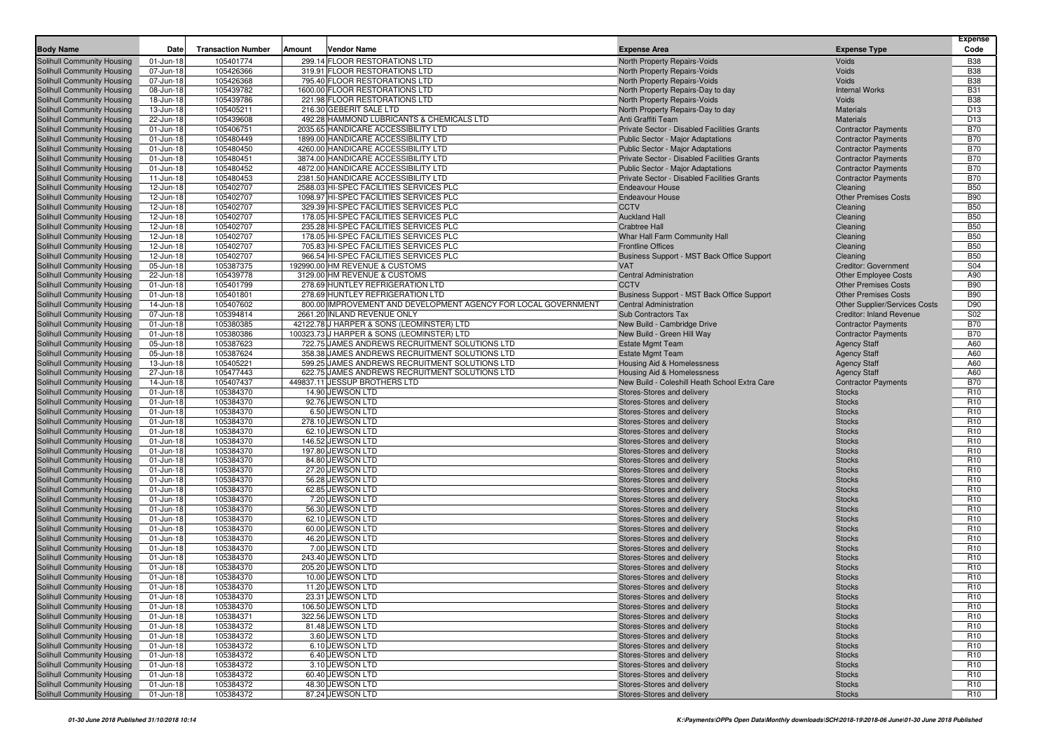| <b>Body Name</b>                                         | Date                   | <b>Transaction Number</b> | Amount<br><b>Vendor Name</b>                                                     | <b>Expense Area</b>                                       | <b>Expense Type</b>                  | Expense<br>Code                    |
|----------------------------------------------------------|------------------------|---------------------------|----------------------------------------------------------------------------------|-----------------------------------------------------------|--------------------------------------|------------------------------------|
| Solihull Community Housing                               | 01-Jun-18              | 105401774                 | 299.14 FLOOR RESTORATIONS LTD                                                    | North Property Repairs-Voids                              | <b>Voids</b>                         | <b>B38</b>                         |
| Solihull Community Housing                               | 07-Jun-18              | 105426366                 | 319.91 FLOOR RESTORATIONS LTD                                                    | North Property Repairs-Voids                              | Voids                                | <b>B38</b>                         |
| Solihull Community Housing                               | 07-Jun-18              | 105426368                 | 795.40 FLOOR RESTORATIONS LTD                                                    | North Property Repairs-Voids                              | Voids                                | <b>B38</b>                         |
| Solihull Community Housing                               | 08-Jun-18              | 105439782                 | 1600.00 FLOOR RESTORATIONS LTD                                                   | North Property Repairs-Day to day                         | <b>Internal Works</b>                | <b>B31</b>                         |
| Solihull Community Housing                               | 18-Jun-18              | 105439786                 | 221.98 FLOOR RESTORATIONS LTD                                                    | <b>North Property Repairs-Voids</b>                       | Voids                                | <b>B38</b>                         |
| Solihull Community Housing                               | 13-Jun-18              | 105405211                 | 216.30 GEBERIT SALE LTD                                                          | North Property Repairs-Day to day                         | <b>Materials</b>                     | D <sub>13</sub>                    |
| Solihull Community Housing                               | 22-Jun-18              | 105439608                 | 492.28 HAMMOND LUBRICANTS & CHEMICALS LTD                                        | Anti Graffiti Team                                        | <b>Materials</b>                     | D <sub>13</sub>                    |
| Solihull Community Housing                               | 01-Jun-18              | 105406751                 | 2035.65 HANDICARE ACCESSIBILITY LTD                                              | Private Sector - Disabled Facilities Grants               | <b>Contractor Payments</b>           | <b>B70</b>                         |
| Solihull Community Housing                               | 01-Jun-18              | 105480449                 | 1899.00 HANDICARE ACCESSIBILITY LTD                                              | Public Sector - Major Adaptations                         | <b>Contractor Payments</b>           | <b>B70</b>                         |
| Solihull Community Housing                               | 01-Jun-18              | 105480450                 | 4260.00 HANDICARE ACCESSIBILITY LTD                                              | Public Sector - Major Adaptations                         | <b>Contractor Payments</b>           | <b>B70</b>                         |
| Solihull Community Housing                               | 01-Jun-18              | 105480451                 | 3874.00 HANDICARE ACCESSIBILITY LTD                                              | Private Sector - Disabled Facilities Grants               | <b>Contractor Payments</b>           | <b>B70</b>                         |
| Solihull Community Housing                               | 01-Jun-18              | 105480452                 | 4872.00 HANDICARE ACCESSIBILITY LTD                                              | Public Sector - Major Adaptations                         | <b>Contractor Payments</b>           | <b>B70</b>                         |
| Solihull Community Housing                               | 11-Jun-18              | 105480453                 | 2381.50 HANDICARE ACCESSIBILITY LTD                                              | Private Sector - Disabled Facilities Grants               | <b>Contractor Payments</b>           | <b>B70</b>                         |
| Solihull Community Housing                               | 12-Jun-18              | 105402707                 | 2588.03 HI-SPEC FACILITIES SERVICES PLC                                          | <b>Endeavour House</b>                                    | Cleaning                             | <b>B50</b>                         |
| Solihull Community Housing                               | 12-Jun-18              | 105402707                 | 1098.97 HI-SPEC FACILITIES SERVICES PLC                                          | <b>Endeavour House</b>                                    | <b>Other Premises Costs</b>          | <b>B90</b>                         |
| Solihull Community Housing                               | 12-Jun-18              | 105402707                 | 329.39 HI-SPEC FACILITIES SERVICES PLC                                           | <b>CCTV</b>                                               | Cleaning                             | <b>B50</b>                         |
| Solihull Community Housing                               | 12-Jun-18              | 105402707                 | 178.05 HI-SPEC FACILITIES SERVICES PLC                                           | <b>Auckland Hall</b>                                      | Cleaning                             | <b>B50</b>                         |
| Solihull Community Housing                               | 12-Jun-18              | 105402707<br>105402707    | 235.28 HI-SPEC FACILITIES SERVICES PLC<br>178.05 HI-SPEC FACILITIES SERVICES PLC | <b>Crabtree Hall</b>                                      | Cleaning                             | <b>B50</b><br><b>B50</b>           |
| Solihull Community Housing<br>Solihull Community Housing | 12-Jun-18<br>12-Jun-18 | 105402707                 | 705.83 HI-SPEC FACILITIES SERVICES PLC                                           | Whar Hall Farm Community Hall<br><b>Frontline Offices</b> | Cleaning<br>Cleaning                 | <b>B50</b>                         |
| Solihull Community Housing                               | 12-Jun-18              | 105402707                 | 966.54 HI-SPEC FACILITIES SERVICES PLC                                           | Business Support - MST Back Office Support                | Cleaning                             | <b>B50</b>                         |
| Solihull Community Housing                               | 05-Jun-18              | 105387375                 | 192990.00 HM REVENUE & CUSTOMS                                                   | <b>VAT</b>                                                | Creditor: Government                 | S04                                |
| Solihull Community Housing                               | 22-Jun-18              | 105439778                 | 3129.00 HM REVENUE & CUSTOMS                                                     | <b>Central Administration</b>                             | <b>Other Employee Costs</b>          | A90                                |
| Solihull Community Housing                               | 01-Jun-18              | 105401799                 | 278.69 HUNTLEY REFRIGERATION LTD                                                 | <b>CCTV</b>                                               | <b>Other Premises Costs</b>          | <b>B90</b>                         |
| Solihull Community Housing                               | 01-Jun-18              | 105401801                 | 278.69 HUNTLEY REFRIGERATION LTD                                                 | Business Support - MST Back Office Support                | <b>Other Premises Costs</b>          | <b>B90</b>                         |
| Solihull Community Housing                               | 14-Jun-18              | 105407602                 | 800.00 IMPROVEMENT AND DEVELOPMENT AGENCY FOR LOCAL GOVERNMENT                   | <b>Central Administration</b>                             | <b>Other Supplier/Services Costs</b> | D90                                |
| Solihull Community Housing                               | 07-Jun-18              | 105394814                 | 2661.20 INLAND REVENUE ONLY                                                      | Sub Contractors Tax                                       | <b>Creditor: Inland Revenue</b>      | S <sub>02</sub>                    |
| Solihull Community Housing                               | 01-Jun-18              | 105380385                 | 42122.78 J HARPER & SONS (LEOMINSTER) LTD                                        | New Build - Cambridge Drive                               | <b>Contractor Payments</b>           | <b>B70</b>                         |
| Solihull Community Housing                               | 01-Jun-18              | 105380386                 | 100323.73 J HARPER & SONS (LEOMINSTER) LTD                                       | New Build - Green Hill Way                                | <b>Contractor Payments</b>           | <b>B70</b>                         |
| Solihull Community Housing                               | 05-Jun-18              | 105387623                 | 722.75 JAMES ANDREWS RECRUITMENT SOLUTIONS LTD                                   | <b>Estate Mgmt Team</b>                                   | <b>Agency Staff</b>                  | A60                                |
| Solihull Community Housing                               | 05-Jun-18              | 105387624                 | 358.38 JAMES ANDREWS RECRUITMENT SOLUTIONS LTD                                   | <b>Estate Mgmt Team</b>                                   | <b>Agency Staff</b>                  | A60                                |
| Solihull Community Housing                               | 13-Jun-18              | 105405221                 | 599.25 JAMES ANDREWS RECRUITMENT SOLUTIONS LTD                                   | <b>Housing Aid &amp; Homelessness</b>                     | <b>Agency Staff</b>                  | A60                                |
| Solihull Community Housing                               | 27-Jun-18              | 105477443                 | 622.75 JAMES ANDREWS RECRUITMENT SOLUTIONS LTD                                   | <b>Housing Aid &amp; Homelessness</b>                     | <b>Agency Staff</b>                  | A60                                |
| Solihull Community Housing                               | 14-Jun-18              | 105407437                 | 449837.11 JESSUP BROTHERS LTD                                                    | New Build - Coleshill Heath School Extra Care             | <b>Contractor Payments</b>           | <b>B70</b>                         |
| Solihull Community Housing                               | 01-Jun-18              | 105384370                 | 14.90 JEWSON LTD                                                                 | Stores-Stores and delivery                                | <b>Stocks</b>                        | R <sub>10</sub>                    |
| Solihull Community Housing                               | 01-Jun-18              | 105384370                 | 92.76 JEWSON LTD                                                                 | Stores-Stores and delivery                                | <b>Stocks</b>                        | R <sub>10</sub>                    |
| Solihull Community Housing                               | 01-Jun-18              | 105384370                 | 6.50 JEWSON LTD                                                                  | Stores-Stores and delivery                                | <b>Stocks</b>                        | R <sub>10</sub>                    |
| Solihull Community Housing                               | 01-Jun-18              | 105384370                 | 278.10 JEWSON LTD                                                                | Stores-Stores and delivery                                | <b>Stocks</b>                        | R <sub>10</sub>                    |
| Solihull Community Housing                               | 01-Jun-18              | 105384370                 | 62.10 JEWSON LTD<br>146.52 JEWSON LTD                                            | Stores-Stores and delivery                                | <b>Stocks</b>                        | R <sub>10</sub><br>R <sub>10</sub> |
| Solihull Community Housing<br>Solihull Community Housing | 01-Jun-18<br>01-Jun-18 | 105384370<br>105384370    | 197.80 JEWSON LTD                                                                | Stores-Stores and delivery<br>Stores-Stores and delivery  | <b>Stocks</b><br><b>Stocks</b>       | R <sub>10</sub>                    |
| Solihull Community Housing                               | 01-Jun-18              | 105384370                 | 84.80 JEWSON LTD                                                                 | Stores-Stores and delivery                                | <b>Stocks</b>                        | R <sub>10</sub>                    |
| Solihull Community Housing                               | 01-Jun-18              | 105384370                 | 27.20 JEWSON LTD                                                                 | Stores-Stores and delivery                                | <b>Stocks</b>                        | R <sub>10</sub>                    |
| Solihull Community Housing                               | 01-Jun-18              | 105384370                 | 56.28 JEWSON LTD                                                                 | Stores-Stores and delivery                                | <b>Stocks</b>                        | R <sub>10</sub>                    |
| Solihull Community Housing                               | 01-Jun-18              | 105384370                 | 62.85 JEWSON LTD                                                                 | Stores-Stores and delivery                                | <b>Stocks</b>                        | R <sub>10</sub>                    |
| Solihull Community Housing                               | 01-Jun-18              | 105384370                 | 7.20 JEWSON LTD                                                                  | Stores-Stores and delivery                                | <b>Stocks</b>                        | R <sub>10</sub>                    |
| Solihull Community Housing                               | 01-Jun-18              | 105384370                 | 56.30 JEWSON LTD                                                                 | Stores-Stores and delivery                                | <b>Stocks</b>                        | R <sub>10</sub>                    |
| Solihull Community Housing                               | 01-Jun-18              | 105384370                 | 62.10 JEWSON LTD                                                                 | Stores-Stores and delivery                                | <b>Stocks</b>                        | R <sub>10</sub>                    |
| Solihull Community Housing                               | 01-Jun-18              | 105384370                 | 60.00 JEWSON LTD                                                                 | Stores-Stores and delivery                                | <b>Stocks</b>                        | R <sub>10</sub>                    |
| Solihull Community Housing                               | 01-Jun-18              | 105384370                 | 46.20 JEWSON LTD                                                                 | Stores-Stores and delivery                                | <b>Stocks</b>                        | R <sub>10</sub>                    |
| Solihull Community Housing                               | 01-Jun-18              | 105384370                 | 7.00 JEWSON LTD                                                                  | Stores-Stores and delivery                                | <b>Stocks</b>                        | R <sub>10</sub>                    |
| Solihull Community Housing                               | 01-Jun-18              | 105384370                 | 243.40 JEWSON LTD                                                                | Stores-Stores and delivery                                | <b>Stocks</b>                        | R <sub>10</sub>                    |
| Solihull Community Housing                               | 01-Jun-18              | 105384370                 | 205.20 JEWSON LTD                                                                | Stores-Stores and delivery                                | <b>Stocks</b>                        | R <sub>10</sub>                    |
| <b>Solihull Community Housing</b>                        | 01-Jun-18              | 105384370                 | 10.00 JEWSON LTD                                                                 | Stores-Stores and delivery                                | <b>Stocks</b>                        | R <sub>10</sub>                    |
| Solihull Community Housing                               | 01-Jun-18              | 105384370                 | 11.20 JEWSON LTD                                                                 | Stores-Stores and delivery                                | <b>Stocks</b>                        | R <sub>10</sub>                    |
| Solihull Community Housing                               | 01-Jun-18              | 105384370                 | 23.31 JEWSON LTD                                                                 | Stores-Stores and delivery                                | <b>Stocks</b>                        | R <sub>10</sub>                    |
| Solihull Community Housing                               | 01-Jun-18              | 105384370                 | 106.50 JEWSON LTD                                                                | Stores-Stores and delivery                                | <b>Stocks</b>                        | R <sub>10</sub>                    |
| Solihull Community Housing                               | 01-Jun-18              | 105384371                 | 322.56 JEWSON LTD                                                                | Stores-Stores and delivery                                | <b>Stocks</b>                        | R <sub>10</sub>                    |
| Solihull Community Housing                               | 01-Jun-18              | 105384372                 | 81.48 JEWSON LTD                                                                 | Stores-Stores and delivery                                | <b>Stocks</b>                        | R <sub>10</sub>                    |
| Solihull Community Housing                               | 01-Jun-18              | 105384372                 | 3.60 JEWSON LTD                                                                  | Stores-Stores and delivery                                | <b>Stocks</b>                        | R <sub>10</sub>                    |
| Solihull Community Housing                               | 01-Jun-18              | 105384372                 | 6.10 JEWSON LTD                                                                  | Stores-Stores and delivery                                | <b>Stocks</b>                        | R <sub>10</sub>                    |
| Solihull Community Housing<br>Solihull Community Housing | 01-Jun-18              | 105384372                 | 6.40 JEWSON LTD                                                                  | Stores-Stores and delivery                                | <b>Stocks</b>                        | R <sub>10</sub>                    |
| Solihull Community Housing                               | 01-Jun-18<br>01-Jun-18 | 105384372<br>105384372    | 3.10 JEWSON LTD<br>60.40 JEWSON LTD                                              | Stores-Stores and delivery<br>Stores-Stores and delivery  | <b>Stocks</b><br><b>Stocks</b>       | R <sub>10</sub><br>R <sub>10</sub> |
| Solihull Community Housing                               | 01-Jun-18              | 105384372                 | 48.30 JEWSON LTD                                                                 | Stores-Stores and delivery                                | <b>Stocks</b>                        | R <sub>10</sub>                    |
| Solihull Community Housing                               | 01-Jun-18              | 105384372                 | 87.24 JEWSON LTD                                                                 | Stores-Stores and delivery                                | <b>Stocks</b>                        | R <sub>10</sub>                    |
|                                                          |                        |                           |                                                                                  |                                                           |                                      |                                    |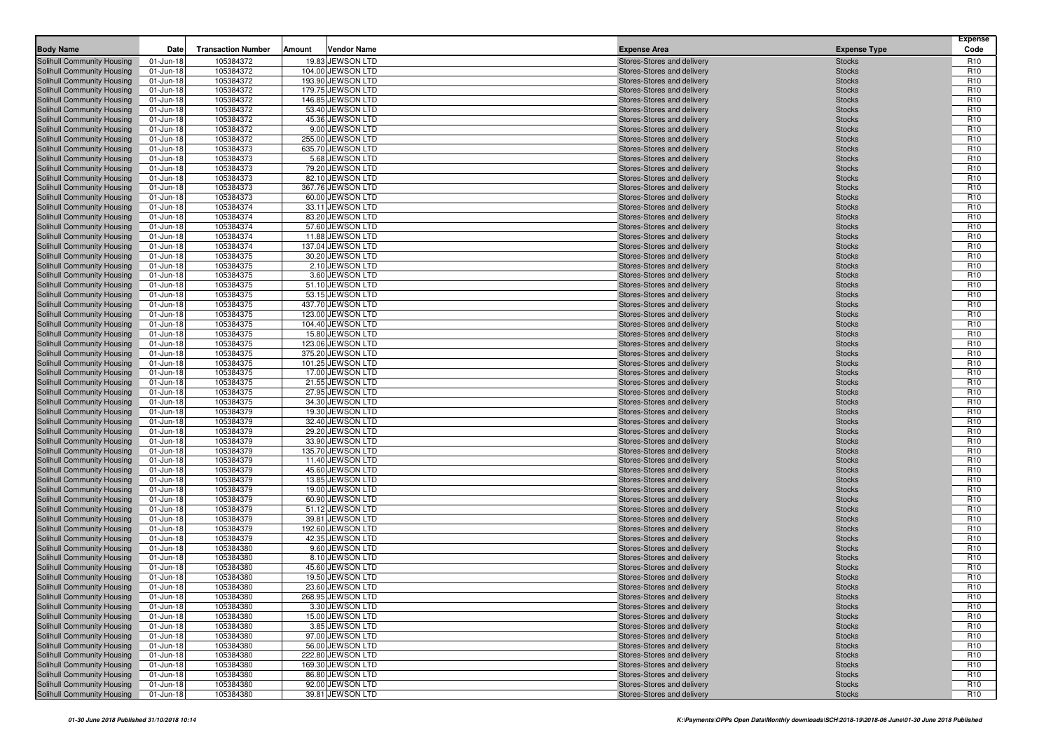| <b>Body Name</b>                                         | Date                   | <b>Transaction Number</b> | Amount | <b>Vendor Name</b>                   | <b>Expense Area</b>                                      | <b>Expense Type</b>            | <b>Expense</b><br>Code             |
|----------------------------------------------------------|------------------------|---------------------------|--------|--------------------------------------|----------------------------------------------------------|--------------------------------|------------------------------------|
| <b>Solihull Community Housing</b>                        | 01-Jun-18              | 105384372                 |        | 19.83 JEWSON LTD                     | Stores-Stores and delivery                               | <b>Stocks</b>                  | R <sub>10</sub>                    |
| Solihull Community Housing                               | 01-Jun-18              | 105384372                 |        | 104.00 JEWSON LTD                    | Stores-Stores and delivery                               | <b>Stocks</b>                  | R <sub>10</sub>                    |
| Solihull Community Housing                               | 01-Jun-18              | 105384372                 |        | 193.90 JEWSON LTD                    | Stores-Stores and delivery                               | <b>Stocks</b>                  | R <sub>10</sub>                    |
| Solihull Community Housing                               | 01-Jun-18              | 105384372                 |        | 179.75 JEWSON LTD                    | Stores-Stores and delivery                               | <b>Stocks</b>                  | R <sub>10</sub>                    |
| Solihull Community Housing                               | 01-Jun-18              | 105384372                 |        | 146.85 JEWSON LTD                    | Stores-Stores and delivery                               | <b>Stocks</b>                  | R <sub>10</sub>                    |
| Solihull Community Housing                               | 01-Jun-18              | 105384372                 |        | 53.40 JEWSON LTD                     | Stores-Stores and delivery                               | <b>Stocks</b>                  | R <sub>10</sub>                    |
| Solihull Community Housing                               | 01-Jun-18              | 105384372                 |        | 45.36 JEWSON LTD                     | Stores-Stores and delivery                               | <b>Stocks</b>                  | R <sub>10</sub>                    |
| Solihull Community Housing                               | 01-Jun-18              | 105384372                 |        | 9.00 JEWSON LTD                      | Stores-Stores and delivery                               | <b>Stocks</b>                  | R <sub>10</sub>                    |
| Solihull Community Housing                               | 01-Jun-18              | 105384372                 |        | 255.00 JEWSON LTD                    | Stores-Stores and delivery                               | <b>Stocks</b>                  | R <sub>10</sub><br>R <sub>10</sub> |
| Solihull Community Housing<br>Solihull Community Housing | 01-Jun-18<br>01-Jun-18 | 105384373<br>105384373    |        | 635.70 JEWSON LTD<br>5.68 JEWSON LTD | Stores-Stores and delivery                               | <b>Stocks</b><br><b>Stocks</b> | R <sub>10</sub>                    |
| Solihull Community Housing                               | 01-Jun-18              | 105384373                 |        | 79.20 JEWSON LTD                     | Stores-Stores and delivery<br>Stores-Stores and delivery | <b>Stocks</b>                  | R <sub>10</sub>                    |
| Solihull Community Housing                               | 01-Jun-18              | 105384373                 |        | 82.10 JEWSON LTD                     | Stores-Stores and delivery                               | <b>Stocks</b>                  | R <sub>10</sub>                    |
| Solihull Community Housing                               | 01-Jun-18              | 105384373                 |        | 367.76 JEWSON LTD                    | Stores-Stores and delivery                               | <b>Stocks</b>                  | R <sub>10</sub>                    |
| Solihull Community Housing                               | 01-Jun-18              | 105384373                 |        | 60.00 JEWSON LTD                     | Stores-Stores and delivery                               | <b>Stocks</b>                  | R <sub>10</sub>                    |
| Solihull Community Housing                               | 01-Jun-18              | 105384374                 |        | 33.11 JEWSON LTD                     | Stores-Stores and delivery                               | <b>Stocks</b>                  | R <sub>10</sub>                    |
| Solihull Community Housing                               | 01-Jun-18              | 105384374                 |        | 83.20 JEWSON LTD                     | Stores-Stores and delivery                               | <b>Stocks</b>                  | R <sub>10</sub>                    |
| Solihull Community Housing                               | 01-Jun-18              | 105384374                 |        | 57.60 JEWSON LTD                     | Stores-Stores and delivery                               | <b>Stocks</b>                  | R <sub>10</sub>                    |
| Solihull Community Housing                               | 01-Jun-18              | 105384374                 |        | 11.88 JEWSON LTD                     | Stores-Stores and delivery                               | <b>Stocks</b>                  | R <sub>10</sub>                    |
| Solihull Community Housing                               | 01-Jun-18              | 105384374                 |        | 137.04 JEWSON LTD                    | Stores-Stores and delivery                               | <b>Stocks</b>                  | R <sub>10</sub>                    |
| Solihull Community Housing                               | 01-Jun-18              | 105384375                 |        | 30.20 JEWSON LTD                     | Stores-Stores and delivery                               | <b>Stocks</b>                  | R <sub>10</sub>                    |
| Solihull Community Housing                               | 01-Jun-18              | 105384375                 |        | 2.10 JEWSON LTD                      | Stores-Stores and delivery                               | <b>Stocks</b>                  | R <sub>10</sub>                    |
| Solihull Community Housing                               | 01-Jun-18              | 105384375<br>105384375    |        | 3.60 JEWSON LTD                      | Stores-Stores and delivery<br>Stores-Stores and delivery | <b>Stocks</b><br><b>Stocks</b> | R <sub>10</sub><br>R <sub>10</sub> |
| Solihull Community Housing<br>Solihull Community Housing | 01-Jun-18<br>01-Jun-18 | 105384375                 |        | 51.10 JEWSON LTD<br>53.15 JEWSON LTD | Stores-Stores and delivery                               | <b>Stocks</b>                  | R <sub>10</sub>                    |
| Solihull Community Housing                               | 01-Jun-18              | 105384375                 |        | 437.70 JEWSON LTD                    | Stores-Stores and delivery                               | <b>Stocks</b>                  | R <sub>10</sub>                    |
| Solihull Community Housing                               | 01-Jun-18              | 105384375                 |        | 123.00 JEWSON LTD                    | Stores-Stores and delivery                               | <b>Stocks</b>                  | R <sub>10</sub>                    |
| Solihull Community Housing                               | 01-Jun-18              | 105384375                 |        | 104.40 JEWSON LTD                    | Stores-Stores and delivery                               | <b>Stocks</b>                  | R <sub>10</sub>                    |
| Solihull Community Housing                               | 01-Jun-18              | 105384375                 |        | 15.80 JEWSON LTD                     | Stores-Stores and delivery                               | <b>Stocks</b>                  | R <sub>10</sub>                    |
| Solihull Community Housing                               | 01-Jun-18              | 105384375                 |        | 123.06 JEWSON LTD                    | Stores-Stores and delivery                               | <b>Stocks</b>                  | R <sub>10</sub>                    |
| Solihull Community Housing                               | 01-Jun-18              | 105384375                 |        | 375.20 JEWSON LTD                    | Stores-Stores and delivery                               | <b>Stocks</b>                  | R <sub>10</sub>                    |
| Solihull Community Housing                               | 01-Jun-18              | 105384375                 |        | 101.25 JEWSON LTD                    | Stores-Stores and delivery                               | <b>Stocks</b>                  | R <sub>10</sub>                    |
| Solihull Community Housing                               | 01-Jun-18              | 105384375                 |        | 17.00 JEWSON LTD                     | Stores-Stores and delivery                               | <b>Stocks</b>                  | R <sub>10</sub>                    |
| Solihull Community Housing                               | 01-Jun-18              | 105384375                 |        | 21.55 JEWSON LTD                     | Stores-Stores and delivery                               | <b>Stocks</b>                  | R <sub>10</sub>                    |
| Solihull Community Housing                               | 01-Jun-18              | 105384375                 |        | 27.95 JEWSON LTD                     | Stores-Stores and delivery                               | <b>Stocks</b>                  | R <sub>10</sub>                    |
| Solihull Community Housing                               | 01-Jun-18              | 105384375                 |        | 34.30 JEWSON LTD                     | Stores-Stores and delivery                               | <b>Stocks</b>                  | R <sub>10</sub>                    |
| Solihull Community Housing<br>Solihull Community Housing | 01-Jun-18<br>01-Jun-18 | 105384379<br>105384379    |        | 19.30 JEWSON LTD<br>32.40 JEWSON LTD | Stores-Stores and delivery<br>Stores-Stores and delivery | <b>Stocks</b><br><b>Stocks</b> | R <sub>10</sub><br>R <sub>10</sub> |
| Solihull Community Housing                               | 01-Jun-18              | 105384379                 |        | 29.20 JEWSON LTD                     | Stores-Stores and delivery                               | <b>Stocks</b>                  | R <sub>10</sub>                    |
| Solihull Community Housing                               | 01-Jun-18              | 105384379                 |        | 33.90 JEWSON LTD                     | Stores-Stores and delivery                               | <b>Stocks</b>                  | R <sub>10</sub>                    |
| Solihull Community Housing                               | 01-Jun-18              | 105384379                 |        | 135.70 JEWSON LTD                    | Stores-Stores and delivery                               | <b>Stocks</b>                  | R <sub>10</sub>                    |
| Solihull Community Housing                               | 01-Jun-18              | 105384379                 |        | 11.40 JEWSON LTD                     | Stores-Stores and delivery                               | <b>Stocks</b>                  | R <sub>10</sub>                    |
| Solihull Community Housing                               | 01-Jun-18              | 105384379                 |        | 45.60 JEWSON LTD                     | Stores-Stores and delivery                               | <b>Stocks</b>                  | R <sub>10</sub>                    |
| Solihull Community Housing                               | 01-Jun-18              | 105384379                 |        | 13.85 JEWSON LTD                     | Stores-Stores and delivery                               | <b>Stocks</b>                  | R <sub>10</sub>                    |
| Solihull Community Housing                               | 01-Jun-18              | 105384379                 |        | 19.00 JEWSON LTD                     | Stores-Stores and delivery                               | <b>Stocks</b>                  | R <sub>10</sub>                    |
| Solihull Community Housing                               | 01-Jun-18              | 105384379                 |        | 60.90 JEWSON LTD                     | Stores-Stores and delivery                               | <b>Stocks</b>                  | R <sub>10</sub>                    |
| Solihull Community Housing                               | 01-Jun-18              | 105384379                 |        | 51.12 JEWSON LTD                     | Stores-Stores and delivery                               | <b>Stocks</b>                  | R <sub>10</sub>                    |
| Solihull Community Housing                               | 01-Jun-18              | 105384379                 |        | 39.81 JEWSON LTD                     | Stores-Stores and delivery                               | <b>Stocks</b>                  | R <sub>10</sub>                    |
| Solihull Community Housing                               | 01-Jun-18              | 105384379                 |        | 192.60 JEWSON LTD                    | Stores-Stores and delivery                               | <b>Stocks</b>                  | R <sub>10</sub>                    |
| Solihull Community Housing                               | 01-Jun-18              | 105384379                 |        | 42.35 JEWSON LTD                     | Stores-Stores and delivery                               | <b>Stocks</b>                  | R <sub>10</sub>                    |
| Solihull Community Housing<br>Solihull Community Housing | 01-Jun-18              | 105384380                 |        | 9.60 JEWSON LTD                      | Stores-Stores and delivery                               | <b>Stocks</b>                  | R <sub>10</sub><br>R <sub>10</sub> |
| Solihull Community Housing                               | 01-Jun-18<br>01-Jun-18 | 105384380<br>105384380    |        | 8.10 JEWSON LTD<br>45.60 JEWSON LTD  | Stores-Stores and delivery<br>Stores-Stores and delivery | <b>Stocks</b><br><b>Stocks</b> | R <sub>10</sub>                    |
| Solihull Community Housing                               | 01-Jun-18              | 105384380                 |        | 19.50 JEWSON LTD                     | Stores-Stores and delivery                               | <b>Stocks</b>                  | R <sub>10</sub>                    |
| Solihull Community Housing                               | 01-Jun-18              | 105384380                 |        | 23.60 JEWSON LTD                     | Stores-Stores and delivery                               | <b>Stocks</b>                  | R <sub>10</sub>                    |
| Solihull Community Housing                               | 01-Jun-18              | 105384380                 |        | 268.95 JEWSON LTD                    | Stores-Stores and delivery                               | <b>Stocks</b>                  | R <sub>10</sub>                    |
| Solihull Community Housing                               | 01-Jun-18              | 105384380                 |        | 3.30 JEWSON LTD                      | Stores-Stores and delivery                               | <b>Stocks</b>                  | R <sub>10</sub>                    |
| Solihull Community Housing                               | 01-Jun-18              | 105384380                 |        | 15.00 JEWSON LTD                     | Stores-Stores and delivery                               | <b>Stocks</b>                  | R <sub>10</sub>                    |
| Solihull Community Housing                               | 01-Jun-18              | 105384380                 |        | 3.85 JEWSON LTD                      | Stores-Stores and delivery                               | <b>Stocks</b>                  | R <sub>10</sub>                    |
| Solihull Community Housing                               | 01-Jun-18              | 105384380                 |        | 97.00 JEWSON LTD                     | Stores-Stores and delivery                               | <b>Stocks</b>                  | R <sub>10</sub>                    |
| Solihull Community Housing                               | 01-Jun-18              | 105384380                 |        | 56.00 JEWSON LTD                     | Stores-Stores and delivery                               | <b>Stocks</b>                  | R <sub>10</sub>                    |
| Solihull Community Housing                               | 01-Jun-18              | 105384380                 |        | 222.80 JEWSON LTD                    | Stores-Stores and delivery                               | <b>Stocks</b>                  | R <sub>10</sub>                    |
| Solihull Community Housing                               | 01-Jun-18              | 105384380                 |        | 169.30 JEWSON LTD                    | Stores-Stores and delivery                               | <b>Stocks</b>                  | R <sub>10</sub>                    |
| Solihull Community Housing                               | 01-Jun-18              | 105384380                 |        | 86.80 JEWSON LTD                     | Stores-Stores and delivery                               | <b>Stocks</b>                  | R <sub>10</sub>                    |
| Solihull Community Housing                               | 01-Jun-18              | 105384380                 |        | 92.00 JEWSON LTD                     | Stores-Stores and delivery                               | Stocks                         | R <sub>10</sub>                    |
| Solihull Community Housing                               | 01-Jun-18              | 105384380                 |        | 39.81 JEWSON LTD                     | Stores-Stores and delivery                               | <b>Stocks</b>                  | R <sub>10</sub>                    |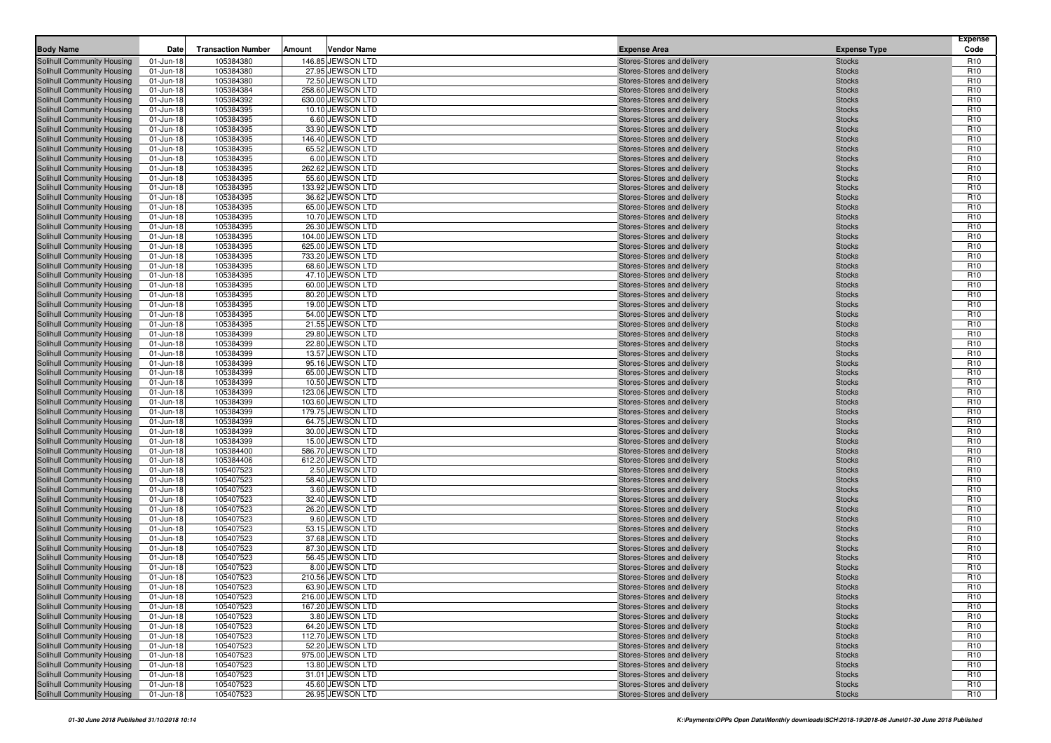| <b>Body Name</b>                                         | Date                   | <b>Transaction Number</b> | Amount | <b>Vendor Name</b>                    | <b>Expense Area</b>                                      | <b>Expense Type</b>            | <b>Expense</b><br>Code             |
|----------------------------------------------------------|------------------------|---------------------------|--------|---------------------------------------|----------------------------------------------------------|--------------------------------|------------------------------------|
| <b>Solihull Community Housing</b>                        | 01-Jun-18              | 105384380                 |        | 146.85 JEWSON LTD                     | Stores-Stores and delivery                               | <b>Stocks</b>                  | R <sub>10</sub>                    |
| Solihull Community Housing                               | 01-Jun-18              | 105384380                 |        | 27.95 JEWSON LTD                      | Stores-Stores and delivery                               | <b>Stocks</b>                  | R <sub>10</sub>                    |
| Solihull Community Housing                               | 01-Jun-18              | 105384380                 |        | 72.50 JEWSON LTD                      | Stores-Stores and delivery                               | <b>Stocks</b>                  | R <sub>10</sub>                    |
| Solihull Community Housing                               | 01-Jun-18              | 105384384                 |        | 258.60 JEWSON LTD                     | Stores-Stores and delivery                               | <b>Stocks</b>                  | R <sub>10</sub>                    |
| Solihull Community Housing                               | 01-Jun-18              | 105384392                 |        | 630.00 JEWSON LTD                     | Stores-Stores and delivery                               | <b>Stocks</b>                  | R <sub>10</sub>                    |
| Solihull Community Housing                               | 01-Jun-18              | 105384395                 |        | 10.10 JEWSON LTD                      | Stores-Stores and delivery                               | <b>Stocks</b>                  | R <sub>10</sub>                    |
| Solihull Community Housing                               | 01-Jun-18              | 105384395                 |        | 6.60 JEWSON LTD                       | Stores-Stores and delivery                               | <b>Stocks</b>                  | R <sub>10</sub>                    |
| Solihull Community Housing                               | 01-Jun-18              | 105384395                 |        | 33.90 JEWSON LTD                      | Stores-Stores and delivery                               | <b>Stocks</b>                  | R <sub>10</sub>                    |
| Solihull Community Housing                               | 01-Jun-18              | 105384395                 |        | 146.40 JEWSON LTD                     | Stores-Stores and delivery                               | <b>Stocks</b>                  | R <sub>10</sub>                    |
| Solihull Community Housing                               | 01-Jun-18              | 105384395                 |        | 65.52 JEWSON LTD                      | Stores-Stores and delivery                               | <b>Stocks</b>                  | R <sub>10</sub>                    |
| Solihull Community Housing                               | 01-Jun-18              | 105384395                 |        | 6.00 JEWSON LTD                       | Stores-Stores and delivery                               | <b>Stocks</b>                  | R <sub>10</sub>                    |
| <b>Solihull Community Housing</b>                        | 01-Jun-18              | 105384395                 |        | 262.62 JEWSON LTD                     | Stores-Stores and delivery                               | <b>Stocks</b>                  | R <sub>10</sub>                    |
| Solihull Community Housing                               | 01-Jun-18              | 105384395                 |        | 55.60 JEWSON LTD                      | Stores-Stores and delivery                               | <b>Stocks</b>                  | R <sub>10</sub>                    |
| Solihull Community Housing                               | 01-Jun-18              | 105384395                 |        | 133.92 JEWSON LTD                     | Stores-Stores and delivery                               | <b>Stocks</b>                  | R <sub>10</sub>                    |
| Solihull Community Housing                               | 01-Jun-18              | 105384395                 |        | 36.62 JEWSON LTD                      | Stores-Stores and delivery                               | <b>Stocks</b>                  | R <sub>10</sub>                    |
| <b>Solihull Community Housing</b>                        | 01-Jun-18              | 105384395                 |        | 65.00 JEWSON LTD                      | Stores-Stores and delivery                               | <b>Stocks</b>                  | R <sub>10</sub>                    |
| Solihull Community Housing                               | 01-Jun-18              | 105384395                 |        | 10.70 JEWSON LTD                      | Stores-Stores and delivery                               | <b>Stocks</b>                  | R <sub>10</sub>                    |
| Solihull Community Housing                               | 01-Jun-18              | 105384395                 |        | 26.30 JEWSON LTD                      | Stores-Stores and delivery                               | <b>Stocks</b>                  | R <sub>10</sub>                    |
| Solihull Community Housing                               | 01-Jun-18              | 105384395                 |        | 104.00 JEWSON LTD                     | Stores-Stores and delivery                               | <b>Stocks</b>                  | R <sub>10</sub>                    |
| Solihull Community Housing                               | 01-Jun-18              | 105384395                 |        | 625.00 JEWSON LTD                     | Stores-Stores and delivery                               | <b>Stocks</b>                  | R <sub>10</sub>                    |
| Solihull Community Housing                               | 01-Jun-18              | 105384395                 |        | 733.20 JEWSON LTD                     | Stores-Stores and delivery                               | <b>Stocks</b>                  | R <sub>10</sub>                    |
| Solihull Community Housing                               | 01-Jun-18              | 105384395                 |        | 68.60 JEWSON LTD                      | Stores-Stores and delivery                               | <b>Stocks</b>                  | R <sub>10</sub>                    |
| Solihull Community Housing                               | 01-Jun-18              | 105384395                 |        | 47.10 JEWSON LTD                      | Stores-Stores and delivery                               | <b>Stocks</b>                  | R <sub>10</sub>                    |
| Solihull Community Housing                               | 01-Jun-18              | 105384395                 |        | 60.00 JEWSON LTD                      | Stores-Stores and delivery                               | <b>Stocks</b>                  | R <sub>10</sub>                    |
| Solihull Community Housing                               | 01-Jun-18              | 105384395                 |        | 80.20 JEWSON LTD                      | Stores-Stores and delivery                               | <b>Stocks</b>                  | R <sub>10</sub>                    |
| Solihull Community Housing                               | 01-Jun-18              | 105384395                 |        | 19.00 JEWSON LTD                      | Stores-Stores and delivery                               | <b>Stocks</b>                  | R <sub>10</sub>                    |
| Solihull Community Housing                               | 01-Jun-18              | 105384395                 |        | 54.00 JEWSON LTD                      | Stores-Stores and delivery                               | <b>Stocks</b>                  | R <sub>10</sub>                    |
| Solihull Community Housing                               | 01-Jun-18              | 105384395                 |        | 21.55 JEWSON LTD                      | Stores-Stores and delivery                               | <b>Stocks</b>                  | R <sub>10</sub>                    |
| Solihull Community Housing                               | 01-Jun-18              | 105384399                 |        | 29.80 JEWSON LTD                      | Stores-Stores and delivery                               | <b>Stocks</b>                  | R <sub>10</sub>                    |
| Solihull Community Housing                               | 01-Jun-18              | 105384399                 |        | 22.80 JEWSON LTD                      | Stores-Stores and delivery                               | <b>Stocks</b>                  | R <sub>10</sub>                    |
| <b>Solihull Community Housing</b>                        | 01-Jun-18              | 105384399                 |        | 13.57 JEWSON LTD                      | Stores-Stores and delivery                               | <b>Stocks</b>                  | R <sub>10</sub>                    |
| Solihull Community Housing                               | 01-Jun-18              | 105384399                 |        | 95.16 JEWSON LTD                      | Stores-Stores and delivery                               | <b>Stocks</b>                  | R <sub>10</sub>                    |
| Solihull Community Housing                               | 01-Jun-18              | 105384399                 |        | 65.00 JEWSON LTD                      | Stores-Stores and delivery                               | <b>Stocks</b>                  | R <sub>10</sub>                    |
| Solihull Community Housing                               | 01-Jun-18              | 105384399                 |        | 10.50 JEWSON LTD                      | Stores-Stores and delivery                               | <b>Stocks</b>                  | R <sub>10</sub>                    |
| Solihull Community Housing                               | 01-Jun-18              | 105384399                 |        | 123.06 JEWSON LTD                     | Stores-Stores and delivery                               | <b>Stocks</b>                  | R <sub>10</sub><br>R <sub>10</sub> |
| Solihull Community Housing                               | 01-Jun-18              | 105384399<br>105384399    |        | 103.60 JEWSON LTD                     | Stores-Stores and delivery                               | <b>Stocks</b>                  | R <sub>10</sub>                    |
| Solihull Community Housing<br>Solihull Community Housing | 01-Jun-18<br>01-Jun-18 | 105384399                 |        | 179.75 JEWSON LTD<br>64.75 JEWSON LTD | Stores-Stores and delivery<br>Stores-Stores and delivery | <b>Stocks</b><br><b>Stocks</b> | R <sub>10</sub>                    |
| Solihull Community Housing                               | 01-Jun-18              | 105384399                 |        | 30.00 JEWSON LTD                      | Stores-Stores and delivery                               | <b>Stocks</b>                  | R <sub>10</sub>                    |
| Solihull Community Housing                               | 01-Jun-18              | 105384399                 |        | 15.00 JEWSON LTD                      | Stores-Stores and delivery                               | <b>Stocks</b>                  | R <sub>10</sub>                    |
| Solihull Community Housing                               | 01-Jun-18              | 105384400                 |        | 586.70 JEWSON LTD                     | Stores-Stores and delivery                               | <b>Stocks</b>                  | R <sub>10</sub>                    |
| Solihull Community Housing                               | 01-Jun-18              | 105384406                 |        | 612.20 JEWSON LTD                     | Stores-Stores and delivery                               | <b>Stocks</b>                  | R <sub>10</sub>                    |
| Solihull Community Housing                               | 01-Jun-18              | 105407523                 |        | 2.50 JEWSON LTD                       | Stores-Stores and delivery                               | <b>Stocks</b>                  | R <sub>10</sub>                    |
| Solihull Community Housing                               | 01-Jun-18              | 105407523                 |        | 58.40 JEWSON LTD                      | Stores-Stores and delivery                               | <b>Stocks</b>                  | R <sub>10</sub>                    |
| Solihull Community Housing                               | 01-Jun-18              | 105407523                 |        | 3.60 JEWSON LTD                       | Stores-Stores and delivery                               | <b>Stocks</b>                  | R <sub>10</sub>                    |
| Solihull Community Housing                               | 01-Jun-18              | 105407523                 |        | 32.40 JEWSON LTD                      | Stores-Stores and delivery                               | <b>Stocks</b>                  | R <sub>10</sub>                    |
| Solihull Community Housing                               | 01-Jun-18              | 105407523                 |        | 26.20 JEWSON LTD                      | Stores-Stores and delivery                               | <b>Stocks</b>                  | R <sub>10</sub>                    |
| Solihull Community Housing                               | 01-Jun-18              | 105407523                 |        | 9.60 JEWSON LTD                       | Stores-Stores and delivery                               | <b>Stocks</b>                  | R <sub>10</sub>                    |
| Solihull Community Housing                               | 01-Jun-18              | 105407523                 |        | 53.15 JEWSON LTD                      | Stores-Stores and delivery                               | <b>Stocks</b>                  | R <sub>10</sub>                    |
| Solihull Community Housing                               | 01-Jun-18              | 105407523                 |        | 37.68 JEWSON LTD                      | Stores-Stores and delivery                               | <b>Stocks</b>                  | R <sub>10</sub>                    |
| Solihull Community Housing                               | 01-Jun-18              | 105407523                 |        | 87.30 JEWSON LTD                      | Stores-Stores and delivery                               | <b>Stocks</b>                  | R <sub>10</sub>                    |
| <b>Solihull Community Housing</b>                        | 01-Jun-18              | 105407523                 |        | 56.45 JEWSON LTD                      | Stores-Stores and delivery                               | <b>Stocks</b>                  | R <sub>10</sub>                    |
| Solihull Community Housing                               | 01-Jun-18              | 105407523                 |        | 8.00 JEWSON LTD                       | Stores-Stores and delivery                               | <b>Stocks</b>                  | R <sub>10</sub>                    |
| Solihull Community Housing                               | 01-Jun-18              | 105407523                 |        | 210.56 JEWSON LTD                     | Stores-Stores and delivery                               | <b>Stocks</b>                  | R <sub>10</sub>                    |
| Solihull Community Housing                               | 01-Jun-18              | 105407523                 |        | 63.90 JEWSON LTD                      | Stores-Stores and delivery                               | <b>Stocks</b>                  | R <sub>10</sub>                    |
| Solihull Community Housing                               | 01-Jun-18              | 105407523                 |        | 216.00 JEWSON LTD                     | Stores-Stores and delivery                               | <b>Stocks</b>                  | R <sub>10</sub>                    |
| Solihull Community Housing                               | 01-Jun-18              | 105407523                 |        | 167.20 JEWSON LTD                     | Stores-Stores and delivery                               | <b>Stocks</b>                  | R <sub>10</sub>                    |
| Solihull Community Housing                               | 01-Jun-18              | 105407523                 |        | 3.80 JEWSON LTD                       | Stores-Stores and delivery                               | <b>Stocks</b>                  | R <sub>10</sub>                    |
| Solihull Community Housing                               | 01-Jun-18              | 105407523                 |        | 64.20 JEWSON LTD                      | Stores-Stores and delivery                               | <b>Stocks</b>                  | R <sub>10</sub>                    |
| <b>Solihull Community Housing</b>                        | 01-Jun-18              | 105407523                 |        | 112.70 JEWSON LTD                     | Stores-Stores and delivery                               | <b>Stocks</b>                  | R <sub>10</sub>                    |
| <b>Solihull Community Housing</b>                        | 01-Jun-18              | 105407523                 |        | 52.20 JEWSON LTD                      | Stores-Stores and delivery                               | <b>Stocks</b>                  | R <sub>10</sub>                    |
| Solihull Community Housing                               | 01-Jun-18              | 105407523                 |        | 975.00 JEWSON LTD                     | Stores-Stores and delivery                               | <b>Stocks</b>                  | R <sub>10</sub>                    |
| Solihull Community Housing                               | 01-Jun-18              | 105407523                 |        | 13.80 JEWSON LTD                      | Stores-Stores and delivery                               | <b>Stocks</b>                  | R <sub>10</sub>                    |
| Solihull Community Housing                               | 01-Jun-18              | 105407523                 |        | 31.01 JEWSON LTD                      | Stores-Stores and delivery                               | <b>Stocks</b>                  | R <sub>10</sub>                    |
| Solihull Community Housing                               | 01-Jun-18              | 105407523                 |        | 45.60 JEWSON LTD                      | Stores-Stores and delivery                               | <b>Stocks</b>                  | R <sub>10</sub>                    |
| <b>Solihull Community Housing</b>                        | 01-Jun-18              | 105407523                 |        | 26.95 JEWSON LTD                      | Stores-Stores and delivery                               | <b>Stocks</b>                  | R <sub>10</sub>                    |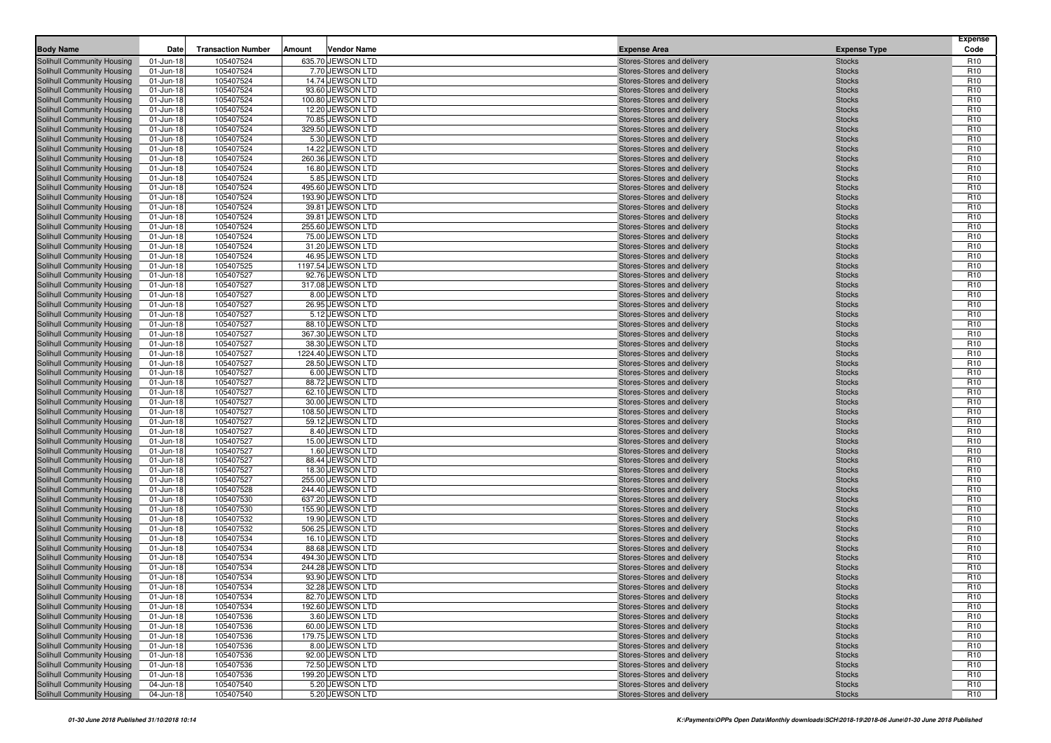| <b>Body Name</b>                                         | Date                   | <b>Transaction Number</b> | Amount | <b>Vendor Name</b>                    | <b>Expense Area</b>                                      | <b>Expense Type</b>            | <b>Expense</b><br>Code             |
|----------------------------------------------------------|------------------------|---------------------------|--------|---------------------------------------|----------------------------------------------------------|--------------------------------|------------------------------------|
| <b>Solihull Community Housing</b>                        | 01-Jun-18              | 105407524                 |        | 635.70 JEWSON LTD                     | Stores-Stores and delivery                               | <b>Stocks</b>                  | R <sub>10</sub>                    |
| Solihull Community Housing                               | 01-Jun-18              | 105407524                 |        | 7.70 JEWSON LTD                       | Stores-Stores and delivery                               | <b>Stocks</b>                  | R <sub>10</sub>                    |
| Solihull Community Housing                               | 01-Jun-18              | 105407524                 |        | 14.74 JEWSON LTD                      | Stores-Stores and delivery                               | <b>Stocks</b>                  | R <sub>10</sub>                    |
| Solihull Community Housing                               | 01-Jun-18              | 105407524                 |        | 93.60 JEWSON LTD                      | Stores-Stores and delivery                               | <b>Stocks</b>                  | R <sub>10</sub>                    |
| Solihull Community Housing                               | 01-Jun-18              | 105407524                 |        | 100.80 JEWSON LTD                     | Stores-Stores and delivery                               | <b>Stocks</b>                  | R <sub>10</sub>                    |
| Solihull Community Housing                               | 01-Jun-18              | 105407524                 |        | 12.20 JEWSON LTD                      | Stores-Stores and delivery                               | <b>Stocks</b>                  | R <sub>10</sub>                    |
| Solihull Community Housing                               | 01-Jun-18              | 105407524                 |        | 70.85 JEWSON LTD                      | Stores-Stores and delivery                               | <b>Stocks</b>                  | R <sub>10</sub>                    |
| Solihull Community Housing                               | 01-Jun-18              | 105407524                 |        | 329.50 JEWSON LTD                     | Stores-Stores and delivery                               | <b>Stocks</b>                  | R <sub>10</sub>                    |
| Solihull Community Housing                               | 01-Jun-18              | 105407524                 |        | 5.30 JEWSON LTD                       | Stores-Stores and delivery                               | <b>Stocks</b>                  | R <sub>10</sub>                    |
| Solihull Community Housing                               | 01-Jun-18              | 105407524                 |        | 14.22 JEWSON LTD                      | Stores-Stores and delivery                               | <b>Stocks</b>                  | R <sub>10</sub>                    |
| Solihull Community Housing                               | 01-Jun-18              | 105407524                 |        | 260.36 JEWSON LTD                     | Stores-Stores and delivery                               | <b>Stocks</b>                  | R <sub>10</sub>                    |
| <b>Solihull Community Housing</b>                        | 01-Jun-18              | 105407524                 |        | 16.80 JEWSON LTD                      | Stores-Stores and delivery                               | <b>Stocks</b>                  | R <sub>10</sub>                    |
| Solihull Community Housing                               | 01-Jun-18              | 105407524                 |        | 5.85 JEWSON LTD                       | Stores-Stores and delivery                               | <b>Stocks</b>                  | R <sub>10</sub>                    |
| Solihull Community Housing                               | 01-Jun-18              | 105407524                 |        | 495.60 JEWSON LTD                     | Stores-Stores and delivery                               | <b>Stocks</b>                  | R <sub>10</sub>                    |
| Solihull Community Housing                               | 01-Jun-18              | 105407524                 |        | 193.90 JEWSON LTD                     | Stores-Stores and delivery                               | <b>Stocks</b>                  | R <sub>10</sub>                    |
| <b>Solihull Community Housing</b>                        | 01-Jun-18              | 105407524                 |        | 39.81 JEWSON LTD                      | Stores-Stores and delivery                               | <b>Stocks</b>                  | R <sub>10</sub>                    |
| Solihull Community Housing                               | 01-Jun-18              | 105407524                 |        | 39.81 JEWSON LTD                      | Stores-Stores and delivery                               | <b>Stocks</b>                  | R <sub>10</sub>                    |
| Solihull Community Housing                               | 01-Jun-18              | 105407524                 |        | 255.60 JEWSON LTD                     | Stores-Stores and delivery                               | <b>Stocks</b>                  | R <sub>10</sub>                    |
| Solihull Community Housing                               | 01-Jun-18              | 105407524                 |        | 75.00 JEWSON LTD                      | Stores-Stores and delivery                               | <b>Stocks</b>                  | R <sub>10</sub>                    |
| Solihull Community Housing                               | 01-Jun-18              | 105407524                 |        | 31.20 JEWSON LTD                      | Stores-Stores and delivery                               | <b>Stocks</b>                  | R <sub>10</sub>                    |
| Solihull Community Housing                               | 01-Jun-18              | 105407524                 |        | 46.95 JEWSON LTD                      | Stores-Stores and delivery                               | <b>Stocks</b>                  | R <sub>10</sub>                    |
| Solihull Community Housing                               | 01-Jun-18              | 105407525                 |        | 1197.54 JEWSON LTD                    | Stores-Stores and delivery                               | <b>Stocks</b>                  | R <sub>10</sub>                    |
| Solihull Community Housing                               | 01-Jun-18              | 105407527                 |        | 92.76 JEWSON LTD                      | Stores-Stores and delivery                               | <b>Stocks</b>                  | R <sub>10</sub>                    |
| Solihull Community Housing                               | 01-Jun-18              | 105407527                 |        | 317.08 JEWSON LTD                     | Stores-Stores and delivery                               | <b>Stocks</b>                  | R <sub>10</sub>                    |
| Solihull Community Housing                               | 01-Jun-18              | 105407527                 |        | 8.00 JEWSON LTD                       | Stores-Stores and delivery                               | <b>Stocks</b>                  | R <sub>10</sub>                    |
| Solihull Community Housing                               | 01-Jun-18              | 105407527                 |        | 26.95 JEWSON LTD                      | Stores-Stores and delivery                               | <b>Stocks</b>                  | R <sub>10</sub>                    |
| Solihull Community Housing                               | 01-Jun-18              | 105407527                 |        | 5.12 JEWSON LTD                       | Stores-Stores and delivery                               | <b>Stocks</b>                  | R <sub>10</sub>                    |
| Solihull Community Housing                               | 01-Jun-18              | 105407527                 |        | 88.10 JEWSON LTD                      | Stores-Stores and delivery                               | <b>Stocks</b>                  | R <sub>10</sub><br>R <sub>10</sub> |
| Solihull Community Housing<br>Solihull Community Housing | 01-Jun-18<br>01-Jun-18 | 105407527<br>105407527    |        | 367.30 JEWSON LTD<br>38.30 JEWSON LTD | Stores-Stores and delivery<br>Stores-Stores and delivery | <b>Stocks</b>                  | R <sub>10</sub>                    |
| <b>Solihull Community Housing</b>                        | 01-Jun-18              | 105407527                 |        | 1224.40 JEWSON LTD                    | Stores-Stores and delivery                               | <b>Stocks</b><br><b>Stocks</b> | R <sub>10</sub>                    |
| Solihull Community Housing                               | 01-Jun-18              | 105407527                 |        | 28.50 JEWSON LTD                      | Stores-Stores and delivery                               | <b>Stocks</b>                  | R <sub>10</sub>                    |
| Solihull Community Housing                               | 01-Jun-18              | 105407527                 |        | 6.00 JEWSON LTD                       | Stores-Stores and delivery                               | <b>Stocks</b>                  | R <sub>10</sub>                    |
| Solihull Community Housing                               | 01-Jun-18              | 105407527                 |        | 88.72 JEWSON LTD                      | Stores-Stores and delivery                               | <b>Stocks</b>                  | R <sub>10</sub>                    |
| Solihull Community Housing                               | 01-Jun-18              | 105407527                 |        | 62.10 JEWSON LTD                      | Stores-Stores and delivery                               | <b>Stocks</b>                  | R <sub>10</sub>                    |
| Solihull Community Housing                               | 01-Jun-18              | 105407527                 |        | 30.00 JEWSON LTD                      | Stores-Stores and delivery                               | <b>Stocks</b>                  | R <sub>10</sub>                    |
| Solihull Community Housing                               | 01-Jun-18              | 105407527                 |        | 108.50 JEWSON LTD                     | Stores-Stores and delivery                               | <b>Stocks</b>                  | R <sub>10</sub>                    |
| Solihull Community Housing                               | 01-Jun-18              | 105407527                 |        | 59.12 JEWSON LTD                      | Stores-Stores and delivery                               | <b>Stocks</b>                  | R <sub>10</sub>                    |
| Solihull Community Housing                               | 01-Jun-18              | 105407527                 |        | 8.40 JEWSON LTD                       | Stores-Stores and delivery                               | <b>Stocks</b>                  | R <sub>10</sub>                    |
| Solihull Community Housing                               | 01-Jun-18              | 105407527                 |        | 15.00 JEWSON LTD                      | Stores-Stores and delivery                               | <b>Stocks</b>                  | R <sub>10</sub>                    |
| Solihull Community Housing                               | 01-Jun-18              | 105407527                 |        | 1.60 JEWSON LTD                       | Stores-Stores and delivery                               | <b>Stocks</b>                  | R <sub>10</sub>                    |
| Solihull Community Housing                               | 01-Jun-18              | 105407527                 |        | 88.44 JEWSON LTD                      | Stores-Stores and delivery                               | <b>Stocks</b>                  | R <sub>10</sub>                    |
| Solihull Community Housing                               | 01-Jun-18              | 105407527                 |        | 18.30 JEWSON LTD                      | Stores-Stores and delivery                               | <b>Stocks</b>                  | R <sub>10</sub>                    |
| Solihull Community Housing                               | 01-Jun-18              | 105407527                 |        | 255.00 JEWSON LTD                     | Stores-Stores and delivery                               | <b>Stocks</b>                  | R <sub>10</sub>                    |
| Solihull Community Housing                               | 01-Jun-18              | 105407528                 |        | 244.40 JEWSON LTD                     | Stores-Stores and delivery                               | <b>Stocks</b>                  | R <sub>10</sub>                    |
| Solihull Community Housing                               | 01-Jun-18              | 105407530                 |        | 637.20 JEWSON LTD                     | Stores-Stores and delivery                               | <b>Stocks</b>                  | R <sub>10</sub>                    |
| Solihull Community Housing                               | 01-Jun-18              | 105407530                 |        | 155.90 JEWSON LTD                     | Stores-Stores and delivery                               | <b>Stocks</b>                  | R <sub>10</sub>                    |
| Solihull Community Housing                               | 01-Jun-18              | 105407532                 |        | 19.90 JEWSON LTD                      | Stores-Stores and delivery                               | <b>Stocks</b>                  | R <sub>10</sub>                    |
| Solihull Community Housing                               | 01-Jun-18              | 105407532                 |        | 506.25 JEWSON LTD                     | Stores-Stores and delivery                               | <b>Stocks</b>                  | R <sub>10</sub>                    |
| Solihull Community Housing                               | 01-Jun-18              | 105407534                 |        | 16.10 JEWSON LTD                      | Stores-Stores and delivery                               | <b>Stocks</b>                  | R <sub>10</sub>                    |
| Solihull Community Housing                               | 01-Jun-18              | 105407534                 |        | 88.68 JEWSON LTD                      | Stores-Stores and delivery                               | <b>Stocks</b>                  | R <sub>10</sub>                    |
| <b>Solihull Community Housing</b>                        | 01-Jun-18              | 105407534                 |        | 494.30 JEWSON LTD                     | Stores-Stores and delivery                               | <b>Stocks</b>                  | R <sub>10</sub>                    |
| Solihull Community Housing                               | 01-Jun-18              | 105407534                 |        | 244.28 JEWSON LTD                     | Stores-Stores and delivery                               | <b>Stocks</b>                  | R <sub>10</sub>                    |
| Solihull Community Housing                               | 01-Jun-18              | 105407534                 |        | 93.90 JEWSON LTD                      | Stores-Stores and delivery                               | <b>Stocks</b>                  | R <sub>10</sub>                    |
| Solihull Community Housing                               | 01-Jun-18              | 105407534                 |        | 32.28 JEWSON LTD                      | Stores-Stores and delivery                               | <b>Stocks</b>                  | R <sub>10</sub>                    |
| Solihull Community Housing                               | 01-Jun-18              | 105407534                 |        | 82.70 JEWSON LTD                      | Stores-Stores and delivery                               | <b>Stocks</b>                  | R <sub>10</sub>                    |
| Solihull Community Housing                               | 01-Jun-18              | 105407534                 |        | 192.60 JEWSON LTD                     | Stores-Stores and delivery                               | <b>Stocks</b>                  | R <sub>10</sub>                    |
| Solihull Community Housing                               | 01-Jun-18              | 105407536                 |        | 3.60 JEWSON LTD                       | Stores-Stores and delivery                               | <b>Stocks</b>                  | R <sub>10</sub>                    |
| <b>Solihull Community Housing</b>                        | 01-Jun-18              | 105407536                 |        | 60.00 JEWSON LTD                      | Stores-Stores and delivery                               | <b>Stocks</b>                  | R <sub>10</sub>                    |
| <b>Solihull Community Housing</b>                        | 01-Jun-18              | 105407536                 |        | 179.75 JEWSON LTD                     | Stores-Stores and delivery                               | <b>Stocks</b>                  | R <sub>10</sub>                    |
| <b>Solihull Community Housing</b>                        | 01-Jun-18              | 105407536                 |        | 8.00 JEWSON LTD                       | Stores-Stores and delivery                               | <b>Stocks</b>                  | R <sub>10</sub>                    |
| Solihull Community Housing                               | 01-Jun-18              | 105407536                 |        | 92.00 JEWSON LTD                      | Stores-Stores and delivery                               | <b>Stocks</b>                  | R <sub>10</sub>                    |
| Solihull Community Housing                               | 01-Jun-18              | 105407536                 |        | 72.50 JEWSON LTD                      | Stores-Stores and delivery                               | <b>Stocks</b>                  | R <sub>10</sub>                    |
| Solihull Community Housing                               | 01-Jun-18              | 105407536                 |        | 199.20 JEWSON LTD                     | Stores-Stores and delivery                               | <b>Stocks</b>                  | R <sub>10</sub>                    |
| Solihull Community Housing                               | 04-Jun-18              | 105407540                 |        | 5.20 JEWSON LTD                       | Stores-Stores and delivery                               | <b>Stocks</b>                  | R <sub>10</sub>                    |
| Solihull Community Housing                               | 04-Jun-18              | 105407540                 |        | 5.20 JEWSON LTD                       | Stores-Stores and delivery                               | <b>Stocks</b>                  | R <sub>10</sub>                    |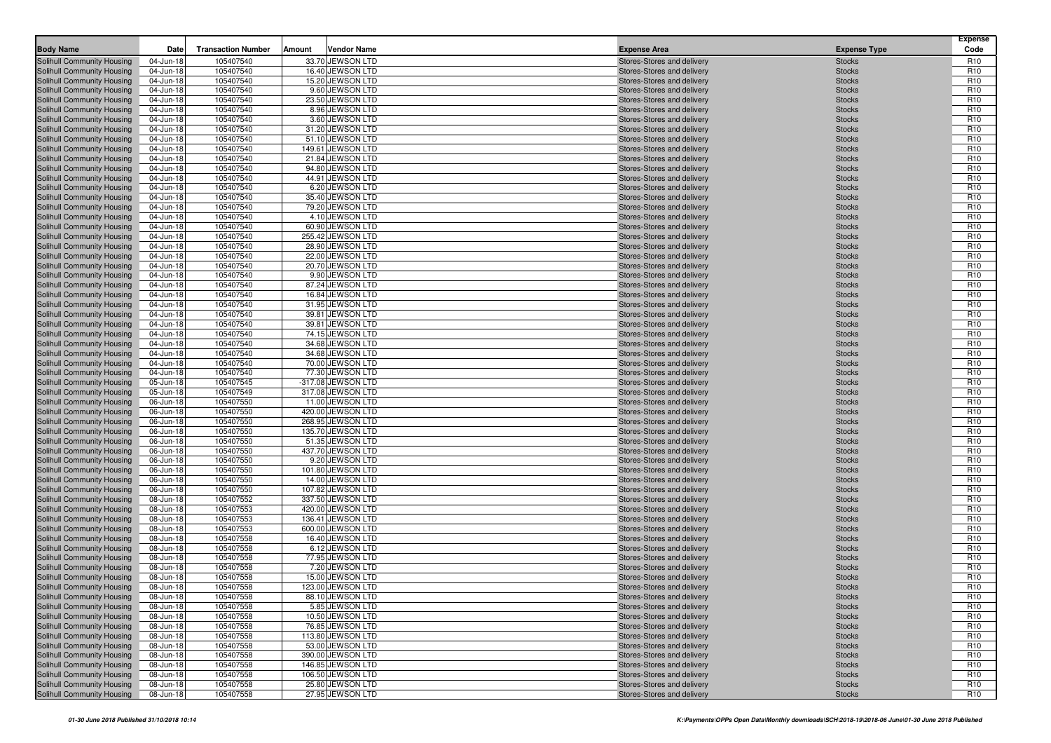| <b>Body Name</b>                                         | Date                   | <b>Transaction Number</b> | Amount | <b>Vendor Name</b>                   | <b>Expense Area</b>                                      | <b>Expense Type</b>            | <b>Expense</b><br>Code             |
|----------------------------------------------------------|------------------------|---------------------------|--------|--------------------------------------|----------------------------------------------------------|--------------------------------|------------------------------------|
| <b>Solihull Community Housing</b>                        | 04-Jun-18              | 105407540                 |        | 33.70 JEWSON LTD                     | Stores-Stores and delivery                               | <b>Stocks</b>                  | R <sub>10</sub>                    |
| Solihull Community Housing                               | 04-Jun-18              | 105407540                 |        | 16.40 JEWSON LTD                     | Stores-Stores and delivery                               | <b>Stocks</b>                  | R <sub>10</sub>                    |
| Solihull Community Housing                               | 04-Jun-18              | 105407540                 |        | 15.20 JEWSON LTD                     | Stores-Stores and delivery                               | <b>Stocks</b>                  | R <sub>10</sub>                    |
| Solihull Community Housing                               | 04-Jun-18              | 105407540                 |        | 9.60 JEWSON LTD                      | Stores-Stores and delivery                               | <b>Stocks</b>                  | R <sub>10</sub>                    |
| Solihull Community Housing                               | 04-Jun-18              | 105407540                 |        | 23.50 JEWSON LTD                     | Stores-Stores and delivery                               | <b>Stocks</b>                  | R <sub>10</sub>                    |
| Solihull Community Housing                               | 04-Jun-18              | 105407540                 |        | 8.96 JEWSON LTD                      | Stores-Stores and delivery                               | <b>Stocks</b>                  | R <sub>10</sub>                    |
| Solihull Community Housing                               | 04-Jun-18              | 105407540                 |        | 3.60 JEWSON LTD                      | Stores-Stores and delivery                               | <b>Stocks</b>                  | R <sub>10</sub>                    |
| Solihull Community Housing                               | 04-Jun-18              | 105407540                 |        | 31.20 JEWSON LTD                     | Stores-Stores and delivery                               | <b>Stocks</b>                  | R <sub>10</sub>                    |
| Solihull Community Housing                               | 04-Jun-18              | 105407540                 |        | 51.10 JEWSON LTD                     | Stores-Stores and delivery                               | <b>Stocks</b>                  | R <sub>10</sub>                    |
| Solihull Community Housing                               | 04-Jun-18              | 105407540                 |        | 149.61 JEWSON LTD                    | Stores-Stores and delivery                               | <b>Stocks</b>                  | R <sub>10</sub>                    |
| Solihull Community Housing                               | 04-Jun-18              | 105407540                 |        | 21.84 JEWSON LTD                     | Stores-Stores and delivery                               | <b>Stocks</b>                  | R <sub>10</sub>                    |
| <b>Solihull Community Housing</b>                        | 04-Jun-18              | 105407540                 |        | 94.80 JEWSON LTD                     | Stores-Stores and delivery                               | <b>Stocks</b>                  | R <sub>10</sub>                    |
| Solihull Community Housing                               | 04-Jun-18              | 105407540                 |        | 44.91 JEWSON LTD                     | Stores-Stores and delivery                               | <b>Stocks</b>                  | R <sub>10</sub>                    |
| Solihull Community Housing                               | 04-Jun-18              | 105407540                 |        | 6.20 JEWSON LTD                      | Stores-Stores and delivery                               | <b>Stocks</b>                  | R <sub>10</sub>                    |
| Solihull Community Housing                               | 04-Jun-18              | 105407540                 |        | 35.40 JEWSON LTD                     | Stores-Stores and delivery                               | <b>Stocks</b>                  | R <sub>10</sub>                    |
| Solihull Community Housing                               | 04-Jun-18              | 105407540                 |        | 79.20 JEWSON LTD                     | Stores-Stores and delivery                               | <b>Stocks</b>                  | R <sub>10</sub>                    |
| Solihull Community Housing                               | 04-Jun-18              | 105407540                 |        | 4.10 JEWSON LTD                      | Stores-Stores and delivery                               | <b>Stocks</b>                  | R <sub>10</sub>                    |
| Solihull Community Housing                               | 04-Jun-18              | 105407540                 |        | 60.90 JEWSON LTD                     | Stores-Stores and delivery                               | <b>Stocks</b>                  | R <sub>10</sub>                    |
| Solihull Community Housing                               | 04-Jun-18              | 105407540                 |        | 255.42 JEWSON LTD                    | Stores-Stores and delivery                               | <b>Stocks</b>                  | R <sub>10</sub>                    |
| Solihull Community Housing                               | 04-Jun-18              | 105407540                 |        | 28.90 JEWSON LTD                     | Stores-Stores and delivery                               | <b>Stocks</b>                  | R <sub>10</sub>                    |
| Solihull Community Housing                               | 04-Jun-18              | 105407540                 |        | 22.00 JEWSON LTD                     | Stores-Stores and delivery                               | <b>Stocks</b>                  | R <sub>10</sub>                    |
| Solihull Community Housing                               | 04-Jun-18              | 105407540                 |        | 20.70 JEWSON LTD                     | Stores-Stores and delivery                               | <b>Stocks</b>                  | R <sub>10</sub>                    |
| Solihull Community Housing                               | 04-Jun-18              | 105407540                 |        | 9.90 JEWSON LTD                      | Stores-Stores and delivery                               | <b>Stocks</b>                  | R <sub>10</sub>                    |
| Solihull Community Housing                               | 04-Jun-18              | 105407540                 |        | 87.24 JEWSON LTD                     | Stores-Stores and delivery                               | <b>Stocks</b>                  | R <sub>10</sub>                    |
| Solihull Community Housing                               | 04-Jun-18              | 105407540                 |        | 16.84 JEWSON LTD                     | Stores-Stores and delivery                               | <b>Stocks</b>                  | R <sub>10</sub>                    |
| <b>Solihull Community Housing</b>                        | 04-Jun-18              | 105407540                 |        | 31.95 JEWSON LTD                     | Stores-Stores and delivery                               | <b>Stocks</b>                  | R <sub>10</sub>                    |
| Solihull Community Housing                               | 04-Jun-18              | 105407540<br>105407540    |        | 39.81 JEWSON LTD                     | Stores-Stores and delivery                               | <b>Stocks</b>                  | R <sub>10</sub>                    |
| Solihull Community Housing                               | 04-Jun-18              | 105407540                 |        | 39.81 JEWSON LTD<br>74.15 JEWSON LTD | Stores-Stores and delivery                               | <b>Stocks</b><br><b>Stocks</b> | R <sub>10</sub><br>R <sub>10</sub> |
| Solihull Community Housing<br>Solihull Community Housing | 04-Jun-18<br>04-Jun-18 | 105407540                 |        | 34.68 JEWSON LTD                     | Stores-Stores and delivery<br>Stores-Stores and delivery | <b>Stocks</b>                  | R <sub>10</sub>                    |
| <b>Solihull Community Housing</b>                        | 04-Jun-18              | 105407540                 |        | 34.68 JEWSON LTD                     | Stores-Stores and delivery                               | <b>Stocks</b>                  | R <sub>10</sub>                    |
| Solihull Community Housing                               | 04-Jun-18              | 105407540                 |        | 70.00 JEWSON LTD                     | Stores-Stores and delivery                               | <b>Stocks</b>                  | R <sub>10</sub>                    |
| Solihull Community Housing                               | 04-Jun-18              | 105407540                 |        | 77.30 JEWSON LTD                     | Stores-Stores and delivery                               | <b>Stocks</b>                  | R <sub>10</sub>                    |
| Solihull Community Housing                               | 05-Jun-18              | 105407545                 |        | -317.08 JEWSON LTD                   | Stores-Stores and delivery                               | <b>Stocks</b>                  | R <sub>10</sub>                    |
| Solihull Community Housing                               | 05-Jun-18              | 105407549                 |        | 317.08 JEWSON LTD                    | Stores-Stores and delivery                               | <b>Stocks</b>                  | R <sub>10</sub>                    |
| Solihull Community Housing                               | 06-Jun-18              | 105407550                 |        | 11.00 JEWSON LTD                     | Stores-Stores and delivery                               | <b>Stocks</b>                  | R <sub>10</sub>                    |
| Solihull Community Housing                               | 06-Jun-18              | 105407550                 |        | 420.00 JEWSON LTD                    | Stores-Stores and delivery                               | <b>Stocks</b>                  | R <sub>10</sub>                    |
| Solihull Community Housing                               | 06-Jun-18              | 105407550                 |        | 268.95 JEWSON LTD                    | Stores-Stores and delivery                               | <b>Stocks</b>                  | R <sub>10</sub>                    |
| Solihull Community Housing                               | 06-Jun-18              | 105407550                 |        | 135.70 JEWSON LTD                    | Stores-Stores and delivery                               | <b>Stocks</b>                  | R <sub>10</sub>                    |
| Solihull Community Housing                               | 06-Jun-18              | 105407550                 |        | 51.35 JEWSON LTD                     | Stores-Stores and delivery                               | <b>Stocks</b>                  | R <sub>10</sub>                    |
| Solihull Community Housing                               | 06-Jun-18              | 105407550                 |        | 437.70 JEWSON LTD                    | Stores-Stores and delivery                               | <b>Stocks</b>                  | R <sub>10</sub>                    |
| Solihull Community Housing                               | 06-Jun-18              | 105407550                 |        | 9.20 JEWSON LTD                      | Stores-Stores and delivery                               | <b>Stocks</b>                  | R <sub>10</sub>                    |
| Solihull Community Housing                               | 06-Jun-18              | 105407550                 |        | 101.80 JEWSON LTD                    | Stores-Stores and delivery                               | <b>Stocks</b>                  | R <sub>10</sub>                    |
| Solihull Community Housing                               | 06-Jun-18              | 105407550                 |        | 14.00 JEWSON LTD                     | Stores-Stores and delivery                               | <b>Stocks</b>                  | R <sub>10</sub>                    |
| Solihull Community Housing                               | 06-Jun-18              | 105407550                 |        | 107.82 JEWSON LTD                    | Stores-Stores and delivery                               | <b>Stocks</b>                  | R <sub>10</sub>                    |
| Solihull Community Housing                               | 08-Jun-18              | 105407552                 |        | 337.50 JEWSON LTD                    | Stores-Stores and delivery                               | <b>Stocks</b>                  | R <sub>10</sub>                    |
| Solihull Community Housing                               | 08-Jun-18              | 105407553                 |        | 420.00 JEWSON LTD                    | Stores-Stores and delivery                               | <b>Stocks</b>                  | R <sub>10</sub>                    |
| Solihull Community Housing                               | 08-Jun-18              | 105407553                 |        | 136.41 JEWSON LTD                    | Stores-Stores and delivery                               | <b>Stocks</b>                  | R <sub>10</sub>                    |
| Solihull Community Housing                               | 08-Jun-18              | 105407553                 |        | 600.00 JEWSON LTD                    | Stores-Stores and delivery                               | <b>Stocks</b>                  | R <sub>10</sub>                    |
| Solihull Community Housing                               | 08-Jun-18              | 105407558                 |        | 16.40 JEWSON LTD                     | Stores-Stores and delivery                               | <b>Stocks</b>                  | R <sub>10</sub>                    |
| Solihull Community Housing                               | 08-Jun-18              | 105407558                 |        | 6.12 JEWSON LTD                      | Stores-Stores and delivery                               | <b>Stocks</b>                  | R <sub>10</sub>                    |
| <b>Solihull Community Housing</b>                        | 08-Jun-18              | 105407558                 |        | 77.95 JEWSON LTD                     | Stores-Stores and delivery                               | <b>Stocks</b>                  | R <sub>10</sub>                    |
| Solihull Community Housing                               | 08-Jun-18              | 105407558                 |        | 7.20 JEWSON LTD                      | Stores-Stores and delivery                               | <b>Stocks</b>                  | R <sub>10</sub>                    |
| Solihull Community Housing                               | 08-Jun-18              | 105407558                 |        | 15.00 JEWSON LTD                     | Stores-Stores and delivery                               | <b>Stocks</b>                  | R <sub>10</sub>                    |
| Solihull Community Housing                               | 08-Jun-18              | 105407558                 |        | 123.00 JEWSON LTD                    | Stores-Stores and delivery                               | <b>Stocks</b>                  | R <sub>10</sub>                    |
| Solihull Community Housing                               | 08-Jun-18              | 105407558                 |        | 88.10 JEWSON LTD                     | Stores-Stores and delivery                               | <b>Stocks</b>                  | R <sub>10</sub>                    |
| Solihull Community Housing                               | 08-Jun-18              | 105407558                 |        | 5.85 JEWSON LTD                      | Stores-Stores and delivery                               | <b>Stocks</b>                  | R <sub>10</sub>                    |
| Solihull Community Housing                               | 08-Jun-18              | 105407558                 |        | 10.50 JEWSON LTD                     | Stores-Stores and delivery                               | <b>Stocks</b>                  | R <sub>10</sub>                    |
| Solihull Community Housing                               | 08-Jun-18              | 105407558                 |        | 76.85 JEWSON LTD                     | Stores-Stores and delivery                               | <b>Stocks</b>                  | R <sub>10</sub>                    |
| Solihull Community Housing                               | 08-Jun-18              | 105407558                 |        | 113.80 JEWSON LTD                    | Stores-Stores and delivery                               | <b>Stocks</b>                  | R <sub>10</sub>                    |
| Solihull Community Housing                               | 08-Jun-18              | 105407558                 |        | 53.00 JEWSON LTD                     | Stores-Stores and delivery                               | <b>Stocks</b>                  | R <sub>10</sub>                    |
| Solihull Community Housing                               | 08-Jun-18              | 105407558                 |        | 390.00 JEWSON LTD                    | Stores-Stores and delivery                               | <b>Stocks</b>                  | R <sub>10</sub>                    |
| Solihull Community Housing                               | 08-Jun-18              | 105407558                 |        | 146.85 JEWSON LTD                    | Stores-Stores and delivery                               | <b>Stocks</b>                  | R <sub>10</sub>                    |
| Solihull Community Housing                               | 08-Jun-18              | 105407558                 |        | 106.50 JEWSON LTD                    | Stores-Stores and delivery                               | <b>Stocks</b>                  | R <sub>10</sub>                    |
| Solihull Community Housing                               | 08-Jun-18              | 105407558                 |        | 25.80 JEWSON LTD                     | Stores-Stores and delivery                               | <b>Stocks</b>                  | R <sub>10</sub>                    |
| <b>Solihull Community Housing</b>                        | 08-Jun-18              | 105407558                 |        | 27.95 JEWSON LTD                     | Stores-Stores and delivery                               | <b>Stocks</b>                  | R <sub>10</sub>                    |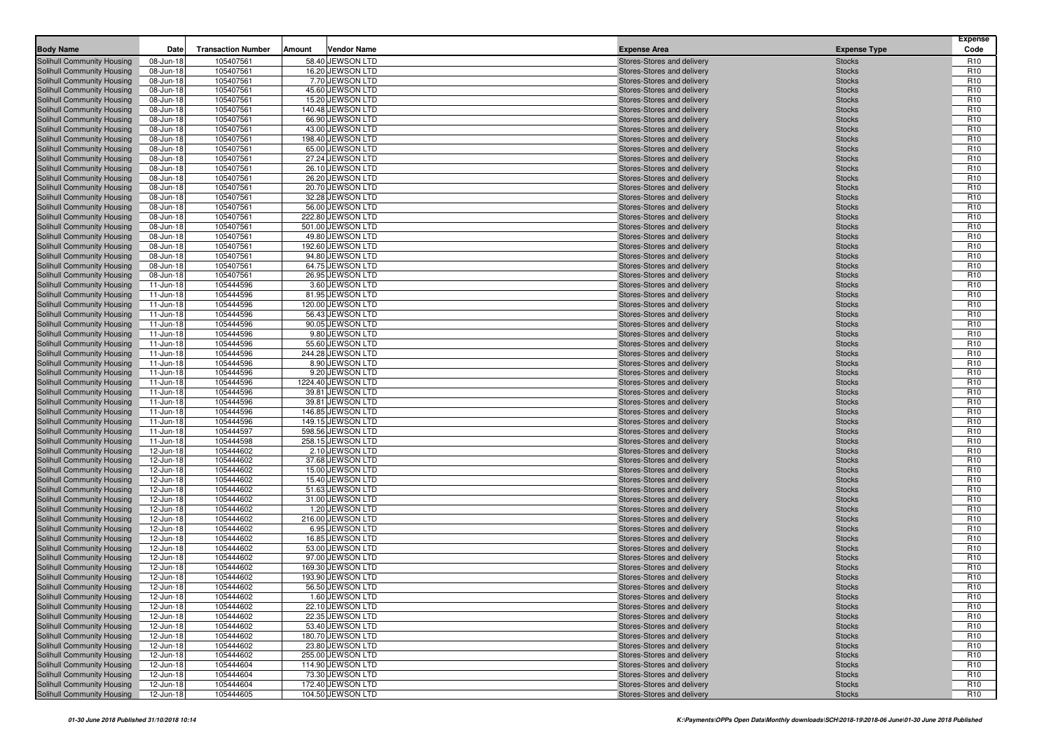| <b>Body Name</b>                                         | Date                   | <b>Transaction Number</b> | Amount | <b>Vendor Name</b>                     | <b>Expense Area</b>                                      | <b>Expense Type</b>            | <b>Expense</b><br>Code             |
|----------------------------------------------------------|------------------------|---------------------------|--------|----------------------------------------|----------------------------------------------------------|--------------------------------|------------------------------------|
| <b>Solihull Community Housing</b>                        | 08-Jun-18              | 105407561                 |        | 58.40 JEWSON LTD                       | Stores-Stores and delivery                               | <b>Stocks</b>                  | R <sub>10</sub>                    |
| Solihull Community Housing                               | 08-Jun-18              | 105407561                 |        | 16.20 JEWSON LTD                       | Stores-Stores and delivery                               | <b>Stocks</b>                  | R <sub>10</sub>                    |
| Solihull Community Housing                               | 08-Jun-18              | 105407561                 |        | 7.70 JEWSON LTD                        | Stores-Stores and delivery                               | <b>Stocks</b>                  | R <sub>10</sub>                    |
| Solihull Community Housing                               | 08-Jun-18              | 105407561                 |        | 45.60 JEWSON LTD                       | Stores-Stores and delivery                               | <b>Stocks</b>                  | R <sub>10</sub>                    |
| Solihull Community Housing                               | 08-Jun-18              | 105407561                 |        | 15.20 JEWSON LTD                       | Stores-Stores and delivery                               | <b>Stocks</b>                  | R <sub>10</sub>                    |
| Solihull Community Housing                               | 08-Jun-18              | 105407561                 |        | 140.48 JEWSON LTD                      | Stores-Stores and delivery                               | <b>Stocks</b>                  | R <sub>10</sub>                    |
| Solihull Community Housing                               | 08-Jun-18              | 105407561                 |        | 66.90 JEWSON LTD                       | Stores-Stores and delivery                               | <b>Stocks</b>                  | R <sub>10</sub>                    |
| Solihull Community Housing                               | 08-Jun-18              | 105407561                 |        | 43.00 JEWSON LTD                       | Stores-Stores and delivery                               | <b>Stocks</b>                  | R <sub>10</sub>                    |
| Solihull Community Housing                               | 08-Jun-18              | 105407561                 |        | 198.40 JEWSON LTD                      | Stores-Stores and delivery                               | <b>Stocks</b>                  | R <sub>10</sub>                    |
| Solihull Community Housing                               | 08-Jun-18              | 105407561                 |        | 65.00 JEWSON LTD                       | Stores-Stores and delivery                               | <b>Stocks</b>                  | R <sub>10</sub>                    |
| Solihull Community Housing                               | 08-Jun-18              | 105407561                 |        | 27.24 JEWSON LTD                       | Stores-Stores and delivery                               | <b>Stocks</b>                  | R <sub>10</sub>                    |
| Solihull Community Housing                               | 08-Jun-18              | 105407561                 |        | 26.10 JEWSON LTD                       | Stores-Stores and delivery                               | <b>Stocks</b>                  | R <sub>10</sub>                    |
| Solihull Community Housing                               | 08-Jun-18              | 105407561                 |        | 26.20 JEWSON LTD                       | Stores-Stores and delivery                               | <b>Stocks</b>                  | R <sub>10</sub>                    |
| Solihull Community Housing                               | 08-Jun-18              | 105407561                 |        | 20.70 JEWSON LTD                       | Stores-Stores and delivery                               | <b>Stocks</b>                  | R <sub>10</sub>                    |
| Solihull Community Housing                               | 08-Jun-18              | 105407561                 |        | 32.28 JEWSON LTD                       | Stores-Stores and delivery                               | <b>Stocks</b>                  | R <sub>10</sub>                    |
| Solihull Community Housing                               | 08-Jun-18              | 105407561                 |        | 56.00 JEWSON LTD                       | Stores-Stores and delivery                               | <b>Stocks</b>                  | R <sub>10</sub>                    |
| Solihull Community Housing                               | 08-Jun-18              | 105407561                 |        | 222.80 JEWSON LTD                      | Stores-Stores and delivery                               | <b>Stocks</b>                  | R <sub>10</sub>                    |
| Solihull Community Housing                               | 08-Jun-18              | 105407561                 |        | 501.00 JEWSON LTD                      | Stores-Stores and delivery                               | <b>Stocks</b>                  | R <sub>10</sub>                    |
| Solihull Community Housing                               | 08-Jun-18              | 105407561                 |        | 49.80 JEWSON LTD                       | Stores-Stores and delivery                               | <b>Stocks</b>                  | R <sub>10</sub>                    |
| Solihull Community Housing                               | 08-Jun-18              | 105407561                 |        | 192.60 JEWSON LTD                      | Stores-Stores and delivery                               | <b>Stocks</b>                  | R <sub>10</sub>                    |
| Solihull Community Housing                               | 08-Jun-18              | 105407561                 |        | 94.80 JEWSON LTD                       | Stores-Stores and delivery                               | <b>Stocks</b>                  | R <sub>10</sub>                    |
| Solihull Community Housing                               | 08-Jun-18              | 105407561                 |        | 64.75 JEWSON LTD                       | Stores-Stores and delivery                               | <b>Stocks</b>                  | R <sub>10</sub>                    |
| Solihull Community Housing                               | 08-Jun-18              | 105407561                 |        | 26.95 JEWSON LTD                       | Stores-Stores and delivery                               | <b>Stocks</b>                  | R <sub>10</sub>                    |
| Solihull Community Housing                               | 11-Jun-18              | 105444596                 |        | 3.60 JEWSON LTD                        | Stores-Stores and delivery                               | <b>Stocks</b>                  | R <sub>10</sub>                    |
| Solihull Community Housing                               | 11-Jun-18              | 105444596                 |        | 81.95 JEWSON LTD                       | Stores-Stores and delivery                               | <b>Stocks</b>                  | R <sub>10</sub>                    |
| Solihull Community Housing                               | 11-Jun-18              | 105444596                 |        | 120.00 JEWSON LTD                      | Stores-Stores and delivery                               | <b>Stocks</b>                  | R <sub>10</sub>                    |
| Solihull Community Housing                               | 11-Jun-18              | 105444596                 |        | 56.43 JEWSON LTD                       | Stores-Stores and delivery                               | <b>Stocks</b>                  | R <sub>10</sub>                    |
| Solihull Community Housing                               | 11-Jun-18              | 105444596                 |        | 90.05 JEWSON LTD                       | Stores-Stores and delivery                               | <b>Stocks</b>                  | R <sub>10</sub>                    |
| Solihull Community Housing                               | 11-Jun-18              | 105444596                 |        | 9.80 JEWSON LTD                        | Stores-Stores and delivery                               | <b>Stocks</b>                  | R <sub>10</sub>                    |
| Solihull Community Housing                               | 11-Jun-18              | 105444596                 |        | 55.60 JEWSON LTD                       | Stores-Stores and delivery                               | <b>Stocks</b>                  | R <sub>10</sub>                    |
| Solihull Community Housing                               | 11-Jun-18              | 105444596                 |        | 244.28 JEWSON LTD                      | Stores-Stores and delivery                               | <b>Stocks</b>                  | R <sub>10</sub>                    |
| Solihull Community Housing                               | 11-Jun-18              | 105444596                 |        | 8.90 JEWSON LTD                        | Stores-Stores and delivery                               | <b>Stocks</b>                  | R <sub>10</sub>                    |
| Solihull Community Housing                               | 11-Jun-18              | 105444596                 |        | 9.20 JEWSON LTD                        | Stores-Stores and delivery                               | <b>Stocks</b>                  | R <sub>10</sub>                    |
| Solihull Community Housing                               | 11-Jun-18              | 105444596                 |        | 1224.40 JEWSON LTD                     | Stores-Stores and delivery                               | <b>Stocks</b>                  | R <sub>10</sub>                    |
| Solihull Community Housing                               | 11-Jun-18              | 105444596                 |        | 39.81 JEWSON LTD                       | Stores-Stores and delivery                               | <b>Stocks</b>                  | R <sub>10</sub>                    |
| Solihull Community Housing                               | 11-Jun-18              | 105444596                 |        | 39.81 JEWSON LTD                       | Stores-Stores and delivery                               | <b>Stocks</b>                  | R <sub>10</sub>                    |
| Solihull Community Housing                               | 11-Jun-18              | 105444596                 |        | 146.85 JEWSON LTD                      | Stores-Stores and delivery                               | <b>Stocks</b>                  | R <sub>10</sub>                    |
| Solihull Community Housing                               | 11-Jun-18              | 105444596<br>105444597    |        | 149.15 JEWSON LTD<br>598.56 JEWSON LTD | Stores-Stores and delivery                               | <b>Stocks</b><br><b>Stocks</b> | R <sub>10</sub><br>R <sub>10</sub> |
| Solihull Community Housing                               | 11-Jun-18              | 105444598                 |        | 258.15 JEWSON LTD                      | Stores-Stores and delivery                               | <b>Stocks</b>                  | R <sub>10</sub>                    |
| Solihull Community Housing<br>Solihull Community Housing | 11-Jun-18<br>12-Jun-18 | 105444602                 |        | 2.10 JEWSON LTD                        | Stores-Stores and delivery                               | <b>Stocks</b>                  | R <sub>10</sub>                    |
| Solihull Community Housing                               | 12-Jun-18              | 105444602                 |        | 37.68 JEWSON LTD                       | Stores-Stores and delivery<br>Stores-Stores and delivery | <b>Stocks</b>                  | R <sub>10</sub>                    |
| Solihull Community Housing                               | 12-Jun-18              | 105444602                 |        | 15.00 JEWSON LTD                       | Stores-Stores and delivery                               | <b>Stocks</b>                  | R <sub>10</sub>                    |
| Solihull Community Housing                               | 12-Jun-18              | 105444602                 |        | 15.40 JEWSON LTD                       | Stores-Stores and delivery                               | <b>Stocks</b>                  | R <sub>10</sub>                    |
| Solihull Community Housing                               | 12-Jun-18              | 105444602                 |        | 51.63 JEWSON LTD                       | Stores-Stores and delivery                               | <b>Stocks</b>                  | R <sub>10</sub>                    |
| Solihull Community Housing                               | 12-Jun-18              | 105444602                 |        | 31.00 JEWSON LTD                       | Stores-Stores and delivery                               | <b>Stocks</b>                  | R <sub>10</sub>                    |
| Solihull Community Housing                               | 12-Jun-18              | 105444602                 |        | 1.20 JEWSON LTD                        | Stores-Stores and delivery                               | <b>Stocks</b>                  | R <sub>10</sub>                    |
| Solihull Community Housing                               | 12-Jun-18              | 105444602                 |        | 216.00 JEWSON LTD                      | Stores-Stores and delivery                               | <b>Stocks</b>                  | R <sub>10</sub>                    |
| Solihull Community Housing                               | 12-Jun-18              | 105444602                 |        | 6.95 JEWSON LTD                        | Stores-Stores and delivery                               | <b>Stocks</b>                  | R <sub>10</sub>                    |
| Solihull Community Housing                               | 12-Jun-18              | 105444602                 |        | 16.85 JEWSON LTD                       | Stores-Stores and delivery                               | <b>Stocks</b>                  | R <sub>10</sub>                    |
| Solihull Community Housing                               | 12-Jun-18              | 105444602                 |        | 53.00 JEWSON LTD                       | Stores-Stores and delivery                               | <b>Stocks</b>                  | R <sub>10</sub>                    |
| <b>Solihull Community Housing</b>                        | 12-Jun-18              | 105444602                 |        | 97.00 JEWSON LTD                       | Stores-Stores and delivery                               | <b>Stocks</b>                  | R <sub>10</sub>                    |
| Solihull Community Housing                               | 12-Jun-18              | 105444602                 |        | 169.30 JEWSON LTD                      | Stores-Stores and delivery                               | <b>Stocks</b>                  | R <sub>10</sub>                    |
| Solihull Community Housing                               | 12-Jun-18              | 105444602                 |        | 193.90 JEWSON LTD                      | Stores-Stores and delivery                               | <b>Stocks</b>                  | R <sub>10</sub>                    |
| Solihull Community Housing                               | 12-Jun-18              | 105444602                 |        | 56.50 JEWSON LTD                       | Stores-Stores and delivery                               | <b>Stocks</b>                  | R <sub>10</sub>                    |
| Solihull Community Housing                               | 12-Jun-18              | 105444602                 |        | 1.60 JEWSON LTD                        | Stores-Stores and delivery                               | <b>Stocks</b>                  | R <sub>10</sub>                    |
| Solihull Community Housing                               | 12-Jun-18              | 105444602                 |        | 22.10 JEWSON LTD                       | Stores-Stores and delivery                               | <b>Stocks</b>                  | R <sub>10</sub>                    |
| Solihull Community Housing                               | 12-Jun-18              | 105444602                 |        | 22.35 JEWSON LTD                       | Stores-Stores and delivery                               | <b>Stocks</b>                  | R <sub>10</sub>                    |
| Solihull Community Housing                               | 12-Jun-18              | 105444602                 |        | 53.40 JEWSON LTD                       | Stores-Stores and delivery                               | <b>Stocks</b>                  | R <sub>10</sub>                    |
| Solihull Community Housing                               | 12-Jun-18              | 105444602                 |        | 180.70 JEWSON LTD                      | Stores-Stores and delivery                               | <b>Stocks</b>                  | R <sub>10</sub>                    |
| Solihull Community Housing                               | 12-Jun-18              | 105444602                 |        | 23.80 JEWSON LTD                       | Stores-Stores and delivery                               | <b>Stocks</b>                  | R <sub>10</sub>                    |
| Solihull Community Housing                               | 12-Jun-18              | 105444602                 |        | 255.00 JEWSON LTD                      | Stores-Stores and delivery                               | <b>Stocks</b>                  | R <sub>10</sub>                    |
| Solihull Community Housing                               | 12-Jun-18              | 105444604                 |        | 114.90 JEWSON LTD                      | Stores-Stores and delivery                               | <b>Stocks</b>                  | R <sub>10</sub>                    |
| Solihull Community Housing                               | 12-Jun-18              | 105444604                 |        | 73.30 JEWSON LTD                       | Stores-Stores and delivery                               | <b>Stocks</b>                  | R <sub>10</sub>                    |
| Solihull Community Housing                               | 12-Jun-18              | 105444604                 |        | 172.40 JEWSON LTD                      | Stores-Stores and delivery                               | <b>Stocks</b>                  | R <sub>10</sub>                    |
| <b>Solihull Community Housing</b>                        | 12-Jun-18              | 105444605                 |        | 104.50 JEWSON LTD                      | Stores-Stores and delivery                               | <b>Stocks</b>                  | R <sub>10</sub>                    |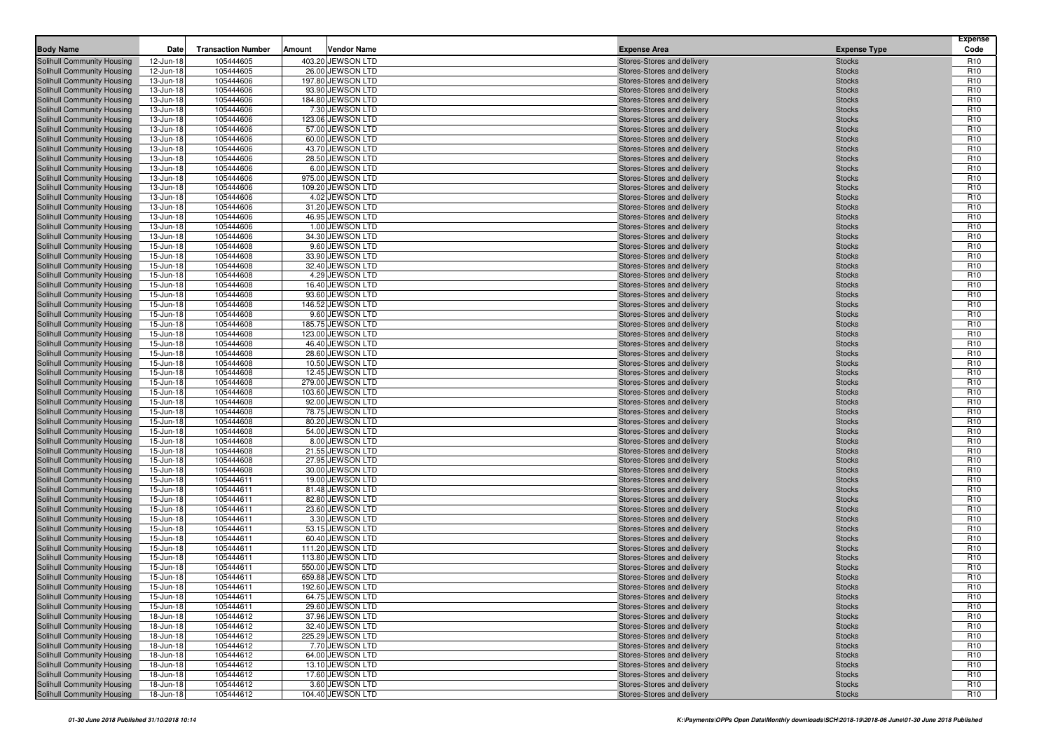| <b>Body Name</b>                                         | Date                   | <b>Transaction Number</b> | Amount | <b>Vendor Name</b>                     | <b>Expense Area</b>                                      | <b>Expense Type</b>            | <b>Expense</b><br>Code             |
|----------------------------------------------------------|------------------------|---------------------------|--------|----------------------------------------|----------------------------------------------------------|--------------------------------|------------------------------------|
| <b>Solihull Community Housing</b>                        | 12-Jun-18              | 105444605                 |        | 403.20 JEWSON LTD                      | Stores-Stores and delivery                               | <b>Stocks</b>                  | R <sub>10</sub>                    |
| Solihull Community Housing                               | 12-Jun-18              | 105444605                 |        | 26.00 JEWSON LTD                       | Stores-Stores and delivery                               | <b>Stocks</b>                  | R <sub>10</sub>                    |
| Solihull Community Housing                               | 13-Jun-18              | 105444606                 |        | 197.80 JEWSON LTD                      | Stores-Stores and delivery                               | <b>Stocks</b>                  | R <sub>10</sub>                    |
| Solihull Community Housing                               | 13-Jun-18              | 105444606                 |        | 93.90 JEWSON LTD                       | Stores-Stores and delivery                               | <b>Stocks</b>                  | R <sub>10</sub>                    |
| Solihull Community Housing                               | 13-Jun-18              | 105444606                 |        | 184.80 JEWSON LTD                      | Stores-Stores and delivery                               | <b>Stocks</b>                  | R <sub>10</sub>                    |
| Solihull Community Housing                               | 13-Jun-18              | 105444606                 |        | 7.30 JEWSON LTD                        | Stores-Stores and delivery                               | <b>Stocks</b>                  | R <sub>10</sub>                    |
| Solihull Community Housing                               | 13-Jun-18              | 105444606                 |        | 123.06 JEWSON LTD                      | Stores-Stores and delivery                               | <b>Stocks</b>                  | R <sub>10</sub>                    |
| Solihull Community Housing                               | 13-Jun-18              | 105444606                 |        | 57.00 JEWSON LTD                       | Stores-Stores and delivery                               | <b>Stocks</b>                  | R <sub>10</sub>                    |
| Solihull Community Housing                               | 13-Jun-18              | 105444606                 |        | 60.00 JEWSON LTD                       | Stores-Stores and delivery                               | <b>Stocks</b>                  | R <sub>10</sub><br>R <sub>10</sub> |
| Solihull Community Housing                               | 13-Jun-18<br>13-Jun-18 | 105444606<br>105444606    |        | 43.70 JEWSON LTD<br>28.50 JEWSON LTD   | Stores-Stores and delivery                               | <b>Stocks</b><br><b>Stocks</b> | R <sub>10</sub>                    |
| Solihull Community Housing<br>Solihull Community Housing | 13-Jun-18              | 105444606                 |        | 6.00 JEWSON LTD                        | Stores-Stores and delivery<br>Stores-Stores and delivery | <b>Stocks</b>                  | R <sub>10</sub>                    |
| Solihull Community Housing                               | 13-Jun-18              | 105444606                 |        | 975.00 JEWSON LTD                      | Stores-Stores and delivery                               | <b>Stocks</b>                  | R <sub>10</sub>                    |
| Solihull Community Housing                               | 13-Jun-18              | 105444606                 |        | 109.20 JEWSON LTD                      | Stores-Stores and delivery                               | <b>Stocks</b>                  | R <sub>10</sub>                    |
| Solihull Community Housing                               | 13-Jun-18              | 105444606                 |        | 4.02 JEWSON LTD                        | Stores-Stores and delivery                               | <b>Stocks</b>                  | R <sub>10</sub>                    |
| Solihull Community Housing                               | 13-Jun-18              | 105444606                 |        | 31.20 JEWSON LTD                       | Stores-Stores and delivery                               | <b>Stocks</b>                  | R <sub>10</sub>                    |
| Solihull Community Housing                               | 13-Jun-18              | 105444606                 |        | 46.95 JEWSON LTD                       | Stores-Stores and delivery                               | <b>Stocks</b>                  | R <sub>10</sub>                    |
| Solihull Community Housing                               | 13-Jun-18              | 105444606                 |        | 1.00 JEWSON LTD                        | Stores-Stores and delivery                               | <b>Stocks</b>                  | R <sub>10</sub>                    |
| Solihull Community Housing                               | 13-Jun-18              | 105444606                 |        | 34.30 JEWSON LTD                       | Stores-Stores and delivery                               | <b>Stocks</b>                  | R <sub>10</sub>                    |
| Solihull Community Housing                               | 15-Jun-18              | 105444608                 |        | 9.60 JEWSON LTD                        | Stores-Stores and delivery                               | <b>Stocks</b>                  | R <sub>10</sub>                    |
| Solihull Community Housing                               | 15-Jun-18              | 105444608                 |        | 33.90 JEWSON LTD                       | Stores-Stores and delivery                               | <b>Stocks</b>                  | R <sub>10</sub>                    |
| Solihull Community Housing                               | 15-Jun-18              | 105444608                 |        | 32.40 JEWSON LTD                       | Stores-Stores and delivery                               | <b>Stocks</b>                  | R <sub>10</sub>                    |
| <b>Solihull Community Housing</b>                        | 15-Jun-18              | 105444608<br>105444608    |        | 4.29 JEWSON LTD                        | Stores-Stores and delivery<br>Stores-Stores and delivery | <b>Stocks</b><br><b>Stocks</b> | R <sub>10</sub><br>R <sub>10</sub> |
| Solihull Community Housing<br>Solihull Community Housing | 15-Jun-18<br>15-Jun-18 | 105444608                 |        | 16.40 JEWSON LTD<br>93.60 JEWSON LTD   | Stores-Stores and delivery                               | <b>Stocks</b>                  | R <sub>10</sub>                    |
| Solihull Community Housing                               | 15-Jun-18              | 105444608                 |        | 146.52 JEWSON LTD                      | Stores-Stores and delivery                               | <b>Stocks</b>                  | R <sub>10</sub>                    |
| Solihull Community Housing                               | 15-Jun-18              | 105444608                 |        | 9.60 JEWSON LTD                        | Stores-Stores and delivery                               | <b>Stocks</b>                  | R <sub>10</sub>                    |
| Solihull Community Housing                               | 15-Jun-18              | 105444608                 |        | 185.75 JEWSON LTD                      | Stores-Stores and delivery                               | <b>Stocks</b>                  | R <sub>10</sub>                    |
| Solihull Community Housing                               | 15-Jun-18              | 105444608                 |        | 123.00 JEWSON LTD                      | Stores-Stores and delivery                               | <b>Stocks</b>                  | R <sub>10</sub>                    |
| Solihull Community Housing                               | 15-Jun-18              | 105444608                 |        | 46.40 JEWSON LTD                       | Stores-Stores and delivery                               | <b>Stocks</b>                  | R <sub>10</sub>                    |
| Solihull Community Housing                               | 15-Jun-18              | 105444608                 |        | 28.60 JEWSON LTD                       | Stores-Stores and delivery                               | <b>Stocks</b>                  | R <sub>10</sub>                    |
| Solihull Community Housing                               | 15-Jun-18              | 105444608                 |        | 10.50 JEWSON LTD                       | Stores-Stores and delivery                               | <b>Stocks</b>                  | R <sub>10</sub>                    |
| Solihull Community Housing                               | 15-Jun-18              | 105444608                 |        | 12.45 JEWSON LTD                       | Stores-Stores and delivery                               | <b>Stocks</b>                  | R <sub>10</sub>                    |
| Solihull Community Housing                               | 15-Jun-18              | 105444608                 |        | 279.00 JEWSON LTD                      | Stores-Stores and delivery                               | <b>Stocks</b>                  | R <sub>10</sub>                    |
| Solihull Community Housing                               | 15-Jun-18              | 105444608                 |        | 103.60 JEWSON LTD                      | Stores-Stores and delivery                               | <b>Stocks</b>                  | R <sub>10</sub>                    |
| Solihull Community Housing                               | 15-Jun-18              | 105444608                 |        | 92.00 JEWSON LTD                       | Stores-Stores and delivery                               | <b>Stocks</b>                  | R <sub>10</sub>                    |
| Solihull Community Housing<br>Solihull Community Housing | 15-Jun-18<br>15-Jun-18 | 105444608<br>105444608    |        | 78.75 JEWSON LTD<br>80.20 JEWSON LTD   | Stores-Stores and delivery<br>Stores-Stores and delivery | <b>Stocks</b><br><b>Stocks</b> | R <sub>10</sub><br>R <sub>10</sub> |
| Solihull Community Housing                               | 15-Jun-18              | 105444608                 |        | 54.00 JEWSON LTD                       | Stores-Stores and delivery                               | <b>Stocks</b>                  | R <sub>10</sub>                    |
| Solihull Community Housing                               | 15-Jun-18              | 105444608                 |        | 8.00 JEWSON LTD                        | Stores-Stores and delivery                               | <b>Stocks</b>                  | R <sub>10</sub>                    |
| Solihull Community Housing                               | 15-Jun-18              | 105444608                 |        | 21.55 JEWSON LTD                       | Stores-Stores and delivery                               | <b>Stocks</b>                  | R <sub>10</sub>                    |
| Solihull Community Housing                               | 15-Jun-18              | 105444608                 |        | 27.95 JEWSON LTD                       | Stores-Stores and delivery                               | <b>Stocks</b>                  | R <sub>10</sub>                    |
| Solihull Community Housing                               | 15-Jun-18              | 105444608                 |        | 30.00 JEWSON LTD                       | Stores-Stores and delivery                               | <b>Stocks</b>                  | R <sub>10</sub>                    |
| Solihull Community Housing                               | 15-Jun-18              | 105444611                 |        | 19.00 JEWSON LTD                       | Stores-Stores and delivery                               | <b>Stocks</b>                  | R <sub>10</sub>                    |
| Solihull Community Housing                               | 15-Jun-18              | 105444611                 |        | 81.48 JEWSON LTD                       | Stores-Stores and delivery                               | <b>Stocks</b>                  | R <sub>10</sub>                    |
| Solihull Community Housing                               | 15-Jun-18              | 105444611                 |        | 82.80 JEWSON LTD                       | Stores-Stores and delivery                               | <b>Stocks</b>                  | R <sub>10</sub>                    |
| Solihull Community Housing                               | 15-Jun-18              | 105444611                 |        | 23.60 JEWSON LTD                       | Stores-Stores and delivery                               | <b>Stocks</b>                  | R <sub>10</sub>                    |
| Solihull Community Housing                               | 15-Jun-18              | 105444611                 |        | 3.30 JEWSON LTD                        | Stores-Stores and delivery                               | <b>Stocks</b>                  | R <sub>10</sub>                    |
| Solihull Community Housing                               | 15-Jun-18              | 105444611                 |        | 53.15 JEWSON LTD                       | Stores-Stores and delivery                               | <b>Stocks</b>                  | R <sub>10</sub>                    |
| Solihull Community Housing                               | 15-Jun-18              | 105444611                 |        | 60.40 JEWSON LTD                       | Stores-Stores and delivery                               | <b>Stocks</b>                  | R <sub>10</sub>                    |
| Solihull Community Housing                               | 15-Jun-18              | 105444611                 |        | 111.20 JEWSON LTD                      | Stores-Stores and delivery                               | <b>Stocks</b>                  | R <sub>10</sub><br>R <sub>10</sub> |
| Solihull Community Housing<br>Solihull Community Housing | 15-Jun-18<br>15-Jun-18 | 105444611<br>105444611    |        | 113.80 JEWSON LTD<br>550.00 JEWSON LTD | Stores-Stores and delivery<br>Stores-Stores and delivery | <b>Stocks</b><br><b>Stocks</b> | R <sub>10</sub>                    |
| Solihull Community Housing                               | 15-Jun-18              | 105444611                 |        | 659.88 JEWSON LTD                      | Stores-Stores and delivery                               | <b>Stocks</b>                  | R <sub>10</sub>                    |
| Solihull Community Housing                               | 15-Jun-18              | 105444611                 |        | 192.60 JEWSON LTD                      | Stores-Stores and delivery                               | <b>Stocks</b>                  | R <sub>10</sub>                    |
| Solihull Community Housing                               | 15-Jun-18              | 105444611                 |        | 64.75 JEWSON LTD                       | Stores-Stores and delivery                               | <b>Stocks</b>                  | R <sub>10</sub>                    |
| Solihull Community Housing                               | 15-Jun-18              | 105444611                 |        | 29.60 JEWSON LTD                       | Stores-Stores and delivery                               | <b>Stocks</b>                  | R <sub>10</sub>                    |
| Solihull Community Housing                               | 18-Jun-18              | 105444612                 |        | 37.96 JEWSON LTD                       | Stores-Stores and delivery                               | <b>Stocks</b>                  | R <sub>10</sub>                    |
| Solihull Community Housing                               | 18-Jun-18              | 105444612                 |        | 32.40 JEWSON LTD                       | Stores-Stores and delivery                               | <b>Stocks</b>                  | R <sub>10</sub>                    |
| Solihull Community Housing                               | 18-Jun-18              | 105444612                 |        | 225.29 JEWSON LTD                      | Stores-Stores and delivery                               | <b>Stocks</b>                  | R <sub>10</sub>                    |
| Solihull Community Housing                               | 18-Jun-18              | 105444612                 |        | 7.70 JEWSON LTD                        | Stores-Stores and delivery                               | <b>Stocks</b>                  | R <sub>10</sub>                    |
| Solihull Community Housing                               | 18-Jun-18              | 105444612                 |        | 64.00 JEWSON LTD                       | Stores-Stores and delivery                               | <b>Stocks</b>                  | R <sub>10</sub>                    |
| Solihull Community Housing                               | 18-Jun-18              | 105444612                 |        | 13.10 JEWSON LTD                       | Stores-Stores and delivery                               | <b>Stocks</b>                  | R <sub>10</sub>                    |
| Solihull Community Housing                               | 18-Jun-18              | 105444612                 |        | 17.60 JEWSON LTD                       | Stores-Stores and delivery                               | <b>Stocks</b>                  | R <sub>10</sub>                    |
| Solihull Community Housing                               | 18-Jun-18              | 105444612                 |        | 3.60 JEWSON LTD                        | Stores-Stores and delivery                               | Stocks                         | R <sub>10</sub>                    |
| Solihull Community Housing                               | 18-Jun-18              | 105444612                 |        | 104.40 JEWSON LTD                      | Stores-Stores and delivery                               | <b>Stocks</b>                  | R <sub>10</sub>                    |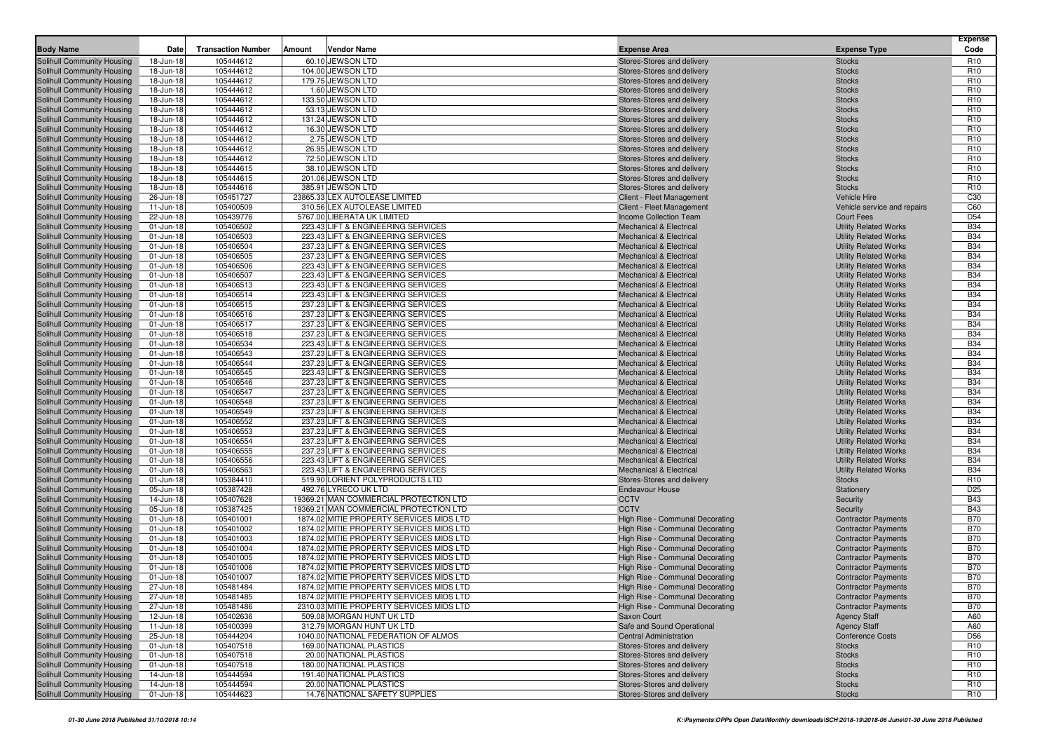|                                                          |                        |                           |        |                                                                                      |                                                                          |                                                              | <b>Expense</b>                     |
|----------------------------------------------------------|------------------------|---------------------------|--------|--------------------------------------------------------------------------------------|--------------------------------------------------------------------------|--------------------------------------------------------------|------------------------------------|
| <b>Body Name</b>                                         | Date                   | <b>Transaction Number</b> | Amount | Vendor Name                                                                          | <b>Expense Area</b>                                                      | <b>Expense Type</b>                                          | Code                               |
| <b>Solihull Community Housing</b>                        | 18-Jun-18              | 105444612                 |        | 60.10 JEWSON LTD                                                                     | Stores-Stores and delivery                                               | <b>Stocks</b>                                                | R <sub>10</sub>                    |
| Solihull Community Housing                               | 18-Jun-18              | 105444612                 |        | 104.00 JEWSON LTD<br>179.75 JEWSON LTD                                               | Stores-Stores and delivery                                               | <b>Stocks</b>                                                | R <sub>10</sub><br>R <sub>10</sub> |
| Solihull Community Housing<br>Solihull Community Housing | 18-Jun-18<br>18-Jun-18 | 105444612<br>105444612    |        | 1.60 JEWSON LTD                                                                      | Stores-Stores and delivery<br>Stores-Stores and delivery                 | <b>Stocks</b><br><b>Stocks</b>                               | R <sub>10</sub>                    |
| Solihull Community Housing                               | 18-Jun-18              | 105444612                 |        | 133.50 JEWSON LTD                                                                    | Stores-Stores and delivery                                               | <b>Stocks</b>                                                | R <sub>10</sub>                    |
| Solihull Community Housing                               | 18-Jun-18              | 105444612                 |        | 53.13 JEWSON LTD                                                                     | Stores-Stores and delivery                                               | <b>Stocks</b>                                                | R <sub>10</sub>                    |
| Solihull Community Housing                               | 18-Jun-18              | 105444612                 |        | 131.24 JEWSON LTD                                                                    | Stores-Stores and delivery                                               | <b>Stocks</b>                                                | R <sub>10</sub>                    |
| Solihull Community Housing                               | 18-Jun-18              | 105444612                 |        | 16.30 JEWSON LTD                                                                     | Stores-Stores and delivery                                               | <b>Stocks</b>                                                | R <sub>10</sub>                    |
| Solihull Community Housing                               | 18-Jun-18              | 105444612                 |        | 2.75 JEWSON LTD                                                                      | Stores-Stores and delivery                                               | <b>Stocks</b>                                                | R <sub>10</sub>                    |
| Solihull Community Housing                               | 18-Jun-18              | 105444612                 |        | 26.95 JEWSON LTD                                                                     | Stores-Stores and delivery                                               | <b>Stocks</b>                                                | R <sub>10</sub>                    |
| Solihull Community Housing                               | 18-Jun-18              | 105444612                 |        | 72.50 JEWSON LTD                                                                     | Stores-Stores and delivery                                               | <b>Stocks</b>                                                | R <sub>10</sub>                    |
| Solihull Community Housing                               | 18-Jun-18              | 105444615                 |        | 38.10 JEWSON LTD                                                                     | Stores-Stores and delivery                                               | <b>Stocks</b>                                                | R <sub>10</sub>                    |
| Solihull Community Housing                               | 18-Jun-18              | 105444615                 |        | 201.06 JEWSON LTD                                                                    | Stores-Stores and delivery                                               | <b>Stocks</b>                                                | R <sub>10</sub>                    |
| Solihull Community Housing                               | 18-Jun-18              | 105444616                 |        | 385.91 JEWSON LTD                                                                    | Stores-Stores and delivery                                               | <b>Stocks</b>                                                | R <sub>10</sub>                    |
| Solihull Community Housing                               | 26-Jun-18              | 105451727                 |        | 23865.33 LEX AUTOLEASE LIMITED                                                       | Client - Fleet Management                                                | <b>Vehicle Hire</b>                                          | C30                                |
| Solihull Community Housing                               | 11-Jun-18              | 105400509                 |        | 310.56 LEX AUTOLEASE LIMITED                                                         | Client - Fleet Management                                                | Vehicle service and repairs                                  | C60                                |
| Solihull Community Housing                               | 22-Jun-18              | 105439776                 |        | 5767.00 LIBERATA UK LIMITED                                                          | Income Collection Team                                                   | <b>Court Fees</b>                                            | D <sub>54</sub>                    |
| Solihull Community Housing                               | 01-Jun-18              | 105406502                 |        | 223.43 LIFT & ENGINEERING SERVICES                                                   | <b>Mechanical &amp; Electrical</b>                                       | <b>Utility Related Works</b>                                 | <b>B34</b>                         |
| Solihull Community Housing                               | 01-Jun-18              | 105406503                 |        | 223.43 LIFT & ENGINEERING SERVICES                                                   | <b>Mechanical &amp; Electrical</b>                                       | <b>Utility Related Works</b>                                 | <b>B34</b><br><b>B34</b>           |
| Solihull Community Housing<br>Solihull Community Housing | 01-Jun-18<br>01-Jun-18 | 105406504<br>105406505    |        | 237.23 LIFT & ENGINEERING SERVICES<br>237.23 LIFT & ENGINEERING SERVICES             | <b>Mechanical &amp; Electrical</b><br><b>Mechanical &amp; Electrical</b> | <b>Utility Related Works</b><br><b>Utility Related Works</b> | <b>B34</b>                         |
| Solihull Community Housing                               | 01-Jun-18              | 105406506                 |        | 223.43 LIFT & ENGINEERING SERVICES                                                   | <b>Mechanical &amp; Electrical</b>                                       | <b>Utility Related Works</b>                                 | <b>B34</b>                         |
| Solihull Community Housing                               | 01-Jun-18              | 105406507                 |        | 223.43 LIFT & ENGINEERING SERVICES                                                   | <b>Mechanical &amp; Electrical</b>                                       | <b>Utility Related Works</b>                                 | <b>B34</b>                         |
| Solihull Community Housing                               | 01-Jun-18              | 105406513                 |        | 223.43 LIFT & ENGINEERING SERVICES                                                   | <b>Mechanical &amp; Electrica</b>                                        | <b>Utility Related Works</b>                                 | <b>B34</b>                         |
| Solihull Community Housing                               | 01-Jun-18              | 105406514                 |        | 223.43 LIFT & ENGINEERING SERVICES                                                   | <b>Mechanical &amp; Electrical</b>                                       | <b>Utility Related Works</b>                                 | <b>B34</b>                         |
| Solihull Community Housing                               | 01-Jun-18              | 105406515                 |        | 237.23 LIFT & ENGINEERING SERVICES                                                   | <b>Mechanical &amp; Electrical</b>                                       | <b>Utility Related Works</b>                                 | <b>B34</b>                         |
| Solihull Community Housing                               | 01-Jun-18              | 105406516                 |        | 237.23 LIFT & ENGINEERING SERVICES                                                   | <b>Mechanical &amp; Electrical</b>                                       | <b>Utility Related Works</b>                                 | <b>B34</b>                         |
| Solihull Community Housing                               | 01-Jun-18              | 105406517                 |        | 237.23 LIFT & ENGINEERING SERVICES                                                   | <b>Mechanical &amp; Electrical</b>                                       | <b>Utility Related Works</b>                                 | <b>B34</b>                         |
| Solihull Community Housing                               | 01-Jun-18              | 105406518                 |        | 237.23 LIFT & ENGINEERING SERVICES                                                   | <b>Mechanical &amp; Electrical</b>                                       | <b>Utility Related Works</b>                                 | <b>B34</b>                         |
| Solihull Community Housing                               | 01-Jun-18              | 105406534                 |        | 223.43 LIFT & ENGINEERING SERVICES                                                   | <b>Mechanical &amp; Electrical</b>                                       | <b>Utility Related Works</b>                                 | <b>B34</b>                         |
| Solihull Community Housing                               | 01-Jun-18              | 105406543                 |        | 237.23 LIFT & ENGINEERING SERVICES                                                   | <b>Mechanical &amp; Electrical</b>                                       | <b>Utility Related Works</b>                                 | <b>B34</b>                         |
| Solihull Community Housing                               | 01-Jun-18              | 105406544                 |        | 237.23 LIFT & ENGINEERING SERVICES                                                   | <b>Mechanical &amp; Electrical</b>                                       | <b>Utility Related Works</b>                                 | <b>B34</b>                         |
| Solihull Community Housing                               | 01-Jun-18              | 105406545                 |        | 223.43 LIFT & ENGINEERING SERVICES<br>237.23 LIFT & ENGINEERING SERVICES             | <b>Mechanical &amp; Electrical</b>                                       | <b>Utility Related Works</b>                                 | <b>B34</b>                         |
| Solihull Community Housing<br>Solihull Community Housing | 01-Jun-18              | 105406546<br>105406547    |        | 237.23 LIFT & ENGINEERING SERVICES                                                   | <b>Mechanical &amp; Electrica</b><br><b>Mechanical &amp; Electrical</b>  | <b>Utility Related Works</b>                                 | <b>B34</b><br><b>B34</b>           |
| Solihull Community Housing                               | 01-Jun-18<br>01-Jun-18 | 105406548                 |        | 237.23 LIFT & ENGINEERING SERVICES                                                   | <b>Mechanical &amp; Electrical</b>                                       | <b>Utility Related Works</b><br><b>Utility Related Works</b> | <b>B34</b>                         |
| Solihull Community Housing                               | 01-Jun-18              | 105406549                 |        | 237.23 LIFT & ENGINEERING SERVICES                                                   | <b>Mechanical &amp; Electrical</b>                                       | <b>Utility Related Works</b>                                 | <b>B34</b>                         |
| Solihull Community Housing                               | 01-Jun-18              | 105406552                 |        | 237.23 LIFT & ENGINEERING SERVICES                                                   | <b>Mechanical &amp; Electrical</b>                                       | <b>Utility Related Works</b>                                 | <b>B34</b>                         |
| Solihull Community Housing                               | 01-Jun-18              | 105406553                 |        | 237.23 LIFT & ENGINEERING SERVICES                                                   | <b>Mechanical &amp; Electrical</b>                                       | <b>Utility Related Works</b>                                 | <b>B34</b>                         |
| Solihull Community Housing                               | 01-Jun-18              | 105406554                 |        | 237.23 LIFT & ENGINEERING SERVICES                                                   | <b>Mechanical &amp; Electrical</b>                                       | <b>Utility Related Works</b>                                 | <b>B34</b>                         |
| Solihull Community Housing                               | 01-Jun-18              | 105406555                 |        | 237.23 LIFT & ENGINEERING SERVICES                                                   | <b>Mechanical &amp; Electrical</b>                                       | <b>Utility Related Works</b>                                 | <b>B34</b>                         |
| Solihull Community Housing                               | 01-Jun-18              | 105406556                 |        | 223.43 LIFT & ENGINEERING SERVICES                                                   | <b>Mechanical &amp; Electrical</b>                                       | <b>Utility Related Works</b>                                 | <b>B34</b>                         |
| Solihull Community Housing                               | 01-Jun-18              | 105406563                 |        | 223.43 LIFT & ENGINEERING SERVICES                                                   | <b>Mechanical &amp; Electrical</b>                                       | <b>Utility Related Works</b>                                 | <b>B34</b>                         |
| Solihull Community Housing                               | 01-Jun-18              | 105384410                 |        | 519.90 LORIENT POLYPRODUCTS LTD                                                      | Stores-Stores and delivery                                               | <b>Stocks</b>                                                | R <sub>10</sub>                    |
| Solihull Community Housing                               | 05-Jun-18              | 105387428                 |        | 492.76 LYRECO UK LTD                                                                 | <b>Endeavour House</b>                                                   | Stationery                                                   | D <sub>25</sub>                    |
| Solihull Community Housing                               | 14-Jun-18              | 105407628                 |        | 19369.21 MAN COMMERCIAL PROTECTION LTD                                               | <b>CCTV</b>                                                              | Security                                                     | <b>B43</b>                         |
| Solihull Community Housing                               | 05-Jun-18              | 105387425                 |        | 19369.21 MAN COMMERCIAL PROTECTION LTD                                               | <b>CCTV</b>                                                              | Security                                                     | <b>B43</b>                         |
| Solihull Community Housing                               | 01-Jun-18              | 105401001                 |        | 1874.02 MITIE PROPERTY SERVICES MIDS LTD<br>1874.02 MITIE PROPERTY SERVICES MIDS LTD | High Rise - Communal Decorating                                          | <b>Contractor Payments</b>                                   | <b>B70</b>                         |
| Solihull Community Housing<br>Solihull Community Housing | 01-Jun-18<br>01-Jun-18 | 105401002<br>105401003    |        | 1874.02 MITIE PROPERTY SERVICES MIDS LTD                                             | High Rise - Communal Decorating<br>High Rise - Communal Decorating       | <b>Contractor Payments</b><br><b>Contractor Payments</b>     | <b>B70</b><br><b>B70</b>           |
| Solihull Community Housing                               | 01-Jun-18              | 105401004                 |        | 1874.02 MITIE PROPERTY SERVICES MIDS LTD                                             | High Rise - Communal Decorating                                          | <b>Contractor Payments</b>                                   | <b>B70</b>                         |
| Solihull Community Housing                               | 01-Jun-18              | 105401005                 |        | 1874.02 MITIE PROPERTY SERVICES MIDS LTD                                             | High Rise - Communal Decorating                                          | <b>Contractor Payments</b>                                   | <b>B70</b>                         |
| Solihull Community Housing                               | 01-Jun-18              | 105401006                 |        | 1874.02 MITIE PROPERTY SERVICES MIDS LTD                                             | High Rise - Communal Decorating                                          | <b>Contractor Payments</b>                                   | <b>B70</b>                         |
| Solihull Community Housing                               | 01-Jun-18              | 105401007                 |        | 1874.02 MITIE PROPERTY SERVICES MIDS LTD                                             | High Rise - Communal Decorating                                          | <b>Contractor Payments</b>                                   | <b>B70</b>                         |
| <b>Solihull Community Housing</b>                        | 27-Jun-18              | 105481484                 |        | 1874.02 MITIE PROPERTY SERVICES MIDS LTD                                             | High Rise - Communal Decorating                                          | <b>Contractor Payments</b>                                   | <b>B70</b>                         |
| Solihull Community Housing                               | 27-Jun-18              | 105481485                 |        | 1874.02 MITIE PROPERTY SERVICES MIDS LTD                                             | High Rise - Communal Decorating                                          | <b>Contractor Payments</b>                                   | <b>B70</b>                         |
| Solihull Community Housing                               | 27-Jun-18              | 105481486                 |        | 2310.03 MITIE PROPERTY SERVICES MIDS LTD                                             | High Rise - Communal Decorating                                          | <b>Contractor Payments</b>                                   | <b>B70</b>                         |
| Solihull Community Housing                               | 12-Jun-18              | 105402636                 |        | 509.08 MORGAN HUNT UK LTD                                                            | Saxon Court                                                              | <b>Agency Staff</b>                                          | A60                                |
| Solihull Community Housing                               | 11-Jun-18              | 105400399                 |        | 312.79 MORGAN HUNT UK LTD                                                            | Safe and Sound Operational                                               | <b>Agency Staff</b>                                          | A60                                |
| Solihull Community Housing                               | 25-Jun-18              | 105444204                 |        | 1040.00 NATIONAL FEDERATION OF ALMOS                                                 | <b>Central Administration</b>                                            | <b>Conference Costs</b>                                      | D <sub>56</sub>                    |
| Solihull Community Housing                               | 01-Jun-18              | 105407518                 |        | 169.00 NATIONAL PLASTICS                                                             | Stores-Stores and delivery                                               | <b>Stocks</b>                                                | R <sub>10</sub>                    |
| Solihull Community Housing                               | 01-Jun-18              | 105407518                 |        | 20.00 NATIONAL PLASTICS                                                              | Stores-Stores and delivery                                               | <b>Stocks</b>                                                | R <sub>10</sub>                    |
| Solihull Community Housing<br>Solihull Community Housing | 01-Jun-18<br>14-Jun-18 | 105407518<br>105444594    |        | 180.00 NATIONAL PLASTICS<br>191.40 NATIONAL PLASTICS                                 | Stores-Stores and delivery<br>Stores-Stores and delivery                 | <b>Stocks</b><br><b>Stocks</b>                               | R <sub>10</sub><br>R <sub>10</sub> |
| Solihull Community Housing                               | 14-Jun-18              | 105444594                 |        | 20.00 NATIONAL PLASTICS                                                              | Stores-Stores and delivery                                               | <b>Stocks</b>                                                | R <sub>10</sub>                    |
| Solihull Community Housing                               | 01-Jun-18              | 105444623                 |        | 14.76 NATIONAL SAFETY SUPPLIES                                                       | Stores-Stores and delivery                                               | <b>Stocks</b>                                                | R <sub>10</sub>                    |
|                                                          |                        |                           |        |                                                                                      |                                                                          |                                                              |                                    |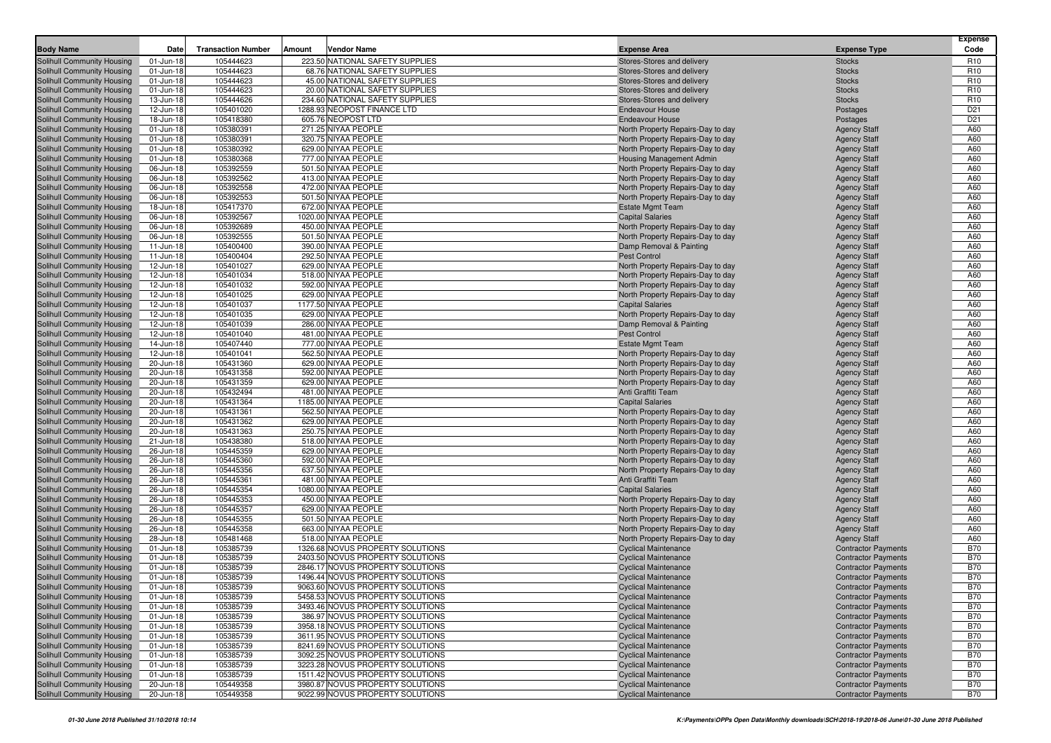|                                                                 |                        |                           |        |                                                                     |                                                                        |                                                          | Expense                            |
|-----------------------------------------------------------------|------------------------|---------------------------|--------|---------------------------------------------------------------------|------------------------------------------------------------------------|----------------------------------------------------------|------------------------------------|
| <b>Body Name</b>                                                | Date                   | <b>Transaction Number</b> | Amount | Vendor Name                                                         | <b>Expense Area</b>                                                    | <b>Expense Type</b>                                      | Code                               |
| <b>Solihull Community Housing</b>                               | 01-Jun-18              | 105444623                 |        | 223.50 NATIONAL SAFETY SUPPLIES                                     | Stores-Stores and delivery                                             | <b>Stocks</b>                                            | R <sub>10</sub>                    |
| Solihull Community Housing                                      | 01-Jun-18<br>01-Jun-18 | 105444623<br>105444623    |        | 68.76 NATIONAL SAFETY SUPPLIES<br>45.00 NATIONAL SAFETY SUPPLIES    | Stores-Stores and delivery                                             | <b>Stocks</b><br><b>Stocks</b>                           | R <sub>10</sub><br>R <sub>10</sub> |
| Solihull Community Housing<br>Solihull Community Housing        | 01-Jun-18              | 105444623                 |        | 20.00 NATIONAL SAFETY SUPPLIES                                      | Stores-Stores and delivery<br>Stores-Stores and delivery               | <b>Stocks</b>                                            | R <sub>10</sub>                    |
| Solihull Community Housing                                      | 13-Jun-18              | 105444626                 |        | 234.60 NATIONAL SAFETY SUPPLIES                                     | Stores-Stores and delivery                                             | <b>Stocks</b>                                            | R <sub>10</sub>                    |
| Solihull Community Housing                                      | 12-Jun-18              | 105401020                 |        | 1288.93 NEOPOST FINANCE LTD                                         | <b>Endeavour House</b>                                                 | Postages                                                 | D <sub>21</sub>                    |
| Solihull Community Housing                                      | 18-Jun-18              | 105418380                 |        | 605.76 NEOPOST LTD                                                  | <b>Endeavour House</b>                                                 | Postages                                                 | D <sub>21</sub>                    |
| Solihull Community Housing                                      | 01-Jun-18              | 105380391                 |        | 271.25 NIYAA PEOPLE                                                 | North Property Repairs-Day to day                                      | <b>Agency Staff</b>                                      | A60                                |
| Solihull Community Housing                                      | 01-Jun-18              | 105380391                 |        | 320.75 NIYAA PEOPLE                                                 | North Property Repairs-Day to day                                      | <b>Agency Staff</b>                                      | A60                                |
| Solihull Community Housing                                      | 01-Jun-18              | 105380392                 |        | 629.00 NIYAA PEOPLE                                                 | North Property Repairs-Day to day                                      | <b>Agency Staff</b>                                      | A60                                |
| Solihull Community Housing                                      | 01-Jun-18              | 105380368                 |        | 777.00 NIYAA PEOPLE                                                 | <b>Housing Management Admin</b>                                        | <b>Agency Staff</b>                                      | A60                                |
| Solihull Community Housing                                      | 06-Jun-18              | 105392559                 |        | 501.50 NIYAA PEOPLE                                                 | North Property Repairs-Day to day                                      | <b>Agency Staff</b>                                      | A60                                |
| Solihull Community Housing                                      | 06-Jun-18              | 105392562                 |        | 413.00 NIYAA PEOPLE                                                 | North Property Repairs-Day to day                                      | <b>Agency Staff</b>                                      | A60                                |
| Solihull Community Housing                                      | 06-Jun-18              | 105392558                 |        | 472.00 NIYAA PEOPLE                                                 | North Property Repairs-Day to day                                      | <b>Agency Staff</b>                                      | A60                                |
| Solihull Community Housing                                      | 06-Jun-18              | 105392553                 |        | 501.50 NIYAA PEOPLE                                                 | North Property Repairs-Day to day                                      | <b>Agency Staff</b>                                      | A60                                |
| Solihull Community Housing                                      | 18-Jun-18              | 105417370                 |        | 672.00 NIYAA PEOPLE                                                 | <b>Estate Mgmt Team</b>                                                | <b>Agency Staff</b>                                      | A60                                |
| Solihull Community Housing                                      | 06-Jun-18              | 105392567                 |        | 1020.00 NIYAA PEOPLE                                                | <b>Capital Salaries</b>                                                | <b>Agency Staff</b>                                      | A60                                |
| Solihull Community Housing                                      | 06-Jun-18              | 105392689                 |        | 450.00 NIYAA PEOPLE                                                 | North Property Repairs-Day to day                                      | <b>Agency Staff</b>                                      | A60                                |
| Solihull Community Housing                                      | 06-Jun-18              | 105392555                 |        | 501.50 NIYAA PEOPLE                                                 | North Property Repairs-Day to day                                      | <b>Agency Staff</b>                                      | A60                                |
| Solihull Community Housing                                      | 11-Jun-18              | 105400400<br>105400404    |        | 390.00 NIYAA PEOPLE<br>292.50 NIYAA PEOPLE                          | Damp Removal & Painting<br><b>Pest Control</b>                         | <b>Agency Staff</b>                                      | A60<br>A60                         |
| Solihull Community Housing<br><b>Solihull Community Housing</b> | 11-Jun-18<br>12-Jun-18 | 105401027                 |        | 629.00 NIYAA PEOPLE                                                 | North Property Repairs-Day to day                                      | <b>Agency Staff</b><br><b>Agency Staff</b>               | A60                                |
| Solihull Community Housing                                      | 12-Jun-18              | 105401034                 |        | 518.00 NIYAA PEOPLE                                                 | North Property Repairs-Day to day                                      | <b>Agency Staff</b>                                      | A60                                |
| Solihull Community Housing                                      | 12-Jun-18              | 105401032                 |        | 592.00 NIYAA PEOPLE                                                 | North Property Repairs-Day to day                                      | <b>Agency Staff</b>                                      | A60                                |
| Solihull Community Housing                                      | 12-Jun-18              | 105401025                 |        | 629.00 NIYAA PEOPLE                                                 | North Property Repairs-Day to day                                      | <b>Agency Staff</b>                                      | A60                                |
| Solihull Community Housing                                      | 12-Jun-18              | 105401037                 |        | 1177.50 NIYAA PEOPLE                                                | <b>Capital Salaries</b>                                                | <b>Agency Staff</b>                                      | A60                                |
| Solihull Community Housing                                      | 12-Jun-18              | 105401035                 |        | 629.00 NIYAA PEOPLE                                                 | North Property Repairs-Day to day                                      | <b>Agency Staff</b>                                      | A60                                |
| Solihull Community Housing                                      | 12-Jun-18              | 105401039                 |        | 286.00 NIYAA PEOPLE                                                 | Damp Removal & Painting                                                | <b>Agency Staff</b>                                      | A60                                |
| Solihull Community Housing                                      | 12-Jun-18              | 105401040                 |        | 481.00 NIYAA PEOPLE                                                 | <b>Pest Control</b>                                                    | <b>Agency Staff</b>                                      | A60                                |
| Solihull Community Housing                                      | 14-Jun-18              | 105407440                 |        | 777.00 NIYAA PEOPLE                                                 | <b>Estate Mgmt Team</b>                                                | <b>Agency Staff</b>                                      | A60                                |
| Solihull Community Housing                                      | 12-Jun-18              | 105401041                 |        | 562.50 NIYAA PEOPLE                                                 | North Property Repairs-Day to day                                      | <b>Agency Staff</b>                                      | A60                                |
| Solihull Community Housing                                      | 20-Jun-18              | 105431360                 |        | 629.00 NIYAA PEOPLE                                                 | North Property Repairs-Day to day                                      | <b>Agency Staff</b>                                      | A60                                |
| Solihull Community Housing                                      | 20-Jun-18              | 105431358                 |        | 592.00 NIYAA PEOPLE                                                 | North Property Repairs-Day to day                                      | <b>Agency Staff</b>                                      | A60                                |
| Solihull Community Housing                                      | 20-Jun-18              | 105431359                 |        | 629.00 NIYAA PEOPLE                                                 | North Property Repairs-Day to day                                      | <b>Agency Staff</b>                                      | A60                                |
| Solihull Community Housing                                      | 20-Jun-18              | 105432494                 |        | 481.00 NIYAA PEOPLE                                                 | Anti Graffiti Team                                                     | <b>Agency Staff</b>                                      | A60                                |
| Solihull Community Housing                                      | 20-Jun-18              | 105431364                 |        | 1185.00 NIYAA PEOPLE                                                | <b>Capital Salaries</b>                                                | <b>Agency Staff</b>                                      | A60                                |
| Solihull Community Housing                                      | 20-Jun-18              | 105431361                 |        | 562.50 NIYAA PEOPLE                                                 | North Property Repairs-Day to day                                      | <b>Agency Staff</b>                                      | A60                                |
| Solihull Community Housing                                      | 20-Jun-18              | 105431362                 |        | 629.00 NIYAA PEOPLE<br>250.75 NIYAA PEOPLE                          | North Property Repairs-Day to day                                      | <b>Agency Staff</b>                                      | A60<br>A60                         |
| Solihull Community Housing                                      | 20-Jun-18              | 105431363<br>105438380    |        | 518.00 NIYAA PEOPLE                                                 | North Property Repairs-Day to day                                      | <b>Agency Staff</b>                                      | A60                                |
| Solihull Community Housing<br>Solihull Community Housing        | 21-Jun-18<br>26-Jun-18 | 105445359                 |        | 629.00 NIYAA PEOPLE                                                 | North Property Repairs-Day to day<br>North Property Repairs-Day to day | <b>Agency Staff</b><br><b>Agency Staff</b>               | A60                                |
| <b>Solihull Community Housing</b>                               | 26-Jun-18              | 105445360                 |        | 592.00 NIYAA PEOPLE                                                 | North Property Repairs-Day to day                                      | <b>Agency Staff</b>                                      | A60                                |
| Solihull Community Housing                                      | 26-Jun-18              | 105445356                 |        | 637.50 NIYAA PEOPLE                                                 | North Property Repairs-Day to day                                      | <b>Agency Staff</b>                                      | A60                                |
| Solihull Community Housing                                      | 26-Jun-18              | 105445361                 |        | 481.00 NIYAA PEOPLE                                                 | Anti Graffiti Team                                                     | <b>Agency Staff</b>                                      | A60                                |
| Solihull Community Housing                                      | 26-Jun-18              | 105445354                 |        | 1080.00 NIYAA PEOPLE                                                | <b>Capital Salaries</b>                                                | <b>Agency Staff</b>                                      | A60                                |
| Solihull Community Housing                                      | 26-Jun-18              | 105445353                 |        | 450.00 NIYAA PEOPLE                                                 | North Property Repairs-Day to day                                      | <b>Agency Staff</b>                                      | A60                                |
| Solihull Community Housing                                      | 26-Jun-18              | 105445357                 |        | 629.00 NIYAA PEOPLE                                                 | North Property Repairs-Day to day                                      | <b>Agency Staff</b>                                      | A60                                |
| Solihull Community Housing                                      | 26-Jun-18              | 105445355                 |        | 501.50 NIYAA PEOPLE                                                 | North Property Repairs-Day to day                                      | <b>Agency Staff</b>                                      | A60                                |
| Solihull Community Housing                                      | 26-Jun-18              | 105445358                 |        | 663.00 NIYAA PEOPLE                                                 | North Property Repairs-Day to day                                      | <b>Agency Staff</b>                                      | A60                                |
| Solihull Community Housing                                      | 28-Jun-18              | 105481468                 |        | 518.00 NIYAA PEOPLE                                                 | North Property Repairs-Day to day                                      | <b>Agency Staff</b>                                      | A60                                |
| Solihull Community Housing                                      | 01-Jun-18              | 105385739                 |        | 1326.68 NOVUS PROPERTY SOLUTIONS                                    | <b>Cyclical Maintenance</b>                                            | <b>Contractor Payments</b>                               | <b>B70</b>                         |
| Solihull Community Housing                                      | 01-Jun-18              | 105385739                 |        | 2403.50 NOVUS PROPERTY SOLUTIONS                                    | <b>Cyclical Maintenance</b>                                            | <b>Contractor Payments</b>                               | <b>B70</b>                         |
| Solihull Community Housing                                      | 01-Jun-18              | 105385739                 |        | 2846.17 NOVUS PROPERTY SOLUTIONS                                    | <b>Cyclical Maintenance</b>                                            | <b>Contractor Payments</b>                               | <b>B70</b>                         |
| Solihull Community Housing                                      | 01-Jun-18              | 105385739                 |        | 1496.44 NOVUS PROPERTY SOLUTIONS                                    | <b>Cyclical Maintenance</b>                                            | <b>Contractor Payments</b>                               | <b>B70</b>                         |
| <b>Solihull Community Housing</b>                               | 01-Jun-18              | 105385739                 |        | 9063.60 NOVUS PROPERTY SOLUTIONS                                    | <b>Cyclical Maintenance</b>                                            | <b>Contractor Payments</b>                               | <b>B70</b>                         |
| Solihull Community Housing<br>Solihull Community Housing        | 01-Jun-18              | 105385739<br>105385739    |        | 5458.53 NOVUS PROPERTY SOLUTIONS                                    | <b>Cyclical Maintenance</b>                                            | <b>Contractor Payments</b>                               | <b>B70</b><br><b>B70</b>           |
| Solihull Community Housing                                      | 01-Jun-18<br>01-Jun-18 | 105385739                 |        | 3493.46 NOVUS PROPERTY SOLUTIONS<br>386.97 NOVUS PROPERTY SOLUTIONS | <b>Cyclical Maintenance</b><br><b>Cyclical Maintenance</b>             | <b>Contractor Payments</b><br><b>Contractor Payments</b> | <b>B70</b>                         |
| Solihull Community Housing                                      | 01-Jun-18              | 105385739                 |        | 3958.18 NOVUS PROPERTY SOLUTIONS                                    | <b>Cyclical Maintenance</b>                                            | <b>Contractor Payments</b>                               | <b>B70</b>                         |
| Solihull Community Housing                                      | 01-Jun-18              | 105385739                 |        | 3611.95 NOVUS PROPERTY SOLUTIONS                                    | <b>Cyclical Maintenance</b>                                            | <b>Contractor Payments</b>                               | <b>B70</b>                         |
| Solihull Community Housing                                      | 01-Jun-18              | 105385739                 |        | 8241.69 NOVUS PROPERTY SOLUTIONS                                    | <b>Cyclical Maintenance</b>                                            | <b>Contractor Payments</b>                               | <b>B70</b>                         |
| Solihull Community Housing                                      | 01-Jun-18              | 105385739                 |        | 3092.25 NOVUS PROPERTY SOLUTIONS                                    | <b>Cyclical Maintenance</b>                                            | <b>Contractor Payments</b>                               | <b>B70</b>                         |
| Solihull Community Housing                                      | 01-Jun-18              | 105385739                 |        | 3223.28 NOVUS PROPERTY SOLUTIONS                                    | <b>Cyclical Maintenance</b>                                            | <b>Contractor Payments</b>                               | <b>B70</b>                         |
| Solihull Community Housing                                      | 01-Jun-18              | 105385739                 |        | 1511.42 NOVUS PROPERTY SOLUTIONS                                    | <b>Cyclical Maintenance</b>                                            | <b>Contractor Payments</b>                               | <b>B70</b>                         |
| Solihull Community Housing                                      | 20-Jun-18              | 105449358                 |        | 3980.87 NOVUS PROPERTY SOLUTIONS                                    | <b>Cyclical Maintenance</b>                                            | <b>Contractor Payments</b>                               | <b>B70</b>                         |
| Solihull Community Housing                                      | 20-Jun-18              | 105449358                 |        | 9022.99 NOVUS PROPERTY SOLUTIONS                                    | <b>Cyclical Maintenance</b>                                            | <b>Contractor Payments</b>                               | <b>B70</b>                         |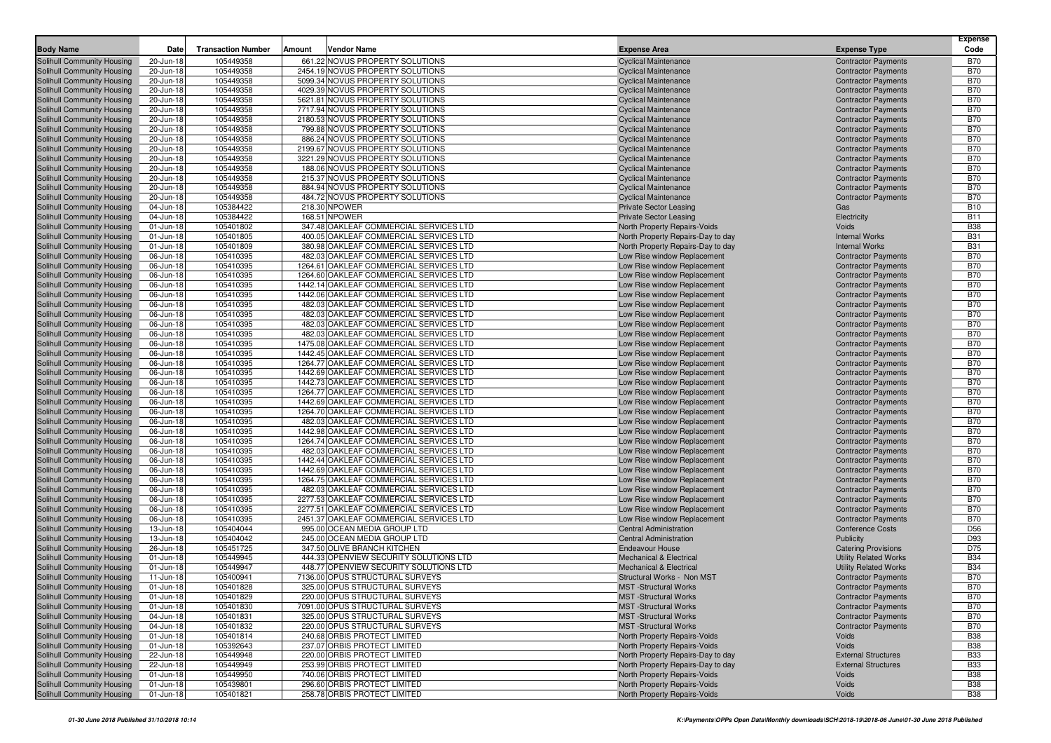| <b>Body Name</b>                                         | Date                   | <b>Transaction Number</b> | Amount  | <b>Vendor Name</b>                                                                 | <b>Expense Area</b>                                                    | <b>Expense Type</b>                                      | <b>Expense</b><br>Code   |
|----------------------------------------------------------|------------------------|---------------------------|---------|------------------------------------------------------------------------------------|------------------------------------------------------------------------|----------------------------------------------------------|--------------------------|
|                                                          |                        |                           |         |                                                                                    |                                                                        |                                                          |                          |
| <b>Solihull Community Housing</b>                        | 20-Jun-18              | 105449358                 |         | 661.22 NOVUS PROPERTY SOLUTIONS                                                    | <b>Cyclical Maintenance</b>                                            | <b>Contractor Payments</b>                               | <b>B70</b>               |
| Solihull Community Housing                               | 20-Jun-18              | 105449358                 |         | 2454.19 NOVUS PROPERTY SOLUTIONS                                                   | <b>Cyclical Maintenance</b>                                            | <b>Contractor Payments</b>                               | <b>B70</b>               |
| Solihull Community Housing                               | 20-Jun-18              | 105449358                 |         | 5099.34 NOVUS PROPERTY SOLUTIONS                                                   | <b>Cyclical Maintenance</b>                                            | <b>Contractor Payments</b>                               | <b>B70</b><br><b>B70</b> |
| Solihull Community Housing                               | 20-Jun-18              | 105449358<br>105449358    |         | 4029.39 NOVUS PROPERTY SOLUTIONS                                                   | <b>Cyclical Maintenance</b><br><b>Cyclical Maintenance</b>             | <b>Contractor Payments</b>                               | <b>B70</b>               |
| Solihull Community Housing<br>Solihull Community Housing | 20-Jun-18<br>20-Jun-18 | 105449358                 |         | 5621.81 NOVUS PROPERTY SOLUTIONS<br>7717.94 NOVUS PROPERTY SOLUTIONS               | <b>Cyclical Maintenance</b>                                            | <b>Contractor Payments</b><br><b>Contractor Payments</b> | <b>B70</b>               |
| Solihull Community Housing                               | 20-Jun-18              | 105449358                 |         | 2180.53 NOVUS PROPERTY SOLUTIONS                                                   | <b>Cyclical Maintenance</b>                                            | <b>Contractor Payments</b>                               | <b>B70</b>               |
| Solihull Community Housing                               | 20-Jun-18              | 105449358                 |         | 799.88 NOVUS PROPERTY SOLUTIONS                                                    | <b>Cyclical Maintenance</b>                                            | <b>Contractor Payments</b>                               | <b>B70</b>               |
| Solihull Community Housing                               | 20-Jun-18              | 105449358                 |         | 886.24 NOVUS PROPERTY SOLUTIONS                                                    | <b>Cyclical Maintenance</b>                                            | <b>Contractor Payments</b>                               | <b>B70</b>               |
| Solihull Community Housing                               | 20-Jun-18              | 105449358                 |         | 2199.67 NOVUS PROPERTY SOLUTIONS                                                   | <b>Cyclical Maintenance</b>                                            | <b>Contractor Payments</b>                               | <b>B70</b>               |
| Solihull Community Housing                               | 20-Jun-18              | 105449358                 |         | 3221.29 NOVUS PROPERTY SOLUTIONS                                                   | <b>Cyclical Maintenance</b>                                            | <b>Contractor Payments</b>                               | <b>B70</b>               |
| Solihull Community Housing                               | 20-Jun-18              | 105449358                 |         | 188.06 NOVUS PROPERTY SOLUTIONS                                                    | <b>Cyclical Maintenance</b>                                            | <b>Contractor Payments</b>                               | <b>B70</b>               |
| Solihull Community Housing                               | 20-Jun-18              | 105449358                 |         | 215.37 NOVUS PROPERTY SOLUTIONS                                                    | <b>Cyclical Maintenance</b>                                            | <b>Contractor Payments</b>                               | <b>B70</b>               |
| Solihull Community Housing                               | 20-Jun-18              | 105449358                 |         | 884.94 NOVUS PROPERTY SOLUTIONS                                                    | <b>Cyclical Maintenance</b>                                            | <b>Contractor Payments</b>                               | <b>B70</b>               |
| Solihull Community Housing                               | 20-Jun-18              | 105449358                 |         | 484.72 NOVUS PROPERTY SOLUTIONS                                                    | <b>Cyclical Maintenance</b>                                            | <b>Contractor Payments</b>                               | <b>B70</b>               |
| Solihull Community Housing                               | 04-Jun-18              | 105384422                 |         | 218.30 NPOWER                                                                      | <b>Private Sector Leasing</b>                                          | Gas                                                      | <b>B10</b>               |
| Solihull Community Housing                               | 04-Jun-18              | 105384422                 |         | 168.51 NPOWER                                                                      | <b>Private Sector Leasing</b>                                          | Electricity                                              | <b>B11</b>               |
| Solihull Community Housing                               | 01-Jun-18              | 105401802                 |         | 347.48 OAKLEAF COMMERCIAL SERVICES LTD                                             | North Property Repairs-Voids                                           | Voids                                                    | <b>B38</b>               |
| Solihull Community Housing                               | 01-Jun-18              | 105401805                 |         | 400.05 OAKLEAF COMMERCIAL SERVICES LTD                                             | North Property Repairs-Day to day                                      | <b>Internal Works</b>                                    | <b>B31</b>               |
| Solihull Community Housing                               | 01-Jun-18              | 105401809                 |         | 380.98 OAKLEAF COMMERCIAL SERVICES LTD                                             | North Property Repairs-Day to day                                      | <b>Internal Works</b>                                    | <b>B31</b>               |
| Solihull Community Housing                               | 06-Jun-18              | 105410395                 |         | 482.03 OAKLEAF COMMERCIAL SERVICES LTD                                             | Low Rise window Replacement                                            | <b>Contractor Payments</b>                               | <b>B70</b>               |
| Solihull Community Housing                               | 06-Jun-18              | 105410395                 | 1264.61 | OAKLEAF COMMERCIAL SERVICES LTD                                                    | Low Rise window Replacement                                            | <b>Contractor Payments</b>                               | <b>B70</b>               |
| Solihull Community Housing                               | 06-Jun-18              | 105410395                 |         | 1264.60 OAKLEAF COMMERCIAL SERVICES LTD                                            | Low Rise window Replacement                                            | <b>Contractor Payments</b>                               | <b>B70</b>               |
| Solihull Community Housing                               | 06-Jun-18              | 105410395                 |         | 1442.14 OAKLEAF COMMERCIAL SERVICES LTD                                            | Low Rise window Replacement                                            | <b>Contractor Payments</b>                               | <b>B70</b>               |
| Solihull Community Housing                               | 06-Jun-18              | 105410395                 |         | 1442.06 OAKLEAF COMMERCIAL SERVICES LTD                                            | Low Rise window Replacement                                            | <b>Contractor Payments</b>                               | <b>B70</b>               |
| Solihull Community Housing                               | 06-Jun-18              | 105410395                 |         | 482.03 OAKLEAF COMMERCIAL SERVICES LTD                                             | Low Rise window Replacement                                            | <b>Contractor Payments</b>                               | <b>B70</b>               |
| Solihull Community Housing                               | 06-Jun-18              | 105410395                 |         | 482.03 OAKLEAF COMMERCIAL SERVICES LTD                                             | Low Rise window Replacement                                            | <b>Contractor Payments</b>                               | <b>B70</b>               |
| Solihull Community Housing                               | 06-Jun-18              | 105410395                 |         | 482.03 OAKLEAF COMMERCIAL SERVICES LTD                                             | Low Rise window Replacement                                            | <b>Contractor Payments</b>                               | <b>B70</b>               |
| Solihull Community Housing                               | 06-Jun-18              | 105410395                 |         | 482.03 OAKLEAF COMMERCIAL SERVICES LTD                                             | Low Rise window Replacement                                            | <b>Contractor Payments</b>                               | <b>B70</b>               |
| Solihull Community Housing                               | 06-Jun-18              | 105410395                 |         | 1475.08 OAKLEAF COMMERCIAL SERVICES LTD                                            | Low Rise window Replacement                                            | <b>Contractor Payments</b>                               | <b>B70</b>               |
| Solihull Community Housing                               | 06-Jun-18              | 105410395                 |         | 1442.45 OAKLEAF COMMERCIAL SERVICES LTD                                            | Low Rise window Replacement                                            | <b>Contractor Payments</b>                               | <b>B70</b>               |
| Solihull Community Housing                               | 06-Jun-18              | 105410395                 |         | 1264.77 OAKLEAF COMMERCIAL SERVICES LTD                                            | Low Rise window Replacement                                            | <b>Contractor Payments</b>                               | <b>B70</b>               |
| Solihull Community Housing                               | 06-Jun-18              | 105410395                 |         | 1442.69 OAKLEAF COMMERCIAL SERVICES LTD                                            | Low Rise window Replacement                                            | <b>Contractor Payments</b>                               | <b>B70</b><br><b>B70</b> |
| Solihull Community Housing<br>Solihull Community Housing | 06-Jun-18<br>06-Jun-18 | 105410395<br>105410395    |         | 1442.73 OAKLEAF COMMERCIAL SERVICES LTD<br>1264.77 OAKLEAF COMMERCIAL SERVICES LTD | Low Rise window Replacement<br>Low Rise window Replacement             | <b>Contractor Payments</b><br><b>Contractor Payments</b> | <b>B70</b>               |
| Solihull Community Housing                               | 06-Jun-18              | 105410395                 |         | 1442.69 OAKLEAF COMMERCIAL SERVICES LTD                                            | Low Rise window Replacement                                            | <b>Contractor Payments</b>                               | <b>B70</b>               |
| Solihull Community Housing                               | 06-Jun-18              | 105410395                 |         | 1264.70 OAKLEAF COMMERCIAL SERVICES LTD                                            | Low Rise window Replacement                                            | <b>Contractor Payments</b>                               | <b>B70</b>               |
| Solihull Community Housing                               | 06-Jun-18              | 105410395                 |         | 482.03 OAKLEAF COMMERCIAL SERVICES LTD                                             | Low Rise window Replacement                                            | <b>Contractor Payments</b>                               | <b>B70</b>               |
| Solihull Community Housing                               | 06-Jun-18              | 105410395                 |         | 1442.98 OAKLEAF COMMERCIAL SERVICES LTD                                            | Low Rise window Replacement                                            | <b>Contractor Payments</b>                               | <b>B70</b>               |
| Solihull Community Housing                               | 06-Jun-18              | 105410395                 |         | 1264.74 OAKLEAF COMMERCIAL SERVICES LTD                                            | Low Rise window Replacement                                            | <b>Contractor Payments</b>                               | <b>B70</b>               |
| Solihull Community Housing                               | 06-Jun-18              | 105410395                 |         | 482.03 OAKLEAF COMMERCIAL SERVICES LTD                                             | Low Rise window Replacement                                            | <b>Contractor Payments</b>                               | <b>B70</b>               |
| Solihull Community Housing                               | 06-Jun-18              | 105410395                 |         | 1442.44 OAKLEAF COMMERCIAL SERVICES LTD                                            | Low Rise window Replacement                                            | <b>Contractor Payments</b>                               | <b>B70</b>               |
| Solihull Community Housing                               | 06-Jun-18              | 105410395                 |         | 1442.69 OAKLEAF COMMERCIAL SERVICES LTD                                            | Low Rise window Replacement                                            | <b>Contractor Payments</b>                               | <b>B70</b>               |
| Solihull Community Housing                               | 06-Jun-18              | 105410395                 |         | 1264.75 OAKLEAF COMMERCIAL SERVICES LTD                                            | Low Rise window Replacement                                            | <b>Contractor Payments</b>                               | <b>B70</b>               |
| Solihull Community Housing                               | 06-Jun-18              | 105410395                 |         | 482.03 OAKLEAF COMMERCIAL SERVICES LTD                                             | Low Rise window Replacement                                            | <b>Contractor Payments</b>                               | <b>B70</b>               |
| Solihull Community Housing                               | 06-Jun-18              | 105410395                 |         | 2277.53 OAKLEAF COMMERCIAL SERVICES LTD                                            | Low Rise window Replacement                                            | <b>Contractor Payments</b>                               | <b>B70</b>               |
| Solihull Community Housing                               | 06-Jun-18              | 105410395                 |         | 2277.51 OAKLEAF COMMERCIAL SERVICES LTD                                            | Low Rise window Replacement                                            | <b>Contractor Payments</b>                               | <b>B70</b>               |
| Solihull Community Housing                               | 06-Jun-18              | 105410395                 |         | 2451.37 OAKLEAF COMMERCIAL SERVICES LTD                                            | Low Rise window Replacement                                            | <b>Contractor Payments</b>                               | <b>B70</b>               |
| Solihull Community Housing                               | 13-Jun-18              | 105404044                 |         | 995.00 OCEAN MEDIA GROUP LTD                                                       | <b>Central Administration</b>                                          | <b>Conference Costs</b>                                  | D <sub>56</sub>          |
| Solihull Community Housing                               | 13-Jun-18              | 105404042                 |         | 245.00 OCEAN MEDIA GROUP LTD                                                       | <b>Central Administration</b>                                          | <b>Publicity</b>                                         | D93                      |
| Solihull Community Housing                               | 26-Jun-18              | 105451725                 |         | 347.50 OLIVE BRANCH KITCHEN                                                        | <b>Endeavour House</b>                                                 | <b>Catering Provisions</b>                               | D75                      |
| Solihull Community Housing                               | 01-Jun-18              | 105449945                 |         | 444.33 OPENVIEW SECURITY SOLUTIONS LTD                                             | <b>Mechanical &amp; Electrical</b>                                     | <b>Utility Related Works</b>                             | <b>B34</b>               |
| Solihull Community Housing                               | 01-Jun-18              | 105449947                 |         | 448.77 OPENVIEW SECURITY SOLUTIONS LTD                                             | <b>Mechanical &amp; Electrical</b>                                     | <b>Utility Related Works</b>                             | <b>B34</b>               |
| Solihull Community Housing                               | 11-Jun-18              | 105400941                 |         | 7136.00 OPUS STRUCTURAL SURVEYS                                                    | Structural Works - Non MST                                             | <b>Contractor Payments</b>                               | <b>B70</b>               |
| Solihull Community Housing                               | 01-Jun-18              | 105401828                 |         | 325.00 OPUS STRUCTURAL SURVEYS                                                     | <b>MST</b> -Structural Works                                           | <b>Contractor Payments</b>                               | <b>B70</b>               |
| Solihull Community Housing                               | 01-Jun-18              | 105401829                 |         | 220.00 OPUS STRUCTURAL SURVEYS                                                     | <b>MST</b> -Structural Works                                           | <b>Contractor Payments</b>                               | B70                      |
| Solihull Community Housing                               | 01-Jun-18              | 105401830                 |         | 7091.00 OPUS STRUCTURAL SURVEYS                                                    | <b>MST</b> -Structural Works                                           | <b>Contractor Payments</b>                               | <b>B70</b>               |
| Solihull Community Housing                               | 04-Jun-18              | 105401831                 |         | 325.00 OPUS STRUCTURAL SURVEYS                                                     | <b>MST</b> -Structural Works                                           | <b>Contractor Payments</b>                               | <b>B70</b>               |
| <b>Solihull Community Housing</b>                        | 04-Jun-18              | 105401832                 |         | 220.00 OPUS STRUCTURAL SURVEYS                                                     | <b>MST</b> - Structural Works                                          | <b>Contractor Payments</b>                               | <b>B70</b>               |
| Solihull Community Housing                               | 01-Jun-18              | 105401814                 |         | 240.68 ORBIS PROTECT LIMITED                                                       | North Property Repairs-Voids                                           | Voids                                                    | <b>B38</b>               |
| Solihull Community Housing                               | 01-Jun-18              | 105392643                 |         | 237.07 ORBIS PROTECT LIMITED                                                       | North Property Repairs-Voids                                           | Voids                                                    | <b>B38</b>               |
| Solihull Community Housing<br>Solihull Community Housing | 22-Jun-18<br>22-Jun-18 | 105449948<br>105449949    |         | 220.00 ORBIS PROTECT LIMITED<br>253.99 ORBIS PROTECT LIMITED                       | North Property Repairs-Day to day<br>North Property Repairs-Day to day | <b>External Structures</b><br><b>External Structures</b> | <b>B33</b><br><b>B33</b> |
| Solihull Community Housing                               | 01-Jun-18              | 105449950                 |         | 740.06 ORBIS PROTECT LIMITED                                                       | North Property Repairs-Voids                                           | Voids                                                    | <b>B38</b>               |
| Solihull Community Housing                               | 01-Jun-18              | 105439801                 |         | 296.60 ORBIS PROTECT LIMITED                                                       | North Property Repairs-Voids                                           | Voids                                                    | <b>B38</b>               |
| Solihull Community Housing                               | 01-Jun-18              | 105401821                 |         | 258.78 ORBIS PROTECT LIMITED                                                       | North Property Repairs-Voids                                           | Voids                                                    | <b>B38</b>               |
|                                                          |                        |                           |         |                                                                                    |                                                                        |                                                          |                          |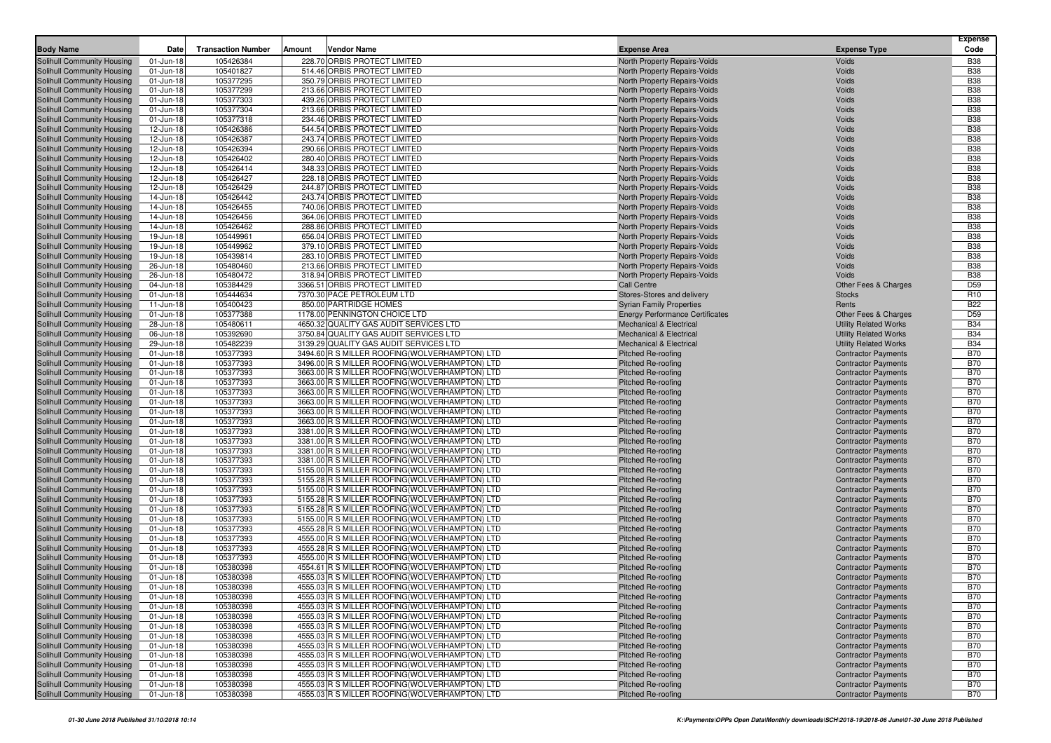| <b>Body Name</b>                                         | <b>Date</b>             | <b>Transaction Number</b> | Amount | Vendor Name                                                                                     | <b>Expense Area</b>                                                          | <b>Expense Type</b>                                          | <b>Expense</b><br>Code        |
|----------------------------------------------------------|-------------------------|---------------------------|--------|-------------------------------------------------------------------------------------------------|------------------------------------------------------------------------------|--------------------------------------------------------------|-------------------------------|
| Solihull Community Housing                               | 01-Jun-18               | 105426384                 |        | 228.70 ORBIS PROTECT LIMITED                                                                    | North Property Repairs-Voids                                                 | Voids                                                        | <b>B38</b>                    |
| Solihull Community Housing                               | 01-Jun-18               | 105401827                 |        | 514.46 ORBIS PROTECT LIMITED                                                                    | <b>North Property Repairs-Voids</b>                                          | Voids                                                        | <b>B38</b>                    |
| Solihull Community Housing                               | 01-Jun-18               | 105377295                 |        | 350.79 ORBIS PROTECT LIMITED                                                                    | North Property Repairs-Voids                                                 | Voids                                                        | <b>B38</b>                    |
| Solihull Community Housing                               | 01-Jun-18               | 105377299                 |        | 213.66 ORBIS PROTECT LIMITED                                                                    | <b>North Property Repairs-Voids</b>                                          | Voids                                                        | <b>B38</b>                    |
| Solihull Community Housing                               | 01-Jun-18               | 105377303                 |        | 439.26 ORBIS PROTECT LIMITED                                                                    | North Property Repairs-Voids                                                 | Voids                                                        | <b>B38</b>                    |
| Solihull Community Housing                               | 01-Jun-18               | 105377304                 |        | 213.66 ORBIS PROTECT LIMITED                                                                    | North Property Repairs-Voids                                                 | Voids                                                        | <b>B38</b>                    |
| Solihull Community Housing                               | 01-Jun-18               | 105377318                 |        | 234.46 ORBIS PROTECT LIMITED                                                                    | <b>North Property Repairs-Voids</b>                                          | Voids                                                        | <b>B38</b>                    |
| Solihull Community Housing                               | 12-Jun-18               | 105426386                 |        | 544.54 ORBIS PROTECT LIMITED                                                                    | North Property Repairs-Voids                                                 | Voids                                                        | <b>B38</b>                    |
| Solihull Community Housing                               | 12-Jun-18               | 105426387                 |        | 243.74 ORBIS PROTECT LIMITED                                                                    | <b>North Property Repairs-Voids</b>                                          | Voids                                                        | <b>B38</b>                    |
| Solihull Community Housing                               | 12-Jun-18               | 105426394                 |        | 290.66 ORBIS PROTECT LIMITED                                                                    | North Property Repairs-Voids                                                 | Voids                                                        | <b>B38</b>                    |
| Solihull Community Housing                               | 12-Jun-18               | 105426402                 |        | 280.40 ORBIS PROTECT LIMITED                                                                    | North Property Repairs-Voids                                                 | Voids                                                        | <b>B38</b>                    |
| Solihull Community Housing                               | 12-Jun-18               | 105426414                 |        | 348.33 ORBIS PROTECT LIMITED                                                                    | North Property Repairs-Voids                                                 | Voids                                                        | <b>B38</b>                    |
| Solihull Community Housing                               | 12-Jun-18               | 105426427                 |        | 228.18 ORBIS PROTECT LIMITED                                                                    | North Property Repairs-Voids                                                 | Voids                                                        | <b>B38</b>                    |
| Solihull Community Housing                               | 12-Jun-18               | 105426429                 |        | 244.87 ORBIS PROTECT LIMITED                                                                    | <b>North Property Repairs-Voids</b>                                          | Voids                                                        | <b>B38</b>                    |
| Solihull Community Housing                               | 14-Jun-18               | 105426442                 |        | 243.74 ORBIS PROTECT LIMITED                                                                    | North Property Repairs-Voids                                                 | Voids                                                        | <b>B38</b>                    |
| Solihull Community Housing                               | 14-Jun-18               | 105426455                 |        | 740.06 ORBIS PROTECT LIMITED                                                                    | North Property Repairs-Voids                                                 | Voids                                                        | <b>B38</b>                    |
| Solihull Community Housing                               | 14-Jun-18               | 105426456                 |        | 364.06 ORBIS PROTECT LIMITED                                                                    | <b>North Property Repairs-Voids</b>                                          | Voids                                                        | <b>B38</b>                    |
| Solihull Community Housing                               | 14-Jun-18               | 105426462                 |        | 288.86 ORBIS PROTECT LIMITED                                                                    | North Property Repairs-Voids                                                 | Voids                                                        | <b>B38</b>                    |
| Solihull Community Housing                               | 19-Jun-18               | 105449961                 |        | 656.04 ORBIS PROTECT LIMITED                                                                    | <b>North Property Repairs-Voids</b>                                          | Voids                                                        | <b>B38</b>                    |
| Solihull Community Housing                               | 19-Jun-18               | 105449962                 |        | 379.10 ORBIS PROTECT LIMITED                                                                    | North Property Repairs-Voids                                                 | Voids                                                        | <b>B38</b>                    |
| Solihull Community Housing                               | 19-Jun-18               | 105439814                 |        | 283.10 ORBIS PROTECT LIMITED                                                                    | North Property Repairs-Voids                                                 | Voids                                                        | <b>B38</b>                    |
| Solihull Community Housing                               | 26-Jun-18               | 105480460                 |        | 213.66 ORBIS PROTECT LIMITED                                                                    | North Property Repairs-Voids                                                 | Voids                                                        | <b>B38</b>                    |
| Solihull Community Housing                               | 26-Jun-18               | 105480472                 |        | 318.94 ORBIS PROTECT LIMITED                                                                    | North Property Repairs-Voids                                                 | Voids                                                        | <b>B38</b>                    |
| Solihull Community Housing                               | 04-Jun-18               | 105384429                 |        | 3366.51 ORBIS PROTECT LIMITED                                                                   | Call Centre                                                                  | Other Fees & Charges                                         | D <sub>59</sub>               |
| Solihull Community Housing                               | 01-Jun-18               | 105444634                 |        | 7370.30 PACE PETROLEUM LTD                                                                      | Stores-Stores and delivery                                                   | <b>Stocks</b>                                                | R <sub>10</sub>               |
| Solihull Community Housing                               | 11-Jun-18               | 105400423                 |        | 850.00 PARTRIDGE HOMES                                                                          | <b>Syrian Family Properties</b>                                              | Rents                                                        | <b>B22</b>                    |
| Solihull Community Housing                               | 01-Jun-18               | 105377388                 |        | 1178.00 PENNINGTON CHOICE LTD                                                                   | <b>Energy Performance Certificates</b><br><b>Mechanical &amp; Electrical</b> | Other Fees & Charges                                         | D <sub>59</sub><br><b>B34</b> |
| Solihull Community Housing<br>Solihull Community Housing | 28-Jun-18<br>06-Jun-18  | 105480611<br>105392690    |        | 4650.32 QUALITY GAS AUDIT SERVICES LTD<br>3750.84 QUALITY GAS AUDIT SERVICES LTD                | <b>Mechanical &amp; Electrical</b>                                           | <b>Utility Related Works</b><br><b>Utility Related Works</b> | <b>B34</b>                    |
| Solihull Community Housing                               | 29-Jun-18               | 105482239                 |        | 3139.29 QUALITY GAS AUDIT SERVICES LTD                                                          | <b>Mechanical &amp; Electrical</b>                                           | <b>Utility Related Works</b>                                 | <b>B34</b>                    |
| Solihull Community Housing                               | 01-Jun-18               | 105377393                 |        | 3494.60 R S MILLER ROOFING (WOLVERHAMPTON) LTD                                                  | <b>Pitched Re-roofing</b>                                                    | <b>Contractor Payments</b>                                   | <b>B70</b>                    |
| Solihull Community Housing                               | 01-Jun-18               | 105377393                 |        | 3496.00 R S MILLER ROOFING (WOLVERHAMPTON) LTD                                                  | Pitched Re-roofing                                                           | <b>Contractor Payments</b>                                   | <b>B70</b>                    |
| Solihull Community Housing                               | 01-Jun-18               | 105377393                 |        | 3663.00 R S MILLER ROOFING (WOLVERHAMPTON) LTD                                                  | <b>Pitched Re-roofing</b>                                                    | <b>Contractor Payments</b>                                   | <b>B70</b>                    |
| Solihull Community Housing                               | 01-Jun-18               | 105377393                 |        | 3663.00 R S MILLER ROOFING (WOLVERHAMPTON) LTD                                                  | <b>Pitched Re-roofing</b>                                                    | <b>Contractor Payments</b>                                   | <b>B70</b>                    |
| Solihull Community Housing                               | 01-Jun-18               | 105377393                 |        | 3663.00 R S MILLER ROOFING (WOLVERHAMPTON) LTD                                                  | Pitched Re-roofing                                                           | <b>Contractor Payments</b>                                   | <b>B70</b>                    |
| Solihull Community Housing                               | 01-Jun-18               | 105377393                 |        | 3663.00 R S MILLER ROOFING (WOLVERHAMPTON) LTD                                                  | <b>Pitched Re-roofing</b>                                                    | <b>Contractor Payments</b>                                   | <b>B70</b>                    |
| Solihull Community Housing                               | 01-Jun-18               | 105377393                 |        | 3663.00 R S MILLER ROOFING (WOLVERHAMPTON) LTD                                                  | <b>Pitched Re-roofing</b>                                                    | <b>Contractor Payments</b>                                   | <b>B70</b>                    |
| Solihull Community Housing                               | 01-Jun-18               | 105377393                 |        | 3663.00 R S MILLER ROOFING (WOLVERHAMPTON) LTD                                                  | Pitched Re-roofing                                                           | <b>Contractor Payments</b>                                   | <b>B70</b>                    |
| Solihull Community Housing                               | 01-Jun-18               | 105377393                 |        | 3381.00 R S MILLER ROOFING(WOLVERHAMPTON) LTD                                                   | <b>Pitched Re-roofing</b>                                                    | <b>Contractor Payments</b>                                   | <b>B70</b>                    |
| Solihull Community Housing                               | 01-Jun-18               | 105377393                 |        | 3381.00 R S MILLER ROOFING (WOLVERHAMPTON) LTD                                                  | Pitched Re-roofing                                                           | <b>Contractor Payments</b>                                   | <b>B70</b>                    |
| Solihull Community Housing                               | 01-Jun-18               | 105377393                 |        | 3381.00 R S MILLER ROOFING (WOLVERHAMPTON) LTD                                                  | <b>Pitched Re-roofing</b>                                                    | <b>Contractor Payments</b>                                   | <b>B70</b>                    |
| Solihull Community Housing                               | 01-Jun-18               | 105377393                 |        | 3381.00 R S MILLER ROOFING (WOLVERHAMPTON) LTD                                                  | Pitched Re-roofing                                                           | <b>Contractor Payments</b>                                   | <b>B70</b>                    |
| Solihull Community Housing                               | 01-Jun-18               | 105377393                 |        | 5155.00 R S MILLER ROOFING (WOLVERHAMPTON) LTD                                                  | <b>Pitched Re-roofing</b>                                                    | <b>Contractor Payments</b>                                   | <b>B70</b>                    |
| Solihull Community Housing                               | 01-Jun-18               | 105377393                 |        | 5155.28 R S MILLER ROOFING (WOLVERHAMPTON) LTD                                                  | <b>Pitched Re-roofing</b>                                                    | <b>Contractor Payments</b>                                   | <b>B70</b>                    |
| Solihull Community Housing                               | 01-Jun-18               | 105377393                 |        | 5155.00 R S MILLER ROOFING (WOLVERHAMPTON) LTD                                                  | Pitched Re-roofing                                                           | <b>Contractor Payments</b>                                   | <b>B70</b>                    |
| Solihull Community Housing                               | 01-Jun-18               | 105377393                 |        | 5155.28 R S MILLER ROOFING (WOLVERHAMPTON) LTD                                                  | <b>Pitched Re-roofing</b>                                                    | <b>Contractor Payments</b>                                   | <b>B70</b>                    |
| Solihull Community Housing                               | 01-Jun-18               | 105377393                 |        | 5155.28 R S MILLER ROOFING (WOLVERHAMPTON) LTD                                                  | <b>Pitched Re-roofing</b>                                                    | <b>Contractor Payments</b>                                   | <b>B70</b>                    |
| Solihull Community Housing                               | 01-Jun-18               | 105377393                 |        | 5155.00 R S MILLER ROOFING(WOLVERHAMPTON) LTD                                                   | Pitched Re-roofing                                                           | <b>Contractor Payments</b>                                   | <b>B70</b>                    |
| Solihull Community Housing                               | 01-Jun-18               | 105377393                 |        | 4555.28 R S MILLER ROOFING (WOLVERHAMPTON) LTD                                                  | <b>Pitched Re-roofing</b>                                                    | <b>Contractor Payments</b>                                   | <b>B70</b>                    |
| Solihull Community Housing                               | 01-Jun-18               | 105377393                 |        | 4555.00 R S MILLER ROOFING (WOLVERHAMPTON) LTD                                                  | Pitched Re-roofing                                                           | <b>Contractor Payments</b>                                   | <b>B70</b>                    |
| Solihull Community Housing                               | 01-Jun-18               | 105377393                 |        | 4555.28 R S MILLER ROOFING (WOLVERHAMPTON) LTD                                                  | <b>Pitched Re-roofing</b>                                                    | <b>Contractor Payments</b>                                   | <b>B70</b>                    |
| Solihull Community Housing                               | 01-Jun-18               | 105377393                 |        | 4555.00 R S MILLER ROOFING (WOLVERHAMPTON) LTD                                                  | Pitched Re-roofing                                                           | <b>Contractor Payments</b>                                   | <b>B70</b><br><b>B70</b>      |
| Solihull Community Housing<br>Solihull Community Housing | 01-Jun-18               | 105380398<br>105380398    |        | 4554.61 R S MILLER ROOFING (WOLVERHAMPTON) LTD<br>4555.03 R S MILLER ROOFING(WOLVERHAMPTON) LTD | <b>Pitched Re-roofing</b>                                                    | <b>Contractor Payments</b>                                   | <b>B70</b>                    |
| Solihull Community Housing                               | 01-Jun-18<br>01-Jun-18  | 105380398                 |        | 4555.03 R S MILLER ROOFING (WOLVERHAMPTON) LTD                                                  | <b>Pitched Re-roofing</b><br><b>Pitched Re-roofing</b>                       | <b>Contractor Payments</b><br><b>Contractor Payments</b>     | <b>B70</b>                    |
| <b>Solihull Community Housing</b>                        | 01-Jun-18               | 105380398                 |        | 4555.03 R S MILLER ROOFING (WOLVERHAMPTON) LTD                                                  | Pitched Re-roofing                                                           | <b>Contractor Payments</b>                                   | <b>B70</b>                    |
| Solihull Community Housing                               | 01-Jun-18               | 105380398                 |        | 4555.03 R S MILLER ROOFING(WOLVERHAMPTON) LTD                                                   | Pitched Re-roofing                                                           | <b>Contractor Payments</b>                                   | <b>B70</b>                    |
| Solihull Community Housing                               | 01-Jun-18               | 105380398                 |        | 4555.03 R S MILLER ROOFING (WOLVERHAMPTON) LTD                                                  | Pitched Re-roofing                                                           | <b>Contractor Payments</b>                                   | <b>B70</b>                    |
| Solihull Community Housing                               | 01-Jun-18               | 105380398                 |        | 4555.03 R S MILLER ROOFING(WOLVERHAMPTON) LTD                                                   | <b>Pitched Re-roofing</b>                                                    | <b>Contractor Payments</b>                                   | <b>B70</b>                    |
| Solihull Community Housing                               | 01-Jun-18               | 105380398                 |        | 4555.03 R S MILLER ROOFING(WOLVERHAMPTON) LTD                                                   | Pitched Re-roofing                                                           | <b>Contractor Payments</b>                                   | <b>B70</b>                    |
| <b>Solihull Community Housing</b>                        | 01-Jun-18               | 105380398                 |        | 4555.03 R S MILLER ROOFING(WOLVERHAMPTON) LTD                                                   | Pitched Re-roofing                                                           | <b>Contractor Payments</b>                                   | <b>B70</b>                    |
| Solihull Community Housing                               | 01-Jun-18               | 105380398                 |        | 4555.03 R S MILLER ROOFING(WOLVERHAMPTON) LTD                                                   | Pitched Re-roofing                                                           | <b>Contractor Payments</b>                                   | <b>B70</b>                    |
| Solihull Community Housing                               | 01-Jun-18               | 105380398                 |        | 4555.03 R S MILLER ROOFING(WOLVERHAMPTON) LTD                                                   | <b>Pitched Re-roofing</b>                                                    | <b>Contractor Payments</b>                                   | <b>B70</b>                    |
| Solihull Community Housing                               | $\overline{0}$ 1-Jun-18 | 105380398                 |        | 4555.03 R S MILLER ROOFING(WOLVERHAMPTON) LTD                                                   | Pitched Re-roofing                                                           | <b>Contractor Payments</b>                                   | <b>B70</b>                    |
| <b>Solihull Community Housing</b>                        | 01-Jun-18               | 105380398                 |        | 4555.03 R S MILLER ROOFING(WOLVERHAMPTON) LTD                                                   | Pitched Re-roofing                                                           | <b>Contractor Payments</b>                                   | <b>B70</b>                    |
| Solihull Community Housing                               | 01-Jun-18               | 105380398                 |        | 4555.03 R S MILLER ROOFING(WOLVERHAMPTON) LTD                                                   | Pitched Re-roofing                                                           | <b>Contractor Payments</b>                                   | <b>B70</b>                    |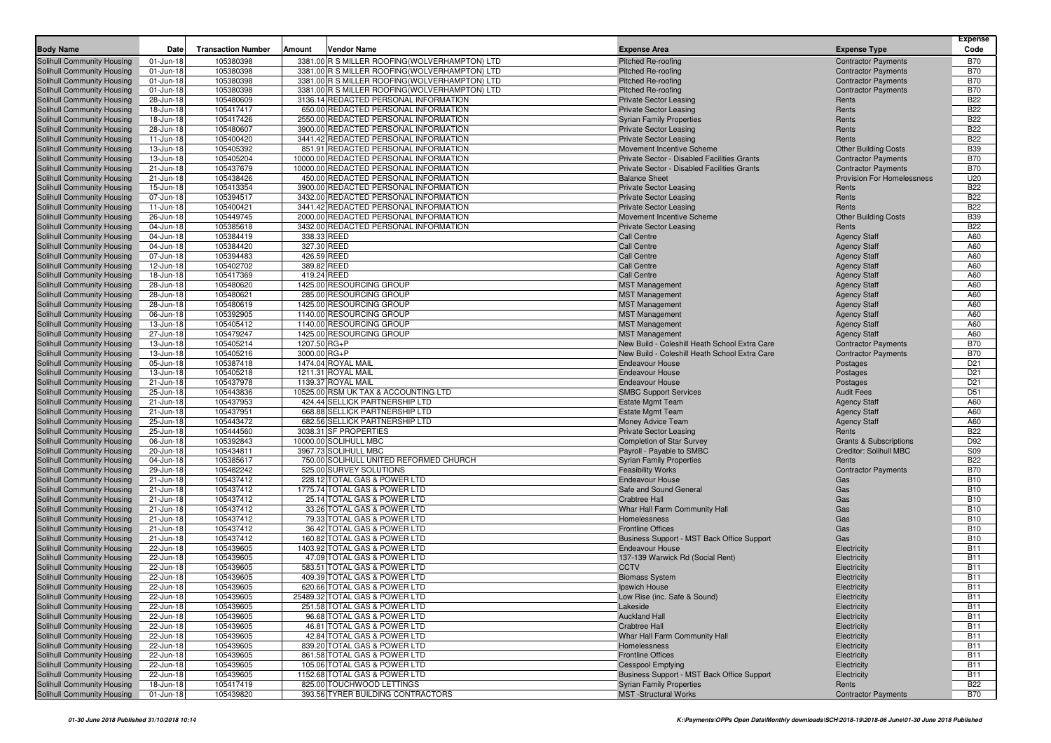| <b>Body Name</b>                                         | Date                   | <b>Transaction Number</b> | <b>Vendor Name</b><br>Amount                                                                   | <b>Expense Area</b>                                                    | <b>Expense Type</b>                                      | <b>Expense</b><br>Code             |
|----------------------------------------------------------|------------------------|---------------------------|------------------------------------------------------------------------------------------------|------------------------------------------------------------------------|----------------------------------------------------------|------------------------------------|
| <b>Solihull Community Housing</b>                        |                        | 105380398                 |                                                                                                |                                                                        |                                                          | <b>B70</b>                         |
| Solihull Community Housing                               | 01-Jun-18<br>01-Jun-18 | 105380398                 | 3381.00 R S MILLER ROOFING(WOLVERHAMPTON) LTD<br>3381.00 R S MILLER ROOFING(WOLVERHAMPTON) LTD | <b>Pitched Re-roofing</b><br><b>Pitched Re-roofing</b>                 | <b>Contractor Payments</b><br><b>Contractor Payments</b> | <b>B70</b>                         |
| <b>Solihull Community Housing</b>                        | 01-Jun-18              | 105380398                 | 3381.00 R S MILLER ROOFING(WOLVERHAMPTON) LTD                                                  | Pitched Re-roofing                                                     | <b>Contractor Payments</b>                               | <b>B70</b>                         |
| Solihull Community Housing                               | 01-Jun-18              | 105380398                 | 3381.00 R S MILLER ROOFING(WOLVERHAMPTON) LTD                                                  | <b>Pitched Re-roofing</b>                                              | <b>Contractor Payments</b>                               | <b>B70</b>                         |
| Solihull Community Housing                               | 28-Jun-18              | 105480609                 | 3136.14 REDACTED PERSONAL INFORMATION                                                          | <b>Private Sector Leasing</b>                                          | Rents                                                    | <b>B22</b>                         |
| Solihull Community Housing                               | 18-Jun-18              | 105417417                 | 650.00 REDACTED PERSONAL INFORMATION                                                           | <b>Private Sector Leasing</b>                                          | Rents                                                    | <b>B22</b>                         |
| <b>Solihull Community Housing</b>                        | 18-Jun-18              | 105417426                 | 2550.00 REDACTED PERSONAL INFORMATION                                                          | <b>Syrian Family Properties</b>                                        | Rents                                                    | <b>B22</b>                         |
| Solihull Community Housing                               | 28-Jun-18              | 105480607                 | 3900.00 REDACTED PERSONAL INFORMATION                                                          | <b>Private Sector Leasing</b>                                          | Rents                                                    | <b>B22</b>                         |
| Solihull Community Housing                               | 11-Jun-18              | 105400420                 | 3441.42 REDACTED PERSONAL INFORMATION                                                          | <b>Private Sector Leasing</b>                                          | Rents                                                    | <b>B22</b>                         |
| Solihull Community Housing                               | 13-Jun-18              | 105405392                 | 851.91 REDACTED PERSONAL INFORMATION                                                           | Movement Incentive Scheme                                              | <b>Other Building Costs</b>                              | <b>B39</b>                         |
| Solihull Community Housing                               | 13-Jun-18              | 105405204                 | 10000.00 REDACTED PERSONAL INFORMATION                                                         | Private Sector - Disabled Facilities Grants                            | <b>Contractor Payments</b>                               | <b>B70</b>                         |
| Solihull Community Housing                               | 21-Jun-18              | 105437679                 | 10000.00 REDACTED PERSONAL INFORMATION                                                         | Private Sector - Disabled Facilities Grants                            | <b>Contractor Payments</b>                               | <b>B70</b>                         |
| Solihull Community Housing                               | 21-Jun-18              | 105438426                 | 450.00 REDACTED PERSONAL INFORMATION                                                           | <b>Balance Sheet</b>                                                   | <b>Provision For Homelessness</b>                        | U20                                |
| Solihull Community Housing                               | 15-Jun-18              | 105413354                 | 3900.00 REDACTED PERSONAL INFORMATION                                                          | <b>Private Sector Leasing</b>                                          | Rents<br>Rents                                           | <b>B22</b>                         |
| Solihull Community Housing                               | 07-Jun-18              | 105394517<br>105400421    | 3432.00 REDACTED PERSONAL INFORMATION<br>3441.42 REDACTED PERSONAL INFORMATION                 | <b>Private Sector Leasing</b>                                          | Rents                                                    | <b>B22</b><br><b>B22</b>           |
| Solihull Community Housing<br>Solihull Community Housing | 11-Jun-18<br>26-Jun-18 | 105449745                 | 2000.00 REDACTED PERSONAL INFORMATION                                                          | <b>Private Sector Leasing</b><br>Movement Incentive Scheme             | <b>Other Building Costs</b>                              | <b>B39</b>                         |
| Solihull Community Housing                               | 04-Jun-18              | 105385618                 | 3432.00 REDACTED PERSONAL INFORMATION                                                          | <b>Private Sector Leasing</b>                                          | Rents                                                    | <b>B22</b>                         |
| Solihull Community Housing                               | 04-Jun-18              | 105384419                 | 338.33 REED                                                                                    | <b>Call Centre</b>                                                     | <b>Agency Staff</b>                                      | A60                                |
| Solihull Community Housing                               | 04-Jun-18              | 105384420                 | 327.30 REED                                                                                    | <b>Call Centre</b>                                                     | <b>Agency Staff</b>                                      | A60                                |
| Solihull Community Housing                               | 07-Jun-18              | 105394483                 | 426.59 REED                                                                                    | <b>Call Centre</b>                                                     | <b>Agency Staff</b>                                      | A60                                |
| Solihull Community Housing                               | 12-Jun-18              | 105402702                 | 389.82 REED                                                                                    | <b>Call Centre</b>                                                     | <b>Agency Staff</b>                                      | A60                                |
| Solihull Community Housing                               | 18-Jun-18              | 105417369                 | 419.24 REED                                                                                    | <b>Call Centre</b>                                                     | <b>Agency Staff</b>                                      | A60                                |
| Solihull Community Housing                               | 28-Jun-18              | 105480620                 | 1425.00 RESOURCING GROUP                                                                       | <b>MST Management</b>                                                  | <b>Agency Staff</b>                                      | A60                                |
| Solihull Community Housing                               | 28-Jun-18              | 105480621                 | 285.00 RESOURCING GROUP                                                                        | <b>MST Management</b>                                                  | <b>Agency Staff</b>                                      | A60                                |
| Solihull Community Housing                               | 28-Jun-18              | 105480619                 | 1425.00 RESOURCING GROUP                                                                       | <b>MST Management</b>                                                  | <b>Agency Staff</b>                                      | A60                                |
| Solihull Community Housing                               | 06-Jun-18              | 105392905                 | 1140.00 RESOURCING GROUP                                                                       | <b>MST Management</b>                                                  | <b>Agency Staff</b>                                      | A60                                |
| Solihull Community Housing                               | 13-Jun-18              | 105405412                 | 1140.00 RESOURCING GROUP                                                                       | <b>MST Management</b>                                                  | <b>Agency Staff</b>                                      | A60                                |
| Solihull Community Housing                               | 27-Jun-18              | 105479247                 | 1425.00 RESOURCING GROUP                                                                       | <b>MST Management</b>                                                  | <b>Agency Staff</b>                                      | A60                                |
| Solihull Community Housing                               | 13-Jun-18              | 105405214                 | 1207.50 RG+P                                                                                   | New Build - Coleshill Heath School Extra Care                          | <b>Contractor Payments</b>                               | <b>B70</b>                         |
| Solihull Community Housing                               | 13-Jun-18              | 105405216                 | 3000.00 RG+P                                                                                   | New Build - Coleshill Heath School Extra Care                          | <b>Contractor Payments</b>                               | <b>B70</b>                         |
| Solihull Community Housing                               | 05-Jun-18              | 105387418                 | 1474.04 ROYAL MAIL                                                                             | <b>Endeavour House</b><br><b>Endeavour House</b>                       | Postages                                                 | D <sub>21</sub>                    |
| Solihull Community Housing                               | 13-Jun-18<br>21-Jun-18 | 105405218<br>105437978    | 1211.31 ROYAL MAIL<br>1139.37 ROYAL MAIL                                                       | <b>Endeavour House</b>                                                 | Postages<br>Postages                                     | D <sub>21</sub><br>D <sub>21</sub> |
| Solihull Community Housing<br>Solihull Community Housing | 25-Jun-18              | 105443836                 | 10525.00 RSM UK TAX & ACCOUNTING LTD                                                           | <b>SMBC Support Services</b>                                           | <b>Audit Fees</b>                                        | D <sub>51</sub>                    |
| Solihull Community Housing                               | 21-Jun-18              | 105437953                 | 424.44 SELLICK PARTNERSHIP LTD                                                                 | <b>Estate Mgmt Team</b>                                                | <b>Agency Staff</b>                                      | A60                                |
| Solihull Community Housing                               | 21-Jun-18              | 105437951                 | 668.88 SELLICK PARTNERSHIP LTD                                                                 | <b>Estate Mgmt Team</b>                                                | <b>Agency Staff</b>                                      | A60                                |
| Solihull Community Housing                               | 25-Jun-18              | 105443472                 | 682.56 SELLICK PARTNERSHIP LTD                                                                 | Money Advice Team                                                      | <b>Agency Staff</b>                                      | A60                                |
| Solihull Community Housing                               | 25-Jun-18              | 105444560                 | 3038.31 SF PROPERTIES                                                                          | <b>Private Sector Leasing</b>                                          | Rents                                                    | <b>B22</b>                         |
| Solihull Community Housing                               | 06-Jun-18              | 105392843                 | 10000.00 SOLIHULL MBC                                                                          | <b>Completion of Star Survey</b>                                       | <b>Grants &amp; Subscriptions</b>                        | D92                                |
| Solihull Community Housing                               | 20-Jun-18              | 105434811                 | 3967.73 SOLIHULL MBC                                                                           | Payroll - Payable to SMBC                                              | Creditor: Solihull MBC                                   | <b>S09</b>                         |
| Solihull Community Housing                               | 04-Jun-18              | 105385617                 | 750.00 SOLIHULL UNITED REFORMED CHURCH                                                         | <b>Syrian Family Properties</b>                                        | Rents                                                    | <b>B22</b>                         |
| Solihull Community Housing                               | 29-Jun-18              | 105482242                 | 525.00 SURVEY SOLUTIONS                                                                        | <b>Feasibility Works</b>                                               | <b>Contractor Payments</b>                               | <b>B70</b>                         |
| Solihull Community Housing                               | 21-Jun-18              | 105437412                 | 228.12 TOTAL GAS & POWER LTD                                                                   | <b>Endeavour House</b>                                                 | Gas                                                      | <b>B10</b>                         |
| Solihull Community Housing                               | 21-Jun-18              | 105437412                 | 1775.74 TOTAL GAS & POWER LTD                                                                  | Safe and Sound General                                                 | Gas                                                      | <b>B10</b>                         |
| Solihull Community Housing                               | 21-Jun-18              | 105437412                 | 25.14 TOTAL GAS & POWER LTD                                                                    | <b>Crabtree Hall</b>                                                   | Gas                                                      | <b>B10</b>                         |
| Solihull Community Housing<br>Solihull Community Housing | 21-Jun-18              | 105437412                 | 33.26 TOTAL GAS & POWER LTD                                                                    | Whar Hall Farm Community Hall                                          | Gas<br>Gas                                               | <b>B10</b><br><b>B10</b>           |
| Solihull Community Housing                               | 21-Jun-18<br>21-Jun-18 | 105437412<br>105437412    | 79.33 TOTAL GAS & POWER LTD<br>36.42 TOTAL GAS & POWER LTD                                     | Homelessness<br><b>Frontline Offices</b>                               | Gas                                                      | <b>B10</b>                         |
| <b>Solihull Community Housing</b>                        | 21-Jun-18              | 105437412                 | 160.82 TOTAL GAS & POWER LTD                                                                   | Business Support - MST Back Office Support                             | Gas                                                      | <b>B10</b>                         |
| Solihull Community Housing                               | 22-Jun-18              | 105439605                 | 1403.92 TOTAL GAS & POWER LTD                                                                  | <b>Endeavour House</b>                                                 | Electricity                                              | <b>B11</b>                         |
| Solihull Community Housing                               | 22-Jun-18              | 105439605                 | 47.09 TOTAL GAS & POWER LTD                                                                    | 137-139 Warwick Rd (Social Rent)                                       | Electricity                                              | <b>B11</b>                         |
| Solihull Community Housing                               | 22-Jun-18              | 105439605                 | 583.51 TOTAL GAS & POWER LTD                                                                   | <b>CCTV</b>                                                            | Electricity                                              | <b>B11</b>                         |
| Solihull Community Housing                               | 22-Jun-18              | 105439605                 | 409.39 TOTAL GAS & POWER LTD                                                                   | <b>Biomass System</b>                                                  | Electricity                                              | <b>B11</b>                         |
| Solihull Community Housing                               | 22-Jun-18              | 105439605                 | 620.66 TOTAL GAS & POWER LTD                                                                   | <b>Ipswich House</b>                                                   | Electricity                                              | <b>B11</b>                         |
| Solihull Community Housing                               | 22-Jun-18              | 105439605                 | 25489.32 TOTAL GAS & POWER LTD                                                                 | Low Rise (inc. Safe & Sound)                                           | Electricity                                              | <b>B11</b>                         |
| Solihull Community Housing                               | 22-Jun-18              | 105439605                 | 251.58 TOTAL GAS & POWER LTD                                                                   | Lakeside                                                               | Electricity                                              | <b>B11</b>                         |
| Solihull Community Housing                               | 22-Jun-18              | 105439605                 | 96.68 TOTAL GAS & POWER LTD                                                                    | <b>Auckland Hall</b>                                                   | Electricity                                              | <b>B11</b>                         |
| Solihull Community Housing                               | 22-Jun-18              | 105439605                 | 46.81 TOTAL GAS & POWER LTD                                                                    | <b>Crabtree Hall</b>                                                   | Electricity                                              | <b>B11</b>                         |
| Solihull Community Housing                               | 22-Jun-18              | 105439605                 | 42.84 TOTAL GAS & POWER LTD                                                                    | Whar Hall Farm Community Hall                                          | Electricity                                              | <b>B11</b>                         |
| Solihull Community Housing                               | 22-Jun-18              | 105439605                 | 839.20 TOTAL GAS & POWER LTD                                                                   | Homelessness                                                           | Electricity                                              | <b>B11</b>                         |
| Solihull Community Housing                               | 22-Jun-18              | 105439605                 | 861.58 TOTAL GAS & POWER LTD<br>105.06 TOTAL GAS & POWER LTD                                   | <b>Frontline Offices</b>                                               | Electricity                                              | <b>B11</b>                         |
| Solihull Community Housing<br>Solihull Community Housing | 22-Jun-18<br>22-Jun-18 | 105439605<br>105439605    | 1152.68 TOTAL GAS & POWER LTD                                                                  | <b>Cesspool Emptying</b><br>Business Support - MST Back Office Support | Electricity<br>Electricity                               | <b>B11</b><br><b>B11</b>           |
| Solihull Community Housing                               | 18-Jun-18              | 105417419                 | 825.00 TOUCHWOOD LETTINGS                                                                      | <b>Syrian Family Properties</b>                                        | Rents                                                    | <b>B22</b>                         |
| Solihull Community Housing                               | 01-Jun-18              | 105439820                 | 393.56 TYRER BUILDING CONTRACTORS                                                              | <b>MST</b> -Structural Works                                           | <b>Contractor Payments</b>                               | <b>B70</b>                         |
|                                                          |                        |                           |                                                                                                |                                                                        |                                                          |                                    |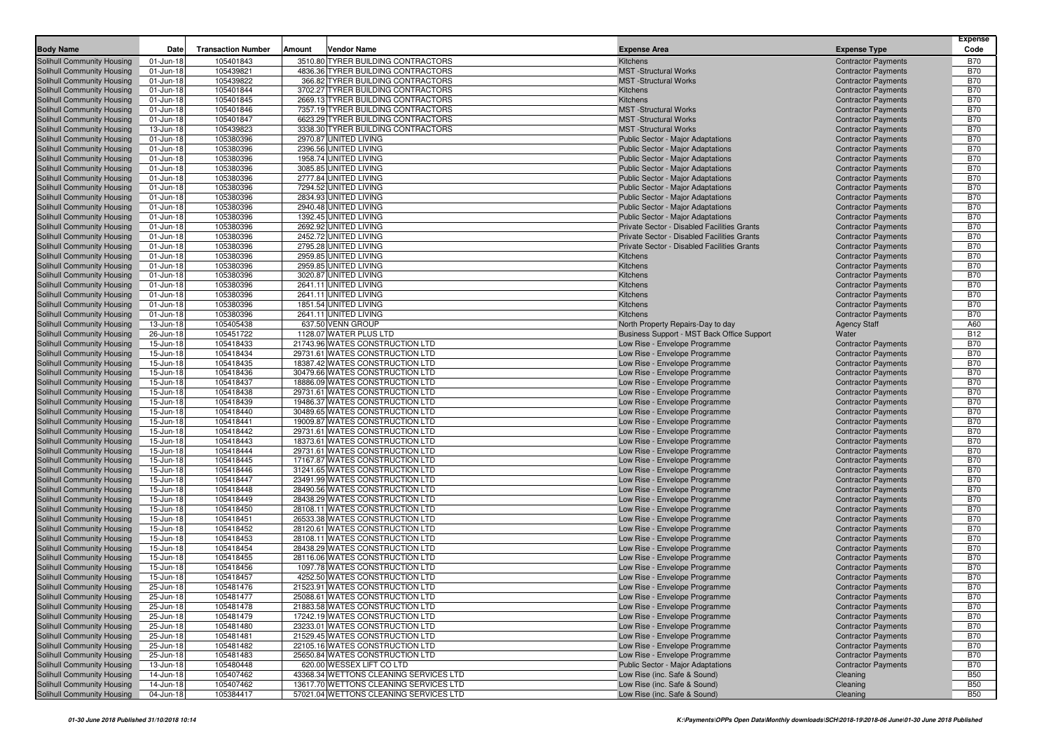| <b>Body Name</b>                                         | Date                   | <b>Transaction Number</b> | <b>Vendor Name</b><br>Amount                                       | <b>Expense Area</b>                                                    | <b>Expense Type</b>                                      | Expense<br>Code          |
|----------------------------------------------------------|------------------------|---------------------------|--------------------------------------------------------------------|------------------------------------------------------------------------|----------------------------------------------------------|--------------------------|
| Solihull Community Housing                               | 01-Jun-18              | 105401843                 | 3510.80 TYRER BUILDING CONTRACTORS                                 | <b>Kitchens</b>                                                        | <b>Contractor Payments</b>                               | <b>B70</b>               |
| Solihull Community Housing                               | 01-Jun-18              | 105439821                 | 4836.36 TYRER BUILDING CONTRACTORS                                 | <b>MST</b> - Structural Works                                          | <b>Contractor Payments</b>                               | <b>B70</b>               |
| Solihull Community Housing                               | 01-Jun-18              | 105439822                 | 366.82 TYRER BUILDING CONTRACTORS                                  | <b>MST</b> -Structural Works                                           | <b>Contractor Payments</b>                               | <b>B70</b>               |
| Solihull Community Housing                               | 01-Jun-18              | 105401844                 | 3702.27 TYRER BUILDING CONTRACTORS                                 | Kitchens                                                               | <b>Contractor Payments</b>                               | <b>B70</b>               |
| Solihull Community Housing                               | 01-Jun-18              | 105401845                 | 2669.13 TYRER BUILDING CONTRACTORS                                 | <b>Kitchens</b>                                                        | <b>Contractor Payments</b>                               | <b>B70</b>               |
| Solihull Community Housing                               | 01-Jun-18              | 105401846                 | 7357.19 TYRER BUILDING CONTRACTORS                                 | <b>MST</b> -Structural Works                                           | <b>Contractor Payments</b>                               | <b>B70</b>               |
| Solihull Community Housing                               | 01-Jun-18              | 105401847                 | 6623.29 TYRER BUILDING CONTRACTORS                                 | <b>MST</b> -Structural Works                                           | <b>Contractor Payments</b>                               | <b>B70</b>               |
| Solihull Community Housing                               | 13-Jun-18              | 105439823                 | 3338.30 TYRER BUILDING CONTRACTORS                                 | <b>MST</b> -Structural Works                                           | <b>Contractor Payments</b>                               | <b>B70</b>               |
| Solihull Community Housing                               | 01-Jun-18              | 105380396                 | 2970.87 UNITED LIVING                                              | Public Sector - Major Adaptations                                      | <b>Contractor Payments</b>                               | <b>B70</b>               |
| Solihull Community Housing                               | 01-Jun-18              | 105380396                 | 2396.56 UNITED LIVING                                              | Public Sector - Major Adaptations                                      | <b>Contractor Payments</b>                               | <b>B70</b>               |
| Solihull Community Housing                               | 01-Jun-18              | 105380396                 | 1958.74 UNITED LIVING                                              | Public Sector - Major Adaptations                                      | <b>Contractor Payments</b>                               | <b>B70</b>               |
| Solihull Community Housing                               | 01-Jun-18              | 105380396                 | 3085.85 UNITED LIVING                                              | Public Sector - Major Adaptations                                      | <b>Contractor Payments</b>                               | <b>B70</b>               |
| Solihull Community Housing                               | 01-Jun-18              | 105380396                 | 2777.84 UNITED LIVING<br>7294.52 UNITED LIVING                     | Public Sector - Major Adaptations                                      | <b>Contractor Payments</b>                               | <b>B70</b><br><b>B70</b> |
| Solihull Community Housing<br>Solihull Community Housing | 01-Jun-18<br>01-Jun-18 | 105380396<br>105380396    | 2834.93 UNITED LIVING                                              | Public Sector - Major Adaptations<br>Public Sector - Major Adaptations | <b>Contractor Payments</b><br><b>Contractor Payments</b> | <b>B70</b>               |
| Solihull Community Housing                               | 01-Jun-18              | 105380396                 | 2940.48 UNITED LIVING                                              | Public Sector - Major Adaptations                                      | <b>Contractor Payments</b>                               | <b>B70</b>               |
| Solihull Community Housing                               | 01-Jun-18              | 105380396                 | 1392.45 UNITED LIVING                                              | Public Sector - Major Adaptations                                      | <b>Contractor Payments</b>                               | <b>B70</b>               |
| Solihull Community Housing                               | 01-Jun-18              | 105380396                 | 2692.92 UNITED LIVING                                              | Private Sector - Disabled Facilities Grants                            | <b>Contractor Payments</b>                               | <b>B70</b>               |
| Solihull Community Housing                               | 01-Jun-18              | 105380396                 | 2452.72 UNITED LIVING                                              | Private Sector - Disabled Facilities Grants                            | <b>Contractor Payments</b>                               | <b>B70</b>               |
| Solihull Community Housing                               | 01-Jun-18              | 105380396                 | 2795.28 UNITED LIVING                                              | Private Sector - Disabled Facilities Grants                            | <b>Contractor Payments</b>                               | <b>B70</b>               |
| Solihull Community Housing                               | 01-Jun-18              | 105380396                 | 2959.85 UNITED LIVING                                              | Kitchens                                                               | <b>Contractor Payments</b>                               | <b>B70</b>               |
| Solihull Community Housing                               | 01-Jun-18              | 105380396                 | 2959.85 UNITED LIVING                                              | Kitchens                                                               | <b>Contractor Payments</b>                               | <b>B70</b>               |
| Solihull Community Housing                               | 01-Jun-18              | 105380396                 | 3020.87 UNITED LIVING                                              | Kitchens                                                               | <b>Contractor Payments</b>                               | <b>B70</b>               |
| Solihull Community Housing                               | 01-Jun-18              | 105380396                 | 2641.11 UNITED LIVING                                              | Kitchens                                                               | <b>Contractor Payments</b>                               | <b>B70</b>               |
| Solihull Community Housing                               | 01-Jun-18              | 105380396                 | 2641.11 UNITED LIVING                                              | Kitchens                                                               | <b>Contractor Payments</b>                               | <b>B70</b>               |
| Solihull Community Housing                               | 01-Jun-18              | 105380396                 | 1851.54 UNITED LIVING                                              | Kitchens                                                               | <b>Contractor Payments</b>                               | <b>B70</b>               |
| Solihull Community Housing                               | 01-Jun-18              | 105380396                 | 2641.11 UNITED LIVING                                              | Kitchens                                                               | <b>Contractor Payments</b>                               | <b>B70</b>               |
| Solihull Community Housing                               | 13-Jun-18              | 105405438                 | 637.50 VENN GROUP                                                  | North Property Repairs-Day to day                                      | <b>Agency Staff</b>                                      | A60                      |
| Solihull Community Housing                               | 26-Jun-18              | 105451722                 | 1128.07 WATER PLUS LTD                                             | Business Support - MST Back Office Support                             | Water                                                    | <b>B12</b>               |
| Solihull Community Housing                               | 15-Jun-18              | 105418433                 | 21743.96 WATES CONSTRUCTION LTD                                    | Low Rise - Envelope Programme                                          | <b>Contractor Payments</b>                               | <b>B70</b>               |
| Solihull Community Housing                               | 15-Jun-18              | 105418434                 | 29731.61 WATES CONSTRUCTION LTD                                    | Low Rise - Envelope Programme                                          | <b>Contractor Payments</b>                               | <b>B70</b>               |
| Solihull Community Housing                               | 15-Jun-18              | 105418435                 | 18387.42 WATES CONSTRUCTION LTD                                    | Low Rise - Envelope Programme                                          | <b>Contractor Payments</b>                               | <b>B70</b><br><b>B70</b> |
| Solihull Community Housing<br>Solihull Community Housing | 15-Jun-18<br>15-Jun-18 | 105418436<br>105418437    | 30479.66 WATES CONSTRUCTION LTD<br>18886.09 WATES CONSTRUCTION LTD | Low Rise - Envelope Programme<br>Low Rise - Envelope Programme         | <b>Contractor Payments</b><br><b>Contractor Payments</b> | <b>B70</b>               |
| Solihull Community Housing                               | 15-Jun-18              | 105418438                 | 29731.61 WATES CONSTRUCTION LTD                                    | Low Rise - Envelope Programme                                          | <b>Contractor Payments</b>                               | <b>B70</b>               |
| Solihull Community Housing                               | 15-Jun-18              | 105418439                 | 19486.37 WATES CONSTRUCTION LTD                                    | Low Rise - Envelope Programme                                          | <b>Contractor Payments</b>                               | <b>B70</b>               |
| Solihull Community Housing                               | 15-Jun-18              | 105418440                 | 30489.65 WATES CONSTRUCTION LTD                                    | Low Rise - Envelope Programme                                          | <b>Contractor Payments</b>                               | <b>B70</b>               |
| Solihull Community Housing                               | 15-Jun-18              | 105418441                 | 19009.87 WATES CONSTRUCTION LTD                                    | Low Rise - Envelope Programme                                          | <b>Contractor Payments</b>                               | <b>B70</b>               |
| Solihull Community Housing                               | 15-Jun-18              | 105418442                 | 29731.61 WATES CONSTRUCTION LTD                                    | Low Rise - Envelope Programme                                          | <b>Contractor Payments</b>                               | <b>B70</b>               |
| Solihull Community Housing                               | 15-Jun-18              | 105418443                 | 18373.61 WATES CONSTRUCTION LTD                                    | Low Rise - Envelope Programme                                          | <b>Contractor Payments</b>                               | <b>B70</b>               |
| Solihull Community Housing                               | 15-Jun-18              | 105418444                 | 29731.61 WATES CONSTRUCTION LTD                                    | Low Rise - Envelope Programme                                          | <b>Contractor Payments</b>                               | <b>B70</b>               |
| Solihull Community Housing                               | 15-Jun-18              | 105418445                 | 17167.87 WATES CONSTRUCTION LTD                                    | Low Rise - Envelope Programme                                          | <b>Contractor Payments</b>                               | <b>B70</b>               |
| Solihull Community Housing                               | 15-Jun-18              | 105418446                 | 31241.65 WATES CONSTRUCTION LTD                                    | Low Rise - Envelope Programme                                          | <b>Contractor Payments</b>                               | <b>B70</b>               |
| Solihull Community Housing                               | 15-Jun-18              | 105418447                 | 23491.99 WATES CONSTRUCTION LTD                                    | Low Rise - Envelope Programme                                          | <b>Contractor Payments</b>                               | <b>B70</b>               |
| Solihull Community Housing                               | 15-Jun-18              | 105418448                 | 28490.56 WATES CONSTRUCTION LTD                                    | Low Rise - Envelope Programme                                          | <b>Contractor Payments</b>                               | <b>B70</b>               |
| Solihull Community Housing                               | 15-Jun-18              | 105418449                 | 28438.29 WATES CONSTRUCTION LTD                                    | Low Rise - Envelope Programme                                          | <b>Contractor Payments</b>                               | <b>B70</b>               |
| Solihull Community Housing                               | 15-Jun-18              | 105418450                 | 28108.11 WATES CONSTRUCTION LTD                                    | Low Rise - Envelope Programme                                          | <b>Contractor Payments</b>                               | <b>B70</b>               |
| Solihull Community Housing                               | 15-Jun-18              | 105418451<br>105418452    | 26533.38 WATES CONSTRUCTION LTD<br>28120.61 WATES CONSTRUCTION LTD | Low Rise - Envelope Programme                                          | <b>Contractor Payments</b>                               | <b>B70</b><br><b>B70</b> |
| Solihull Community Housing                               | 15-Jun-18<br>15-Jun-18 | 105418453                 | 28108.11 WATES CONSTRUCTION LTD                                    | Low Rise - Envelope Programme                                          | <b>Contractor Payments</b><br><b>Contractor Payments</b> | <b>B70</b>               |
| Solihull Community Housing<br>Solihull Community Housing | 15-Jun-18              | 105418454                 | 28438.29 WATES CONSTRUCTION LTD                                    | Low Rise - Envelope Programme<br>Low Rise - Envelope Programme         | <b>Contractor Payments</b>                               | <b>B70</b>               |
| Solihull Community Housing                               | 15-Jun-18              | 105418455                 | 28116.06 WATES CONSTRUCTION LTD                                    | Low Rise - Envelope Programme                                          | <b>Contractor Payments</b>                               | <b>B70</b>               |
| Solihull Community Housing                               | 15-Jun-18              | 105418456                 | 1097.78 WATES CONSTRUCTION LTD                                     | Low Rise - Envelope Programme                                          | <b>Contractor Payments</b>                               | <b>B70</b>               |
| Solihull Community Housing                               | 15-Jun-18              | 105418457                 | 4252.50 WATES CONSTRUCTION LTD                                     | Low Rise - Envelope Programme                                          | <b>Contractor Payments</b>                               | <b>B70</b>               |
| Solihull Community Housing                               | 25-Jun-18              | 105481476                 | 21523.91 WATES CONSTRUCTION LTD                                    | Low Rise - Envelope Programme                                          | <b>Contractor Payments</b>                               | <b>B70</b>               |
| Solihull Community Housing                               | 25-Jun-18              | 105481477                 | 25088.61 WATES CONSTRUCTION LTD                                    | Low Rise - Envelope Programme                                          | <b>Contractor Payments</b>                               | B70                      |
| Solihull Community Housing                               | 25-Jun-18              | 105481478                 | 21883.58 WATES CONSTRUCTION LTD                                    | Low Rise - Envelope Programme                                          | <b>Contractor Payments</b>                               | <b>B70</b>               |
| Solihull Community Housing                               | 25-Jun-18              | 105481479                 | 17242.19 WATES CONSTRUCTION LTD                                    | Low Rise - Envelope Programme                                          | <b>Contractor Payments</b>                               | <b>B70</b>               |
| Solihull Community Housing                               | 25-Jun-18              | 105481480                 | 23233.01 WATES CONSTRUCTION LTD                                    | Low Rise - Envelope Programme                                          | <b>Contractor Payments</b>                               | <b>B70</b>               |
| Solihull Community Housing                               | 25-Jun-18              | 105481481                 | 21529.45 WATES CONSTRUCTION LTD                                    | Low Rise - Envelope Programme                                          | <b>Contractor Payments</b>                               | <b>B70</b>               |
| Solihull Community Housing                               | 25-Jun-18              | 105481482                 | 22105.16 WATES CONSTRUCTION LTD                                    | Low Rise - Envelope Programme                                          | <b>Contractor Payments</b>                               | <b>B70</b>               |
| Solihull Community Housing                               | 25-Jun-18              | 105481483                 | 25650.84 WATES CONSTRUCTION LTD                                    | Low Rise - Envelope Programme                                          | <b>Contractor Payments</b>                               | <b>B70</b>               |
| Solihull Community Housing                               | 13-Jun-18              | 105480448                 | 620.00 WESSEX LIFT CO LTD                                          | <b>Public Sector - Major Adaptations</b>                               | <b>Contractor Payments</b>                               | <b>B70</b>               |
| Solihull Community Housing                               | 14-Jun-18              | 105407462                 | 43368.34 WETTONS CLEANING SERVICES LTD                             | Low Rise (inc. Safe & Sound)                                           | Cleaning                                                 | <b>B50</b>               |
| Solihull Community Housing                               | 14-Jun-18              | 105407462                 | 13617.70 WETTONS CLEANING SERVICES LTD                             | Low Rise (inc. Safe & Sound)                                           | Cleaning                                                 | <b>B50</b>               |
| Solihull Community Housing                               | 04-Jun-18              | 105384417                 | 57021.04 WETTONS CLEANING SERVICES LTD                             | Low Rise (inc. Safe & Sound)                                           | Cleaning                                                 | <b>B50</b>               |